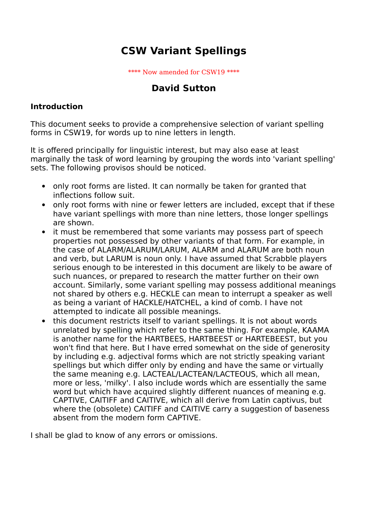# **CSW Variant Spellings**

\*\*\*\* Now amended for CSW19 \*\*\*\*

## **David Sutton**

### **Introduction**

This document seeks to provide a comprehensive selection of variant spelling forms in CSW19, for words up to nine letters in length.

It is offered principally for linguistic interest, but may also ease at least marginally the task of word learning by grouping the words into 'variant spelling' sets. The following provisos should be noticed.

- only root forms are listed. It can normally be taken for granted that inflections follow suit.
- only root forms with nine or fewer letters are included, except that if these have variant spellings with more than nine letters, those longer spellings are shown.
- it must be remembered that some variants may possess part of speech properties not possessed by other variants of that form. For example, in the case of ALARM/ALARUM/LARUM, ALARM and ALARUM are both noun and verb, but LARUM is noun only. I have assumed that Scrabble players serious enough to be interested in this document are likely to be aware of such nuances, or prepared to research the matter further on their own account. Similarly, some variant spelling may possess additional meanings not shared by others e.g. HECKLE can mean to interrupt a speaker as well as being a variant of HACKLE/HATCHEL, a kind of comb. I have not attempted to indicate all possible meanings.
- this document restricts itself to variant spellings. It is not about words unrelated by spelling which refer to the same thing. For example, KAAMA is another name for the HARTBEES, HARTBEEST or HARTEBEEST, but you won't find that here. But I have erred somewhat on the side of generosity by including e.g. adjectival forms which are not strictly speaking variant spellings but which differ only by ending and have the same or virtually the same meaning e.g. LACTEAL/LACTEAN/LACTEOUS, which all mean, more or less, 'milky'. I also include words which are essentially the same word but which have acquired slightly different nuances of meaning e.g. CAPTIVE, CAITIFF and CAITIVE, which all derive from Latin captivus, but where the (obsolete) CAITIFF and CAITIVE carry a suggestion of baseness absent from the modern form CAPTIVE.

I shall be glad to know of any errors or omissions.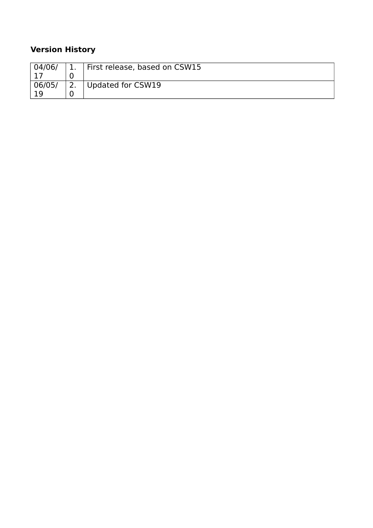## **Version History**

| 04/06/ |   | First release, based on CSW15 |
|--------|---|-------------------------------|
|        |   |                               |
| 06/05/ | ∍ | Updated for CSW19             |
|        |   |                               |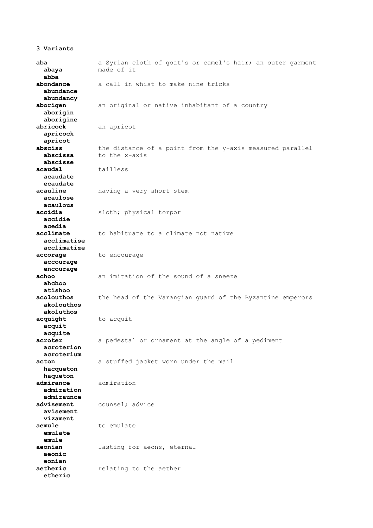#### **3 Variants**

**aba** a Syrian cloth of goat's or camel's hair; an outer garment  **abaya** made of it  **abba abondance** a call in whist to make nine tricks  **abundance abundancy aborigen** an original or native inhabitant of a country  **aborigin aborigine abricock** an apricot  **apricock apricot absciss** the distance of a point from the y-axis measured parallel **abscissa** to the x-axis  **abscisse acaudal** tailless  **acaudate ecaudate acauline** having a very short stem  **acaulose acaulous accidia** sloth; physical torpor  **accidie acedia acclimate** to habituate to a climate not native  **acclimatise acclimatize accorage** to encourage  **accourage encourage achoo** an imitation of the sound of a sneeze  **ahchoo atishoo acolouthos** the head of the Varangian guard of the Byzantine emperors  **akolouthos akoluthos acquight** to acquit  **acquit acquite acroter** a pedestal or ornament at the angle of a pediment  **acroterion acroterium acton** a stuffed jacket worn under the mail  **hacqueton haqueton admirance** admiration  **admiration admiraunce advisement** counsel; advice  **avisement vizament aemule** to emulate  **emulate emule aeonian** lasting for aeons, eternal  **aeonic eonian aetheric** relating to the aether  **etheric**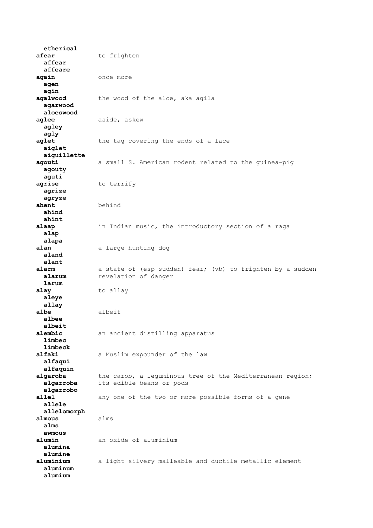**etherical** afear to frighten  **affear affeare again** once more  **agen agin agalwood** the wood of the aloe, aka agila  **agarwood aloeswood** aglee aside, askew  **agley agly aglet** the tag covering the ends of a lace  **aiglet aiguillette agouti** a small S. American rodent related to the guinea-pig  **agouty aguti agrise** to terrify  **agrize agryze ahent** behind  **ahind ahint alaap** in Indian music, the introductory section of a raga  **alap alapa alan** a large hunting dog  **aland alant alarm** a state of (esp sudden) fear; (vb) to frighten by a sudden **alarum** revelation of danger  **larum alay** to allay  **aleye allay albe** albeit  **albee albeit** an ancient distilling apparatus  **limbec limbeck** a Muslim expounder of the law  **alfaqui alfaquin** algaroba the carob, a leguminous tree of the Mediterranean region;  **algarroba** its edible beans or pods  **algarrobo allel** any one of the two or more possible forms of a gene  **allele allelomorph almous** alms  **alms awmous alumin** an oxide of aluminium  **alumina alumine aluminium** a light silvery malleable and ductile metallic element  **aluminum alumium**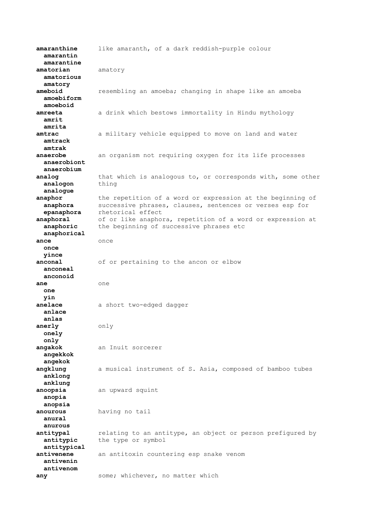**amaranthine** like amaranth, of a dark reddish-purple colour  **amarantin amarantine amatorian** amatory  **amatorious amatory ameboid** resembling an amoeba; changing in shape like an amoeba  **amoebiform amoeboid amreeta** a drink which bestows immortality in Hindu mythology  **amrit amrita amtrac** a military vehicle equipped to move on land and water  **amtrack amtrak anaerobe** an organism not requiring oxygen for its life processes  **anaerobiont anaerobium analog** that which is analogous to, or corresponds with, some other analogon thing  **analogue anaphor** the repetition of a word or expression at the beginning of **anaphora** successive phrases, clauses, sentences or verses esp for  **epanaphora** rhetorical effect **anaphoral** of or like anaphora, repetition of a word or expression at **anaphoric** the beginning of successive phrases etc  **anaphorical ance** once  **once yince anconal** of or pertaining to the ancon or elbow  **anconeal anconoid ane** one  **one yin** anelace a short two-edged dagger  **anlace anlas anerly** only  **onely only angakok** an Inuit sorcerer  **angekkok angekok angklung** a musical instrument of S. Asia, composed of bamboo tubes  **anklong anklung anoopsia** an upward squint  **anopia anopsia anourous** having no tail  **anural anurous** antitypal **relating to an antitype, an object or person prefigured by antitypic** the type or symbol  **antitypical antivenene** an antitoxin countering esp snake venom  **antivenin antivenom any** some; whichever, no matter which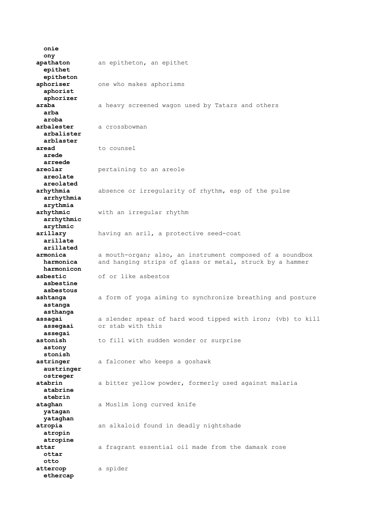**onie ony apathaton** an epitheton, an epithet  **epithet epitheton aphoriser** one who makes aphorisms  **aphorist aphorizer araba** a heavy screened wagon used by Tatars and others  **arba aroba arbalester** a crossbowman  **arbalister arblaster** aread to counsel  **arede arreede areolar pertaining to an areole areolate areolated arhythmia** absence or irregularity of rhythm, esp of the pulse  **arrhythmia arythmia arhythmic** with an irregular rhythm  **arrhythmic arythmic arillary** having an aril, a protective seed-coat  **arillate arillated armonica** a mouth-organ; also, an instrument composed of a soundbox  **harmonica** and hanging strips of glass or metal, struck by a hammer  **harmonicon asbestic** of or like asbestos  **asbestine asbestous ashtanga** a form of yoga aiming to synchronize breathing and posture  **astanga asthanga assagai** a slender spear of hard wood tipped with iron; (vb) to kill<br>**assegaai** or stab with this  **assegaai** or stab with this  **assegai astonish** to fill with sudden wonder or surprise  **astony stonish astringer** a falconer who keeps a goshawk  **austringer ostreger atabrin** a bitter yellow powder, formerly used against malaria  **atabrine atebrin ataghan** a Muslim long curved knife  **yatagan yataghan atropia** an alkaloid found in deadly nightshade  **atropin atropine attar** a fragrant essential oil made from the damask rose  **ottar otto attercop** a spider  **ethercap**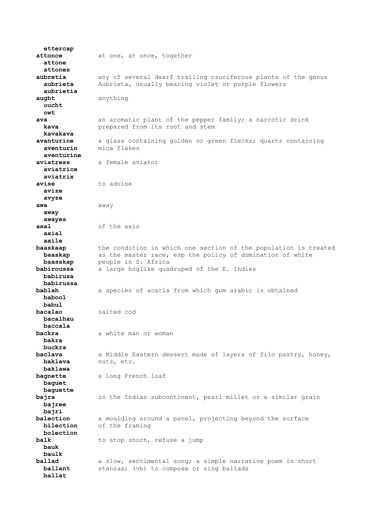**ettercap attonce** at one, at once, together  **attone attones aubretia** any of several dwarf trailing cruciferous plants of the genus  **aubrieta** Aubrieta, usually bearing violet or purple flowers  **aubrietia aught** anything  **oucht owt** ava an aromatic plant of the pepper family; a narcotic drink **kava prepared** from its root and stem  **kavakava avanturine** a glass containing golden or green flecks; quartz containing  **aventurin** mica flakes  **aventurine aviatress** a female aviator  **aviatrice aviatrix avise** to advise  **avize avyze awa** away  **away awayes axal** of the axis  **axial axile baaskaap** the condition in which one section of the population is treated **baaskap** as the master race, esp the policy of domination of white **baasskap** people in S. Africa **babiroussa** a large hoglike quadruped of the E. Indies  **babirusa babirussa bablah** a species of acacia from which gum arabic is obtained  **babool babul bacalao** salted cod  **bacalhau baccala backra** a white man or woman  **bakra buckra baclava** a Middle Eastern dessert made of layers of filo pastry, honey,  **baklava** nuts, etc.  **baklawa bagnette** a long French loaf  **baguet baguette bajra** in the Indian subcontinent, pearl millet or a similar grain  **bajree bajri balection** a moulding around a panel, projecting beyond the surface  **bilection** of the framing  **bolection balk** to stop short, refuse a jump  **bauk baulk ballad** a slow, sentimental song; a simple narrative poem in short **ballant** stanzas; (vb) to compose or sing ballads  **ballat**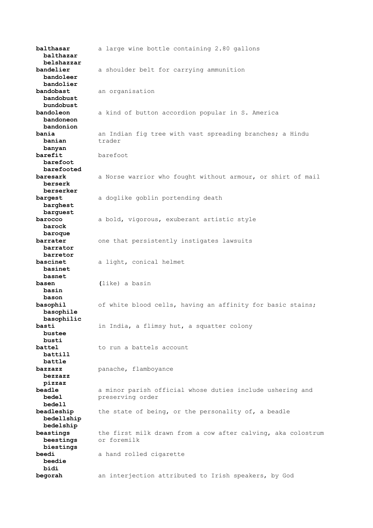**balthasar** a large wine bottle containing 2.80 gallons  **balthazar belshazzar bandelier** a shoulder belt for carrying ammunition  **bandoleer bandolier bandobast** an organisation  **bandobust bundobust bandoleon** a kind of button accordion popular in S. America  **bandoneon bandonion bania** an Indian fig tree with vast spreading branches; a Hindu **banian** trader  **banyan barefit** barefoot  **barefoot barefooted baresark** a Norse warrior who fought without armour, or shirt of mail  **berserk berserker bargest** a doglike goblin portending death  **barghest barguest barocco** a bold, vigorous, exuberant artistic style  **barock baroque barrater** one that persistently instigates lawsuits  **barrator barretor bascinet** a light, conical helmet  **basinet basnet basen (**like) a basin  **basin bason basophil** of white blood cells, having an affinity for basic stains;  **basophile basophilic basti** in India, a flimsy hut, a squatter colony  **bustee busti battel** to run a battels account  **battill battle bazzazz** panache, flamboyance  **bezzazz pizzaz beadle** a minor parish official whose duties include ushering and  **bedel** preserving order  **bedell beadleship** the state of being, or the personality of, a beadle  **bedellship bedelship beastings** the first milk drawn from a cow after calving, aka colostrum  **beestings** or foremilk  **biestings beedi** a hand rolled cigarette  **beedie bidi begorah** an interjection attributed to Irish speakers, by God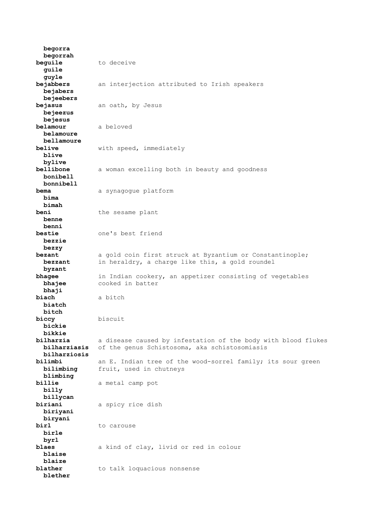**begorra begorrah beguile** to deceive  **guile guyle bejabbers** an interjection attributed to Irish speakers  **bejabers bejeebers bejasus** an oath, by Jesus  **bejeezus bejesus belamour** a beloved  **belamoure bellamoure** with speed, immediately  **blive bylive bellibone** a woman excelling both in beauty and goodness  **bonibell bonnibell bema** a synagogue platform  **bima bimah beni** the sesame plant  **benne benni bestie** one's best friend  **bezzie bezzy bezant** a gold coin first struck at Byzantium or Constantinople;  **bezzant** in heraldry, a charge like this, a gold roundel  **byzant bhagee** in Indian cookery, an appetizer consisting of vegetables **bhajee** cooked in batter  **bhaji biach** a bitch  **biatch bitch biccy** biscuit  **bickie bikkie bilharzia** a disease caused by infestation of the body with blood flukes  **bilharziasis** of the genus Schistosoma, aka schistosomiasis  **bilharziosis bilimbi** an E. Indian tree of the wood-sorrel family; its sour green  **bilimbing** fruit, used in chutneys  **blimbing billie** a metal camp pot  **billy billycan biriani** a spicy rice dish  **biriyani biryani birl** to carouse  **birle byrl blaes** a kind of clay, livid or red in colour  **blaise blaize blather** to talk loquacious nonsense  **blether**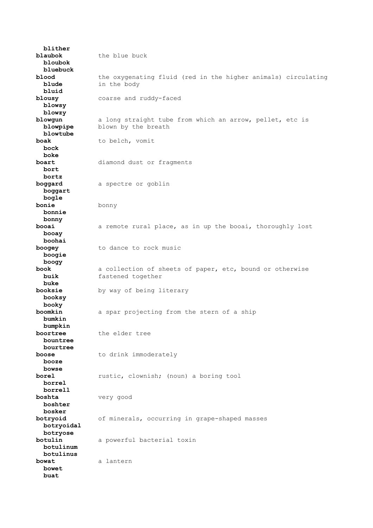**blither blaubok** the blue buck  **bloubok bluebuck blood** the oxygenating fluid (red in the higher animals) circulating **blude** in the body  **bluid blousy** coarse and ruddy-faced  **blowsy blowzy blowgun** a long straight tube from which an arrow, pellet, etc is **blowpipe** blown by the breath  **blowtube boak** to belch, vomit  **bock boke boart** diamond dust or fragments  **bort bortz boggard** a spectre or goblin  **boggart bogle bonie** bonny  **bonnie bonny booai** a remote rural place, as in up the booai, thoroughly lost  **booay boohai boogey** to dance to rock music  **boogie boogy book** a collection of sheets of paper, etc, bound or otherwise  **buik** fastened together  **buke booksie** by way of being literary  **booksy booky boomkin** a spar projecting from the stern of a ship  **bumkin bumpkin** the elder tree  **bountree bourtree boose** to drink immoderately  **booze bowse borel** rustic, clownish; (noun) a boring tool  **borrel borrell boshta** very good  **boshter bosker botryoid** of minerals, occurring in grape-shaped masses  **botryoidal botryose botulin** a powerful bacterial toxin  **botulinum botulinus bowat** a lantern  **bowet buat**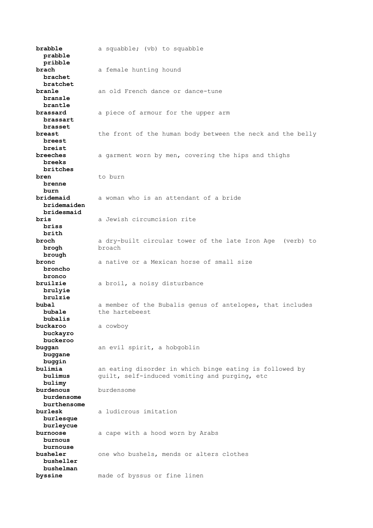**brabble** a squabble; (vb) to squabble  **prabble pribble brach** a female hunting hound  **brachet bratchet branle** an old French dance or dance-tune  **bransle brantle brassard** a piece of armour for the upper arm  **brassart brasset** the front of the human body between the neck and the belly  **breest breist breeches** a garment worn by men, covering the hips and thighs  **breeks britches bren** to burn  **brenne burn bridemaid** a woman who is an attendant of a bride  **bridemaiden bridesmaid bris** a Jewish circumcision rite  **briss brith broch** a dry-built circular tower of the late Iron Age (verb) to  **brogh** broach  **brough bronc** a native or a Mexican horse of small size  **broncho bronco bruilzie** a broil, a noisy disturbance  **brulyie brulzie bubal** a member of the Bubalis genus of antelopes, that includes **bubale** the hartebeest  **bubalis buckaroo** a cowboy  **buckayro buckeroo buggan** an evil spirit, a hobgoblin  **buggane buggin bulimia** an eating disorder in which binge eating is followed by  **bulimus** guilt, self-induced vomiting and purging, etc  **bulimy burdenous** burdensome  **burdensome burthensome burlesk** a ludicrous imitation  **burlesque burleycue burnoose** a cape with a hood worn by Arabs  **burnous burnouse busheler** one who bushels, mends or alters clothes  **busheller bushelman byssine** made of byssus or fine linen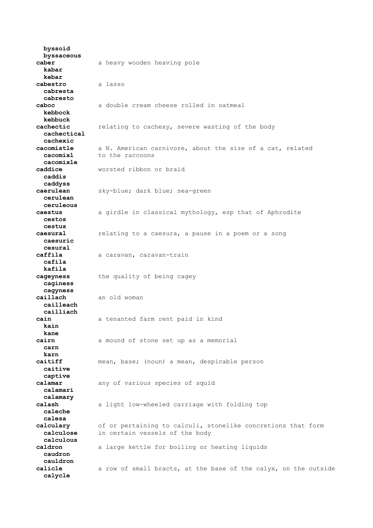**byssoid byssaceous caber** a heavy wooden heaving pole  **kabar kebar cabestro** a lasso  **cabresta cabresto caboc** a double cream cheese rolled in oatmeal  **kebbock kebbuck cachectic** relating to cachexy, severe wasting of the body  **cachectical cachexic cacomistle** a N. American carnivore, about the size of a cat, related **cacomixl** to the raccoons  **cacomixle caddice** worsted ribbon or braid  **caddis caddyss caerulean** sky-blue; dark blue; sea-green  **cerulean ceruleous caestus** a girdle in classical mythology, esp that of Aphrodite  **cestos cestus caesural** relating to a caesura, a pause in a poem or a song  **caesuric cesural caffila** a caravan, caravan-train  **cafila kafila cageyness** the quality of being cagey  **caginess cagyness caillach** an old woman  **cailleach cailliach cain** a tenanted farm rent paid in kind  **kain kane cairn** a mound of stone set up as a memorial  **carn karn caitiff** mean, base; (noun) a mean, despicable person  **caitive captive calamar** any of various species of squid  **calamari calamary calash** a light low-wheeled carriage with folding top  **caleche calesa calculary** of or pertaining to calculi, stonelike concretions that form  **calculose** in certain vessels of the body  **calculous caldron** a large kettle for boiling or heating liquids  **caudron cauldron calicle** a row of small bracts, at the base of the calyx, on the outside  **calycle**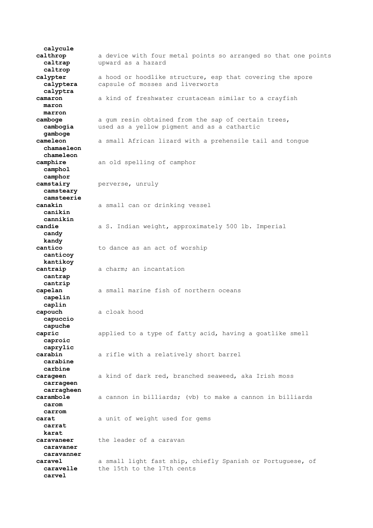**calycule calthrop** a device with four metal points so arranged so that one points  **caltrap** upward as a hazard  **caltrop calypter** a hood or hoodlike structure, esp that covering the spore  **calyptera** capsule of mosses and liverworts  **calyptra camaron** a kind of freshwater crustacean similar to a crayfish  **maron marron camboge** a gum resin obtained from the sap of certain trees,  **cambogia** used as a yellow pigment and as a cathartic  **gamboge cameleon** a small African lizard with a prehensile tail and tongue  **chamaeleon chameleon camphire** an old spelling of camphor  **camphol camphor camstairy** perverse, unruly  **camsteary camsteerie canakin** a small can or drinking vessel  **canikin cannikin candie** a S. Indian weight, approximately 500 lb. Imperial  **candy kandy cantico** to dance as an act of worship  **canticoy kantikoy cantraip** a charm; an incantation  **cantrap cantrip capelan** a small marine fish of northern oceans  **capelin caplin capouch** a cloak hood  **capuccio capuche capric** applied to a type of fatty acid, having a goatlike smell  **caproic caprylic carabin** a rifle with a relatively short barrel  **carabine carbine carageen** a kind of dark red, branched seaweed, aka Irish moss  **carrageen carragheen carambole** a cannon in billiards; (vb) to make a cannon in billiards  **carom carrom carat** a unit of weight used for gems  **carrat karat caravaneer** the leader of a caravan  **caravaner caravanner caravel** a small light fast ship, chiefly Spanish or Portuguese, of **caravelle** the 15th to the 17th cents  **carvel**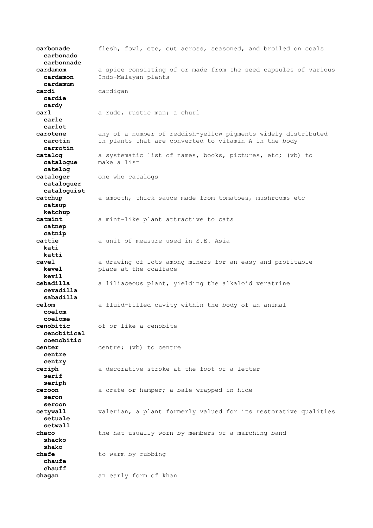**carbonade** flesh, fowl, etc, cut across, seasoned, and broiled on coals  **carbonado carbonnade cardamom** a spice consisting of or made from the seed capsules of various  **cardamon** Indo-Malayan plants  **cardamum cardi** cardigan  **cardie cardy carl** a rude, rustic man; a churl  **carle carlot carotene** any of a number of reddish-yellow pigments widely distributed  **carotin** in plants that are converted to vitamin A in the body  **carrotin catalog** a systematic list of names, books, pictures, etc; (vb) to  **catalogue** make a list  **catelog cataloger** one who catalogs  **cataloguer cataloguist catchup** a smooth, thick sauce made from tomatoes, mushrooms etc  **catsup ketchup catmint** a mint-like plant attractive to cats  **catnep catnip cattie** a unit of measure used in S.E. Asia  **kati katti cavel** a drawing of lots among miners for an easy and profitable **kevel place at the coalface kevil cebadilla** a liliaceous plant, yielding the alkaloid veratrine  **cevadilla sabadilla celom** a fluid-filled cavity within the body of an animal  **coelom coelome cenobitic** of or like a cenobite  **cenobitical coenobitic center** centre; (vb) to centre  **centre centry ceriph** a decorative stroke at the foot of a letter  **serif seriph ceroon** a crate or hamper; a bale wrapped in hide  **seron seroon cetywall** valerian, a plant formerly valued for its restorative qualities  **setuale setwall chaco** the hat usually worn by members of a marching band  **shacko shako chafe** to warm by rubbing  **chaufe chauff chagan** an early form of khan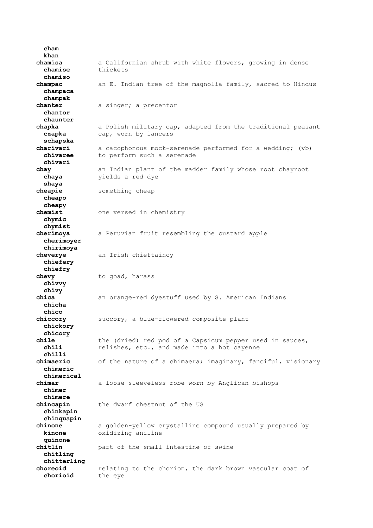**khan chamisa** a Californian shrub with white flowers, growing in dense  **chamise** thickets  **chamiso champac** an E. Indian tree of the magnolia family, sacred to Hindus  **champaca champak chanter** a singer; a precentor  **chantor chaunter chapka** a Polish military cap, adapted from the traditional peasant  **czapka** cap, worn by lancers  **schapska charivari** a cacophonous mock-serenade performed for a wedding; (vb) **chivaree** to perform such a serenade  **chivari chay** an Indian plant of the madder family whose root chayroot  **chaya** yields a red dye  **shaya** something cheap  **cheapo cheapy chemist** one versed in chemistry  **chymic chymist cherimoya** a Peruvian fruit resembling the custard apple  **cherimoyer chirimoya cheverye** an Irish chieftaincy  **chiefery chiefry chevy** to goad, harass  **chivvy chivy chica** an orange-red dyestuff used by S. American Indians  **chicha chico chiccory** succory, a blue-flowered composite plant  **chickory chicory** the (dried) red pod of a Capsicum pepper used in sauces,  **chili** relishes, etc., and made into a hot cayenne  **chilli chimaeric** of the nature of a chimaera; imaginary, fanciful, visionary  **chimeric chimerical chimar** a loose sleeveless robe worn by Anglican bishops  **chimer chimere chincapin** the dwarf chestnut of the US  **chinkapin chinquapin chinone** a golden-yellow crystalline compound usually prepared by  **kinone** oxidizing aniline  **quinone chitlin** part of the small intestine of swine  **chitling chitterling choreoid** relating to the chorion, the dark brown vascular coat of  **chorioid** the eye

 **cham**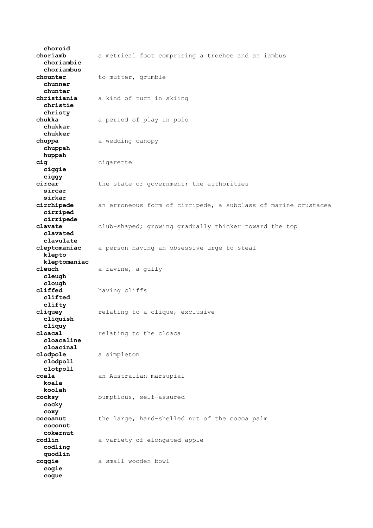**choroid choriamb** a metrical foot comprising a trochee and an iambus  **choriambic choriambus chounter** to mutter, grumble  **chunner chunter christiania** a kind of turn in skiing  **christie christy chukka** a period of play in polo  **chukkar chukker chuppa** a wedding canopy  **chuppah huppah cig** cigarette  **ciggie ciggy** the state or government; the authorities  **sircar sirkar cirrhipede** an erroneous form of cirripede, a subclass of marine crustacea  **cirriped cirripede clavate** club-shaped; growing gradually thicker toward the top  **clavated clavulate cleptomaniac** a person having an obsessive urge to steal  **klepto kleptomaniac cleuch** a ravine, a gully  **cleugh clough cliffed** having cliffs  **clifted clifty cliquey** relating to a clique, exclusive  **cliquish cliquy cloacal** relating to the cloaca  **cloacaline cloacinal clodpole** a simpleton  **clodpoll clotpoll coala** an Australian marsupial  **koala koolah cocksy** bumptious, self-assured  **cocky coxy cocoanut** the large, hard-shelled nut of the cocoa palm  **coconut cokernut codlin** a variety of elongated apple  **codling quodlin coggie** a small wooden bowl  **cogie cogue**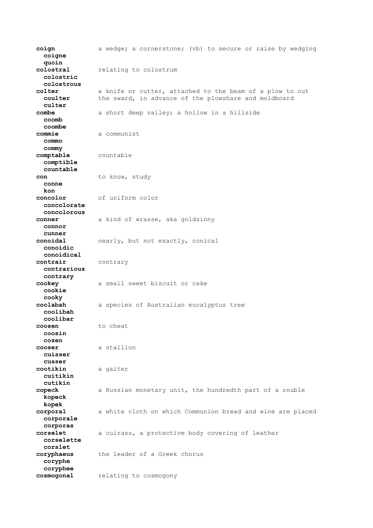**coign** a wedge; a cornerstone; (vb) to secure or raise by wedging  **coigne quoin colostral** relating to colostrum  **colostric colostrous colter** a knife or cutter, attached to the beam of a plow to cut<br>coulter the sward, in advance of the plowshare and moldboard the sward, in advance of the plowshare and moldboard  **culter combe** a short deep valley; a hollow in a hillside  **coomb coombe commie** a communist  **commo commy comptable** countable  **comptible countable** con to know, study  **conne kon concolor** of uniform color  **concolorate concolorous conner** a kind of wrasse, aka goldsinny  **connor cunner conoidal** nearly, but not exactly, conical  **conoidic conoidical contrair** contrary  **contrarious contrary cookey** a small sweet biscuit or cake  **cookie cooky coolabah** a species of Australian eucalyptus tree  **coolibah coolibar coosen** to cheat  **coosin cozen cooser** a stallion  **cuisser cusser cootikin** a gaiter  **cuitikin cutikin copeck** a Russian monetary unit, the hundredth part of a rouble  **kopeck kopek corporal** a white cloth on which Communion bread and wine are placed  **corporale corporas corselet** a cuirass, a protective body covering of leather  **corselette corslet coryphaeus** the leader of a Greek chorus  **coryphe coryphee cosmogonal** relating to cosmogony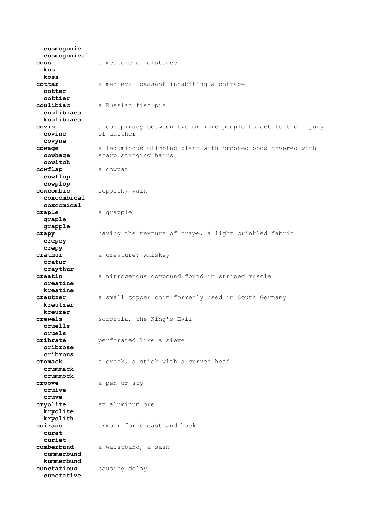**cosmogonic cosmogonical coss** a measure of distance  **kos koss cottar** a medieval peasant inhabiting a cottage  **cotter cottier coulibiac** a Russian fish pie  **coulibiaca koulibiaca covin** a conspiracy between two or more people to act to the injury  **covine** of another  **covyne cowage** a leguminous climbing plant with crooked pods covered with **cowhage** sharp stinging hairs  **cowitch cowflap** a cowpat  **cowflop cowplop coxcombic** foppish, vain  **coxcombical coxcomical craple** a grapple  **graple grapple crapy** having the texture of crape, a light crinkled fabric  **crepey crepy crathur** a creature; whiskey  **cratur craythur creatin** a nitrogenous compound found in striped muscle  **creatine kreatine creutzer** a small copper coin formerly used in South Germany  **kreutzer kreuzer crewels** scrofula, the King's Evil  **cruells cruels cribrate** perforated like a sieve  **cribrose cribrous cromack** a crook, a stick with a curved head  **crummack crummock croove** a pen or sty  **cruive cruve cryolite** an aluminum ore  **kryolite kryolith cuirass** armour for breast and back  **curat curiet cumberbund** a waistband, a sash  **cummerbund kummerbund cunctatious** causing delay  **cunctative**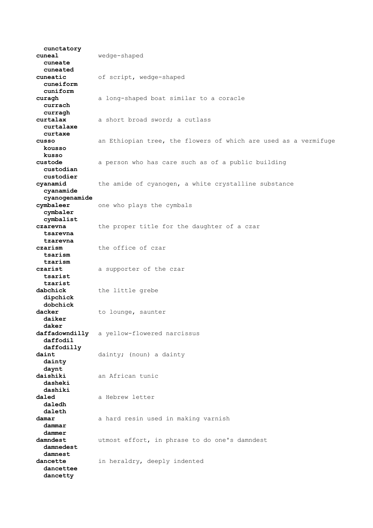**cunctatory cuneal** wedge-shaped  **cuneate cuneated cuneatic** of script, wedge-shaped  **cuneiform cuniform curagh** a long-shaped boat similar to a coracle  **currach curragh curtalax** a short broad sword; a cutlass  **curtalaxe curtaxe cusso** an Ethiopian tree, the flowers of which are used as a vermifuge  **kousso kusso custode** a person who has care such as of a public building  **custodian custodier cyanamid** the amide of cyanogen, a white crystalline substance  **cyanamide cyanogenamide cymbaleer** one who plays the cymbals  **cymbaler cymbalist czarevna** the proper title for the daughter of a czar  **tsarevna tzarevna czarism** the office of czar  **tsarism tzarism czarist** a supporter of the czar  **tsarist tzarist dabchick** the little grebe  **dipchick dobchick** to lounge, saunter  **daiker daker daffadowndilly** a yellow-flowered narcissus  **daffodil daffodilly** dainty; (noun) a dainty  **dainty daynt daishiki** an African tunic  **dasheki dashiki** daled a Hebrew letter  **daledh daleth damar** a hard resin used in making varnish  **dammar dammer damndest** utmost effort, in phrase to do one's damndest  **damnedest damnest dancette** in heraldry, deeply indented  **dancettee dancetty**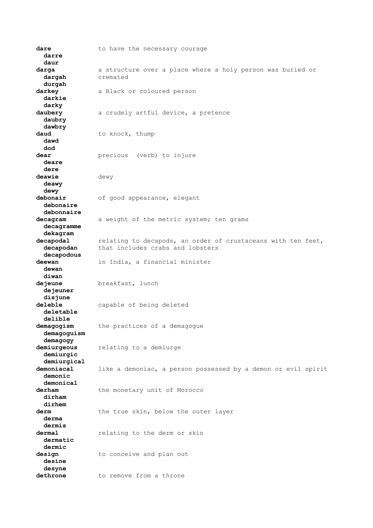dare **to** have the necessary courage  **darre daur darga** a structure over a place where a holy person was buried or  **dargah** cremated  **durgah darkey** a Black or coloured person  **darkie darky daubery** a crudely artful device, a pretence  **daubry dawbry** to knock, thump  **dawd dod dear** precious (verb) to injure  **deare dere deawie** dewy  **deawy dewy debonair** of good appearance, elegant  **debonaire debonnaire decagram** a weight of the metric system; ten grams  **decagramme dekagram decapodal** relating to decapods, an order of crustaceans with ten feet,  **decapodan** that includes crabs and lobsters  **decapodous deewan** in India, a financial minister  **dewan diwan dejeune** breakfast, lunch  **dejeuner disjune deleble** capable of being deleted  **deletable delible demagogism** the practices of a demagogue  **demagoguism demagogy demiurgeous** relating to a demiurge  **demiurgic demiurgical** like a demoniac, a person possessed by a demon or evil spirit  **demonic demonical** derham the monetary unit of Morocco  **dirham dirhem** derm the true skin, below the outer layer  **derma dermis dermal** relating to the derm or skin  **dermatic dermic** design to conceive and plan out  **desine desyne dethrone** to remove from a throne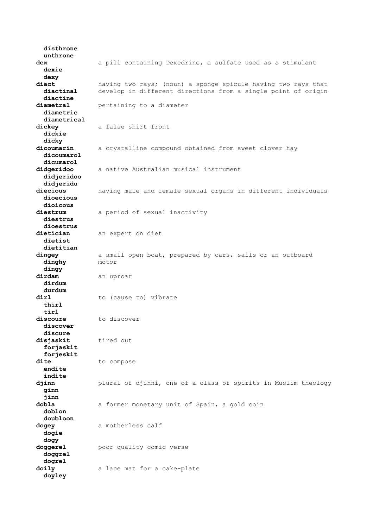**disthrone unthrone dex** a pill containing Dexedrine, a sulfate used as a stimulant  **dexie dexy diact** having two rays; (noun) a sponge spicule having two rays that  **diactinal** develop in different directions from a single point of origin  **diactine diametral** pertaining to a diameter  **diametric diametrical dickey** a false shirt front  **dickie dicky** a crystalline compound obtained from sweet clover hay  **dicoumarol dicumarol didgeridoo** a native Australian musical instrument  **didjeridoo didjeridu diecious** having male and female sexual organs in different individuals  **dioecious dioicous diestrum** a period of sexual inactivity  **diestrus dioestrus dietician** an expert on diet  **dietist dietitian dingey** a small open boat, prepared by oars, sails or an outboard  **dinghy** motor  **dingy** dirdam an uproar  **dirdum durdum** dirl to (cause to) vibrate  **thirl tirl discoure** to discover  **discover discure disjaskit** tired out  **forjaskit forjeskit dite** to compose  **endite indite djinn** plural of djinni, one of a class of spirits in Muslim theology  **ginn jinn dobla** a former monetary unit of Spain, a gold coin  **doblon doubloon dogey** a motherless calf  **dogie dogy doggerel** poor quality comic verse  **doggrel dogrel doily** a lace mat for a cake-plate  **doyley**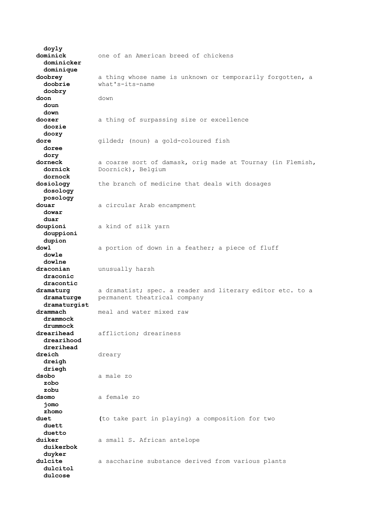**doyly dominick** one of an American breed of chickens  **dominicker dominique doobrey** a thing whose name is unknown or temporarily forgotten, a  **doobrie** what's-its-name  **doobry doon** down  **doun down doozer** a thing of surpassing size or excellence  **doozie doozy dore** gilded; (noun) a gold-coloured fish  **doree dory dorneck** a coarse sort of damask, orig made at Tournay (in Flemish,  **dornick** Doornick), Belgium  **dornock dosiology** the branch of medicine that deals with dosages  **dosology posology douar** a circular Arab encampment  **dowar duar doupioni** a kind of silk yarn  **douppioni dupion dowl** a portion of down in a feather; a piece of fluff  **dowle dowlne draconian** unusually harsh  **draconic dracontic dramaturg** a dramatist; spec. a reader and literary editor etc. to a  **dramaturge** permanent theatrical company  **dramaturgist drammach** meal and water mixed raw  **drammock drummock drearihead** affliction; dreariness  **drearihood drerihead** dreary  **dreigh driegh dsobo** a male zo  **zobo zobu dsomo** a female zo  **jomo zhomo duet (**to take part in playing) a composition for two  **duett duetto** duiker a small S. African antelope  **duikerbok duyker dulcite** a saccharine substance derived from various plants  **dulcitol dulcose**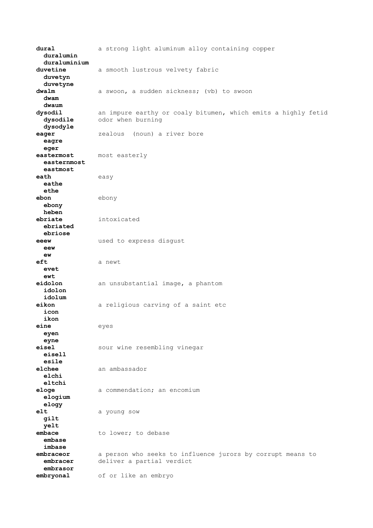**dural** a strong light aluminum alloy containing copper  **duralumin duraluminium duvetine** a smooth lustrous velvety fabric  **duvetyn duvetyne** dwalm a swoon, a sudden sickness; (vb) to swoon  **dwam dwaum dysodil** an impure earthy or coaly bitumen, which emits a highly fetid  **dysodile** odor when burning  **dysodyle eager zealous** (noun) a river bore  **eagre eger eastermost** most easterly  **easternmost eastmost eath** easy  **eathe ethe ebon** ebony  **ebony heben ebriate** intoxicated  **ebriated ebriose eeew** used to express disgust  **eew ew** eft a newt  **evet ewt eidolon** an unsubstantial image, a phantom  **idolon idolum eikon** a religious carving of a saint etc  **icon ikon eine** eyes  **eyen eyne eisel** sour wine resembling vinegar  **eisell esile elchee** an ambassador  **elchi eltchi eloge** a commendation; an encomium  **elogium elogy elt** a young sow  **gilt yelt** embace to lower; to debase  **embase imbase embraceor** a person who seeks to influence jurors by corrupt means to  **embracer** deliver a partial verdict  **embrasor embryonal** of or like an embryo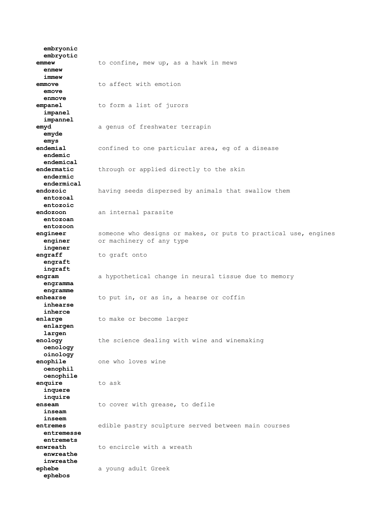**embryonic embryotic emmew** to confine, mew up, as a hawk in mews  **enmew immew emmove** to affect with emotion  **emove enmove empanel** to form a list of jurors  **impanel impannel emyd** a genus of freshwater terrapin  **emyde emys endemial** confined to one particular area, eg of a disease  **endemic endemical endermatic** through or applied directly to the skin  **endermic endermical endozoic** having seeds dispersed by animals that swallow them  **entozoal entozoic endozoon** an internal parasite  **entozoan entozoon engineer** someone who designs or makes, or puts to practical use, engines **enginer** or machinery of any type  **ingener engraff** to graft onto  **engraft ingraft engram** a hypothetical change in neural tissue due to memory  **engramma engramme enhearse** to put in, or as in, a hearse or coffin  **inhearse inherce enlarge** to make or become larger  **enlargen largen enology** the science dealing with wine and winemaking  **oenology oinology enophile** one who loves wine  **oenophil oenophile enquire** to ask  **inquere inquire enseam** to cover with grease, to defile  **inseam inseem entremes** edible pastry sculpture served between main courses  **entremesse entremets enwreath** to encircle with a wreath  **enwreathe inwreathe ephebe** a young adult Greek  **ephebos**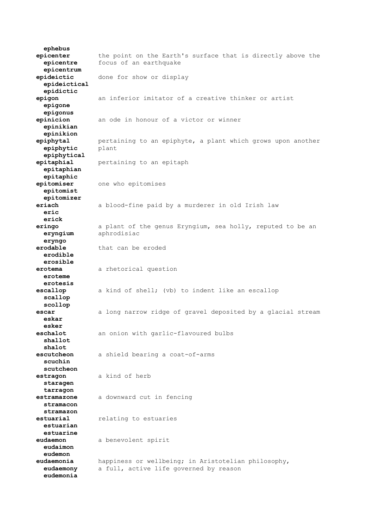**ephebus epicenter** the point on the Earth's surface that is directly above the  **epicentre** focus of an earthquake  **epicentrum epideictic** done for show or display  **epideictical epidictic epigon** an inferior imitator of a creative thinker or artist  **epigone epigonus epinicion** an ode in honour of a victor or winner  **epinikian epinikion epiphytal** pertaining to an epiphyte, a plant which grows upon another  **epiphytic** plant  **epiphytical epitaphial** pertaining to an epitaph  **epitaphian epitaphic epitomiser** one who epitomises  **epitomist epitomizer eriach** a blood-fine paid by a murderer in old Irish law  **eric erick eringo** a plant of the genus Eryngium, sea holly, reputed to be an  **eryngium** aphrodisiac  **eryngo erodable** that can be eroded  **erodible erosible erotema** a rhetorical question  **eroteme erotesis escallop** a kind of shell; (vb) to indent like an escallop  **scallop scollop escar** a long narrow ridge of gravel deposited by a glacial stream  **eskar esker eschalot** an onion with garlic-flavoured bulbs  **shallot shalot escutcheon** a shield bearing a coat-of-arms  **scuchin scutcheon estragon** a kind of herb  **staragen tarragon estramazone** a downward cut in fencing  **stramacon stramazon estuarial** relating to estuaries  **estuarian estuarine eudaemon** a benevolent spirit  **eudaimon eudemon eudaemonia** happiness or wellbeing; in Aristotelian philosophy,  **eudaemony** a full, active life governed by reason  **eudemonia**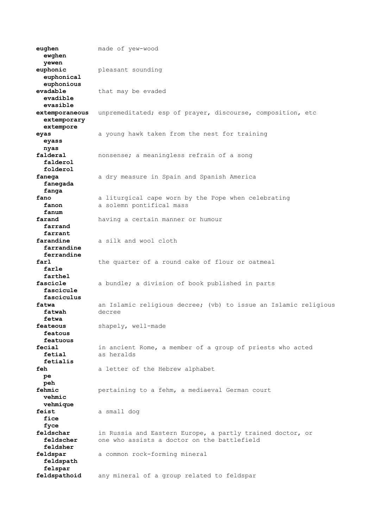**eughen** made of yew-wood  **ewghen yewen euphonic** pleasant sounding  **euphonical euphonious evadable** that may be evaded  **evadible evasible extemporaneous** unpremeditated; esp of prayer, discourse, composition, etc  **extemporary extempore eyas** a young hawk taken from the nest for training  **eyass nyas falderal** nonsense; a meaningless refrain of a song  **falderol folderol fanega** a dry measure in Spain and Spanish America  **fanegada fanga fano** a liturgical cape worn by the Pope when celebrating fanon a solemn pontifical mass  **fanum farand** having a certain manner or humour  **farrand farrant farandine** a silk and wool cloth  **farrandine ferrandine farl** the quarter of a round cake of flour or oatmeal  **farle farthel fascicle** a bundle; a division of book published in parts  **fascicule fasciculus fatwa** an Islamic religious decree; (vb) to issue an Islamic religious  **fatwah** decree  **fetwa feateous** shapely, well-made  **featous featuous fecial** in ancient Rome, a member of a group of priests who acted  **fetial** as heralds  **fetialis feh** a letter of the Hebrew alphabet  **pe peh fehmic** pertaining to a fehm, a mediaeval German court  **vehmic vehmique feist** a small dog  **fice fyce feldschar** in Russia and Eastern Europe, a partly trained doctor, or  **feldscher** one who assists a doctor on the battlefield  **feldsher feldspar** a common rock-forming mineral  **feldspath felspar feldspathoid** any mineral of a group related to feldspar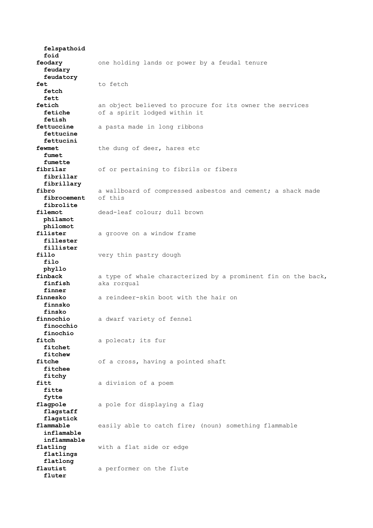**felspathoid foid feodary** one holding lands or power by a feudal tenure  **feudary feudatory** fet to fetch  **fetch fett fetich** an object believed to procure for its owner the services  **fetiche** of a spirit lodged within it  **fetish fettuccine** a pasta made in long ribbons  **fettucine fettucini** the dung of deer, hares etc  **fumet fumette fibrilar** of or pertaining to fibrils or fibers  **fibrillar fibrillary** a wallboard of compressed asbestos and cement; a shack made of this fibrocement  **fibrolite filemot** dead-leaf colour; dull brown  **philamot philomot** filister a groove on a window frame  **fillester fillister** fillo **very** thin pastry dough  **filo phyllo finback** a type of whale characterized by a prominent fin on the back,  **finfish** aka rorqual  **finner finnesko** a reindeer-skin boot with the hair on  **finnsko finsko finnochio** a dwarf variety of fennel  **finocchio finochio fitch** a polecat; its fur  **fitchet fitchew** of a cross, having a pointed shaft  **fitchee fitchy fitt** a division of a poem  **fitte fytte flagpole** a pole for displaying a flag  **flagstaff flagstick flammable** easily able to catch fire; (noun) something flammable  **inflamable inflammable flatling** with a flat side or edge  **flatlings flatlong flautist** a performer on the flute  **fluter**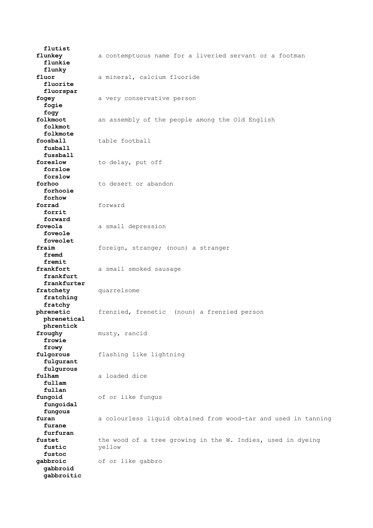**flutist flunkey** a contemptuous name for a liveried servant or a footman  **flunkie flunky fluor** a mineral, calcium fluoride  **fluorite fluorspar fogey** a very conservative person  **fogie fogy folkmoot** an assembly of the people among the Old English  **folkmot folkmote foosball** table football  **fusball fussball foreslow** to delay, put off  **forsloe forslow forhoo** to desert or abandon  **forhooie forhow forrad** forward  **forrit forward foveola** a small depression  **foveole foveolet fraim** foreign, strange; (noun) a stranger  **fremd fremit** frankfort a small smoked sausage  **frankfurt frankfurter** fratchety quarrelsome  **fratching fratchy phrenetic** frenzied, frenetic (noun) a frenzied person  **phrenetical phrentick froughy** musty, rancid  **frowie frowy fulgorous** flashing like lightning  **fulgurant fulgurous fulham** a loaded dice  **fullam fullan fungoid** of or like fungus  **fungoidal fungous furan** a colourless liquid obtained from wood-tar and used in tanning  **furane furfuran** fustet the wood of a tree growing in the W. Indies, used in dyeing  **fustic** yellow  **fustoc gabbroic** of or like gabbro  **gabbroid gabbroitic**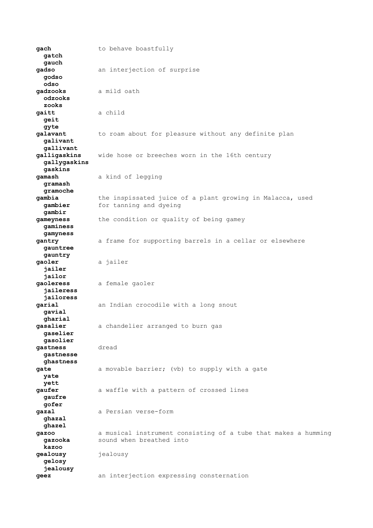**gach** to behave boastfully  **gatch gauch gadso** an interjection of surprise  **godso odso gadzooks** a mild oath  **odzooks zooks gaitt** a child  **geit gyte galavant** to roam about for pleasure without any definite plan  **galivant gallivant galligaskins** wide hose or breeches worn in the 16th century  **gallygaskins gaskins gamash** a kind of legging  **gramash gramoche** the inspissated juice of a plant growing in Malacca, used **gambier** for tanning and dyeing  **gambir gameyness** the condition or quality of being gamey  **gaminess gamyness gantry** a frame for supporting barrels in a cellar or elsewhere  **gauntree gauntry gaoler** a jailer  **jailer jailor gaoleress** a female gaoler  **jaileress jailoress garial** an Indian crocodile with a long snout  **gavial gharial** a chandelier arranged to burn gas  **gaselier gasolier gastness** dread  **gastnesse ghastness gate** a movable barrier; (vb) to supply with a gate  **yate yett gaufer** a waffle with a pattern of crossed lines  **gaufre gofer gazal** a Persian verse-form  **ghazal ghazel gazoo** a musical instrument consisting of a tube that makes a humming gazooka sound when breathed into  **kazoo gealousy** jealousy  **gelosy jealousy geez** an interjection expressing consternation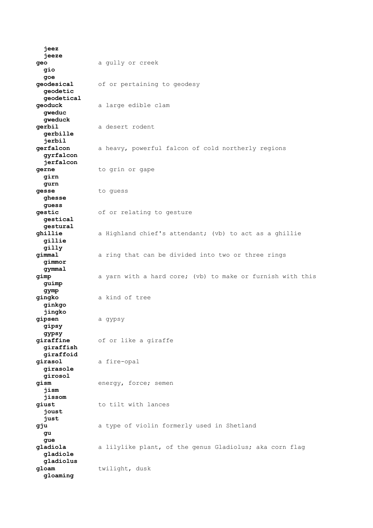**jeez jeeze geo** a gully or creek  **gio goe geodesical** of or pertaining to geodesy  **geodetic geodetical geoduck** a large edible clam  **gweduc gweduck gerbil** a desert rodent  **gerbille jerbil** a heavy, powerful falcon of cold northerly regions  **gyrfalcon jerfalcon gerne** to grin or gape  **girn gurn gesse** to guess  **ghesse guess gestic** of or relating to gesture  **gestical gestural ghillie** a Highland chief's attendant; (vb) to act as a ghillie  **gillie gilly gimmal** a ring that can be divided into two or three rings  **gimmor gymmal gimp** a yarn with a hard core; (vb) to make or furnish with this  **guimp gymp gingko** a kind of tree  **ginkgo jingko gipsen** a gypsy  **gipsy gypsy giraffine** of or like a giraffe  **giraffish giraffoid girasol** a fire-opal  **girasole girosol gism** energy, force; semen  **jism jissom** giust to tilt with lances  **joust just gju** a type of violin formerly used in Shetland  **gu gue gladiola** a lilylike plant, of the genus Gladiolus; aka corn flag  **gladiole gladiolus gloam** twilight, dusk  **gloaming**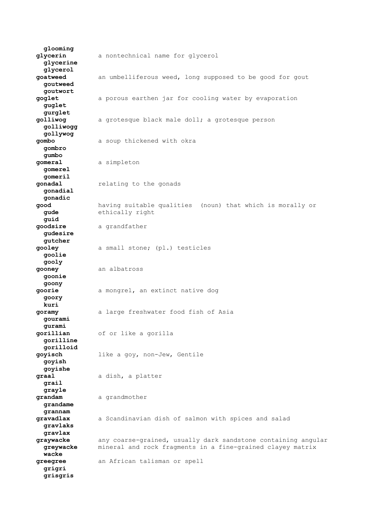**glooming glycerin** a nontechnical name for glycerol  **glycerine glycerol goatweed** an umbelliferous weed, long supposed to be good for gout  **goutweed goutwort goglet** a porous earthen jar for cooling water by evaporation  **guglet gurglet golliwog** a grotesque black male doll; a grotesque person  **golliwogg gollywog gombo** a soup thickened with okra  **gombro gumbo gomeral** a simpleton  **gomerel gomeril gonadal** relating to the gonads  **gonadial gonadic good** having suitable qualities (noun) that which is morally or  **gude** ethically right  **guid goodsire** a grandfather  **gudesire gutcher gooley** a small stone; (pl.) testicles  **goolie gooly gooney** an albatross  **goonie goony goorie** a mongrel, an extinct native dog  **goory kuri goramy** a large freshwater food fish of Asia  **gourami gurami gorillian** of or like a gorilla  **gorilline gorilloid goyisch** like a goy, non-Jew, Gentile  **goyish goyishe graal** a dish, a platter  **grail grayle** grandam a grandmother  **grandame grannam gravadlax** a Scandinavian dish of salmon with spices and salad  **gravlaks gravlax graywacke** any coarse-grained, usually dark sandstone containing angular<br>**greywacke** mineral and rock fragments in a fine-grained clayey matrix  **greywacke** mineral and rock fragments in a fine-grained clayey matrix  **wacke greegree** an African talisman or spell  **grigri grisgris**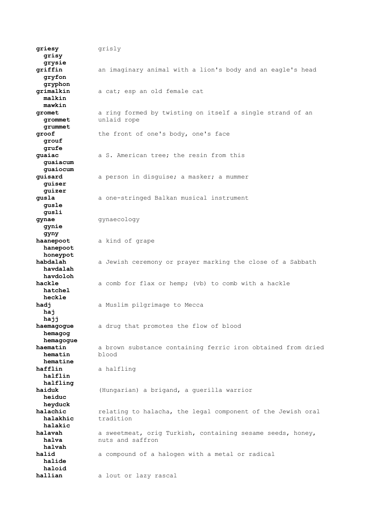**griesy** grisly  **grisy grysie griffin** an imaginary animal with a lion's body and an eagle's head  **gryfon gryphon grimalkin** a cat; esp an old female cat  **malkin mawkin gromet** a ring formed by twisting on itself a single strand of an **grommet** unlaid rope  **grommet** unlaid rope  **grummet** groof the front of one's body, one's face  **grouf grufe guaiac** a S. American tree; the resin from this  **guaiacum guaiocum guisard** a person in disguise; a masker; a mummer  **guiser guizer gusla** a one-stringed Balkan musical instrument  **gusle gusli gynae** gynaecology  **gynie gyny haanepoot** a kind of grape  **hanepoot honeypot habdalah** a Jewish ceremony or prayer marking the close of a Sabbath  **havdalah havdoloh hackle** a comb for flax or hemp; (vb) to comb with a hackle  **hatchel heckle** hadj a Muslim pilgrimage to Mecca  **haj hajj haemagogue** a drug that promotes the flow of blood  **hemagog hemagogue haematin** a brown substance containing ferric iron obtained from dried<br>**hematin** blood **hematin hematine hafflin** a halfling  **halflin halfling haiduk** (Hungarian) a brigand, a guerilla warrior  **heiduc heyduck halachic** relating to halacha, the legal component of the Jewish oral **halakhic** tradition  **halakic halavah** a sweetmeat, orig Turkish, containing sesame seeds, honey, **halva** nuts and saffron  **halvah** halid a compound of a halogen with a metal or radical  **halide haloid hallian** a lout or lazy rascal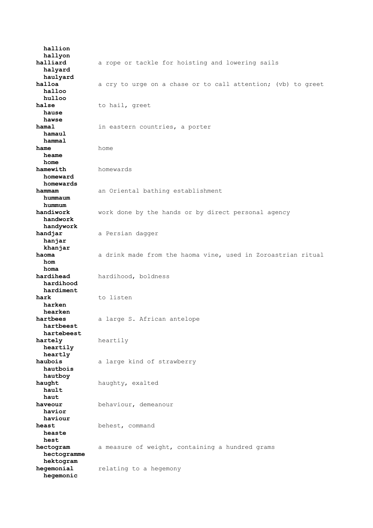**hallion hallyon halliard** a rope or tackle for hoisting and lowering sails  **halyard haulyard halloa** a cry to urge on a chase or to call attention; (vb) to greet  **halloo hulloo** halse to hail, greet  **hause hawse** in eastern countries, a porter  **hamaul hammal hame** home  **heame home hamewith** homewards  **homeward homewards hammam** an Oriental bathing establishment  **hummaum hummum handiwork** work done by the hands or by direct personal agency  **handwork handywork handjar** a Persian dagger  **hanjar khanjar haoma** a drink made from the haoma vine, used in Zoroastrian ritual  **hom homa hardihead** hardihood, boldness  **hardihood hardiment hark** to listen  **harken hearken hartbees** a large S. African antelope  **hartbeest hartebeest hartely** heartily  **heartily heartly haubois** a large kind of strawberry  **hautbois hautboy haught** haughty, exalted  **hault haut haveour** behaviour, demeanour  **havior haviour heast** behest, command  **heaste hest hectogram** a measure of weight, containing a hundred grams  **hectogramme hektogram hegemonial** relating to a hegemony  **hegemonic**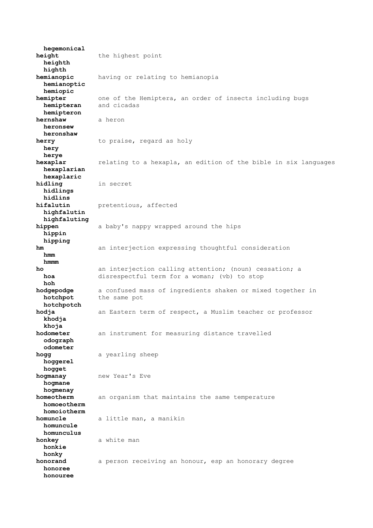**hegemonical height** the highest point  **heighth highth hemianopic** having or relating to hemianopia  **hemianoptic hemiopic hemipter** one of the Hemiptera, an order of insects including bugs  **hemipteran** and cicadas  **hemipteron hernshaw** a heron  **heronsew heronshaw herry** to praise, regard as holy  **hery herye hexaplar** relating to a hexapla, an edition of the bible in six languages  **hexaplarian hexaplaric hidling** in secret  **hidlings hidlins** pretentious, affected  **highfalutin highfaluting hippen** a baby's nappy wrapped around the hips  **hippin hipping hm** an interjection expressing thoughtful consideration  **hmm hmmm ho** an interjection calling attention; (noun) cessation; a **hoa** disrespectful term for a woman; (vb) to stop  **hoh hodgepodge** a confused mass of ingredients shaken or mixed together in **hotchpot** the same pot  **hotchpotch hodja** an Eastern term of respect, a Muslim teacher or professor  **khodja khoja hodometer** an instrument for measuring distance travelled  **odograph odometer hogg** a yearling sheep  **hoggerel hogget hogmanay** new Year's Eve  **hogmane hogmenay homeotherm** an organism that maintains the same temperature  **homoeotherm homoiotherm homuncle** a little man, a manikin  **homuncule homunculus honkey** a white man  **honkie honky honorand** a person receiving an honour, esp an honorary degree  **honoree honouree**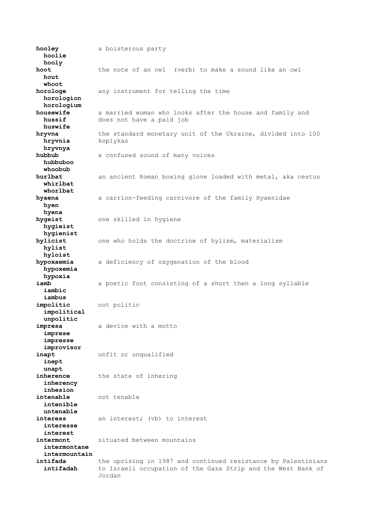**hooley** a boisterous party  **hoolie hooly hoot** the note of an owl (verb) to make a sound like an owl  **hout whoot horologe** any instrument for telling the time  **horologion horologium housewife** a married woman who looks after the house and family and  **hussif** does not have a paid job  **huswife hryvna** the standard monetary unit of the Ukraine, divided into 100  **hryvnia** kopiykas  **hryvnya hubbub** a confused sound of many voices  **hubbuboo whoobub** an ancient Roman boxing glove loaded with metal, aka cestus  **whirlbat whorlbat** a carrion-feeding carnivore of the family Hyaenidae  **hyen hyena hygeist** one skilled in hygiene  **hygieist hygienist hylicist** one who holds the doctrine of hylism, materialism  **hylist hyloist hypoxaemia** a deficiency of oxygenation of the blood  **hypoxemia hypoxia iamb** a poetic foot consisting of a short then a long syllable  **iambic iambus impolitic** not politic  **impolitical unpolitic impresa** a device with a motto  **imprese impresse improvisor inapt** unfit or unqualified  **inept unapt inherence** the state of inhering  **inherency inhesion intenable** not tenable  **intenible untenable interess** an interest; (vb) to interest  **interesse interest intermont** situated between mountains  **intermontane intermountain intifada** the uprising in 1987 and continued resistance by Palestinians  **intifadah** to Israeli occupation of the Gaza Strip and the West Bank of Jordan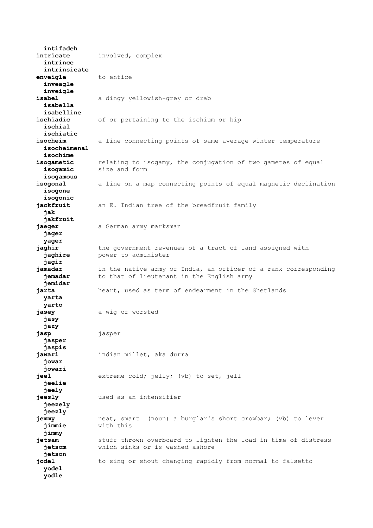**intifadeh intricate** involved, complex  **intrince intrinsicate enveigle** to entice  **inveagle inveigle isabel** a dingy yellowish-grey or drab  **isabella isabelline ischiadic** of or pertaining to the ischium or hip  **ischial ischiatic** isocheim a line connecting points of same average winter temperature  **isocheimenal isochime isogametic** relating to isogamy, the conjugation of two gametes of equal  **isogamic** size and form  **isogamous isogonal** a line on a map connecting points of equal magnetic declination  **isogone isogonic** jackfruit an E. Indian tree of the breadfruit family  **jak jakfruit jaeger** a German army marksman  **jager yager jaghir** the government revenues of a tract of land assigned with **jaghire** power to administer  **jagir jamadar** in the native army of India, an officer of a rank corresponding **jemadar** to that of lieutenant in the English army  **jemidar jarta** heart, used as term of endearment in the Shetlands  **yarta yarto jasey** a wig of worsted  **jasy jazy jasp** jasper  **jasper jaspis jawari** indian millet, aka durra  **jowar jowari jeel** extreme cold; jelly; (vb) to set, jell  **jeelie jeely jeesly** used as an intensifier  **jeezely jeezly jemmy** neat, smart (noun) a burglar's short crowbar; (vb) to lever  **jimmie** with this  **jimmy jetsam** stuff thrown overboard to lighten the load in time of distress  **jetsom** which sinks or is washed ashore  **jetson jodel** to sing or shout changing rapidly from normal to falsetto  **yodel yodle**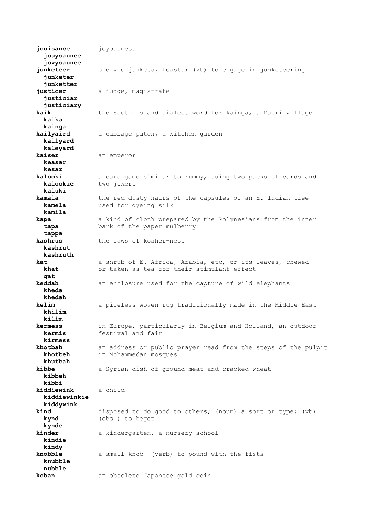**jouisance** joyousness  **jouysaunce jovysaunce junketeer** one who junkets, feasts; (vb) to engage in junketeering  **junketer junketter justicer** a judge, magistrate  **justiciar justiciary kaik** the South Island dialect word for kainga, a Maori village  **kaika kainga kailyaird** a cabbage patch, a kitchen garden  **kailyard kaleyard kaiser** an emperor  **keasar kesar kalooki** a card game similar to rummy, using two packs of cards and **kalookie** two jokers  **kaluki kamala** the red dusty hairs of the capsules of an E. Indian tree  **kamela** used for dyeing silk  **kamila kapa** a kind of cloth prepared by the Polynesians from the inner  **tapa** bark of the paper mulberry  **tappa kashrus** the laws of kosher-ness  **kashrut kashruth kat** a shrub of E. Africa, Arabia, etc, or its leaves, chewed  **khat** or taken as tea for their stimulant effect  **qat keddah** an enclosure used for the capture of wild elephants  **kheda khedah kelim** a pileless woven rug traditionally made in the Middle East  **khilim kilim kermess** in Europe, particularly in Belgium and Holland, an outdoor  **kermis** festival and fair  **kirmess khotbah** an address or public prayer read from the steps of the pulpit **khotbeh** in Mohammedan mosques  **khotbeh** in Mohammedan mosques  **khutbah** a Syrian dish of ground meat and cracked wheat  **kibbeh kibbi kiddiewink** a child  **kiddiewinkie kiddywink kind** disposed to do good to others; (noun) a sort or type; (vb)  **kynd** (obs.) to beget  **kynde kinder** a kindergarten, a nursery school  **kindie kindy knobble** a small knob (verb) to pound with the fists  **knubble nubble koban** an obsolete Japanese gold coin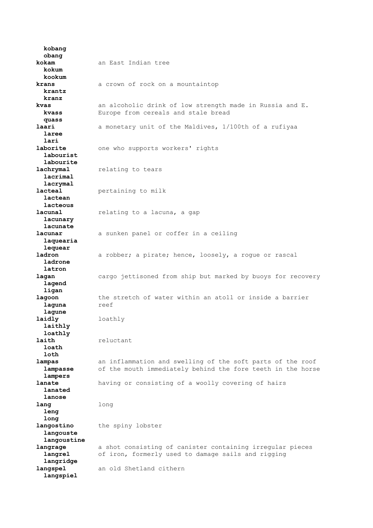**kobang obang kokam** an East Indian tree  **kokum kookum krans** a crown of rock on a mountaintop  **krantz kranz kvas** an alcoholic drink of low strength made in Russia and E. **kvass** Europe from cereals and stale bread  **quass** a monetary unit of the Maldives, 1/100th of a rufiyaa  **laree lari** one who supports workers' rights  **labourist labourite lachrymal** relating to tears  **lacrimal lacrymal lacteal** pertaining to milk  **lactean lacteous lacunal** relating to a lacuna, a gap  **lacunary lacunate lacunar** a sunken panel or coffer in a ceiling  **laquearia lequear ladron** a robber; a pirate; hence, loosely, a roque or rascal  **ladrone latron lagan** cargo jettisoned from ship but marked by buoys for recovery  **lagend ligan lagoon** the stretch of water within an atoll or inside a barrier  **laguna** reef  **lagune laidly** loathly  **laithly loathly laith** reluctant  **loath loth lampas** an inflammation and swelling of the soft parts of the roof  **lampasse** of the mouth immediately behind the fore teeth in the horse  **lampers lanate** having or consisting of a woolly covering of hairs  **lanated lanose lang** long  **leng long langostino** the spiny lobster  **langouste langoustine langrage** a shot consisting of canister containing irregular pieces  **langrel** of iron, formerly used to damage sails and rigging  **langridge langspel** an old Shetland cithern  **langspiel**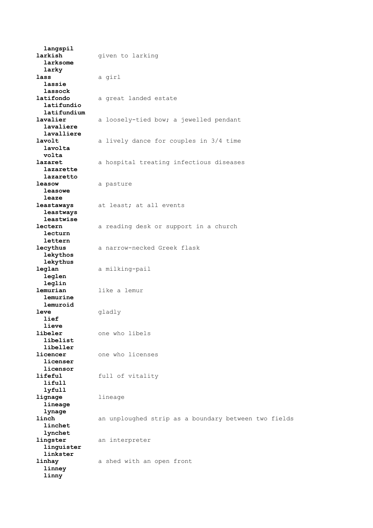**langspil larkish given** to larking  **larksome larky lass** a girl  **lassie lassock latifondo** a great landed estate  **latifundio latifundium lavalier** a loosely-tied bow; a jewelled pendant  **lavaliere lavalliere** a lively dance for couples in 3/4 time  **lavolta volta lazaret** a hospital treating infectious diseases  **lazarette lazaretto leasow** a pasture  **leasowe leaze leastaways** at least; at all events  **leastways leastwise lectern** a reading desk or support in a church  **lecturn lettern lecythus** a narrow-necked Greek flask  **lekythos lekythus leglan** a milking-pail  **leglen leglin lemurian** like a lemur  **lemurine lemuroid leve** gladly  **lief lieve libeler** one who libels  **libelist libeller licencer** one who licenses  **licenser licensor lifeful** full of vitality  **lifull lyfull lignage** lineage  **lineage lynage linch** an unploughed strip as a boundary between two fields  **linchet lynchet lingster** an interpreter  **linguister linkster linhay** a shed with an open front  **linney linny**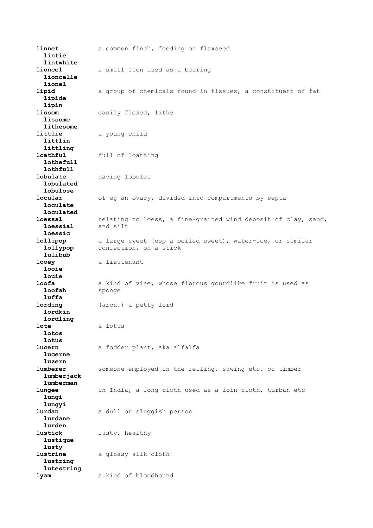**linnet** a common finch, feeding on flaxseed  **lintie lintwhite lioncel** a small lion used as a bearing  **lioncelle lionel lipid** a group of chemicals found in tissues, a constituent of fat  **lipide lipin lissom** easily flexed, lithe  **lissome lithesome littlie** a young child  **littlin littling loathful** full of loathing  **lothefull lothfull lobulate** having lobules  **lobulated lobulose locular** of eg an ovary, divided into compartments by septa  **loculate loculated loessal** relating to loess, a fine-grained wind deposit of clay, sand,  **loessial** and silt  **loessic lollipop** a large sweet (esp a boiled sweet), water-ice, or similar  **lollypop** confection, on a stick  **lulibub looev** a lieutenant  **looie louie loofa** a kind of vine, whose fibrous gourdlike fruit is used as 1oofah sponge  **luffa lording** (arch.) a petty lord  **lordkin lordling lote** a lotus  **lotos lotus** a fodder plant, aka alfalfa  **lucerne luzern** someone employed in the felling, sawing etc. of timber  **lumberjack lumberman lungee** in India, a long cloth used as a loin cloth, turban etc  **lungi lungyi lurdan** a dull or sluggish person  **lurdane lurden lustick** lusty, healthy  **lustique lusty lustrine** a glossy silk cloth  **lustring lutestring lyam** a kind of bloodhound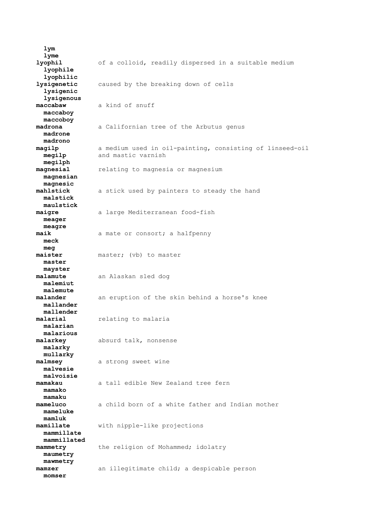**lym lyme lyophil** of a colloid, readily dispersed in a suitable medium  **lyophile lyophilic lysigenetic** caused by the breaking down of cells  **lysigenic lysigenous maccabaw** a kind of snuff  **maccaboy maccoboy madrona** a Californian tree of the Arbutus genus  **madrone madrono magilp** a medium used in oil-painting, consisting of linseed-oil **megilp** and mastic varnish  **megilph magnesial** relating to magnesia or magnesium  **magnesian magnesic mahlstick** a stick used by painters to steady the hand  **malstick maulstick maigre** a large Mediterranean food-fish  **meager meagre maik** a mate or consort; a halfpenny  **meck meg maister** master; (vb) to master  **master mayster malamute** an Alaskan sled dog  **malemiut malemute malander** an eruption of the skin behind a horse's knee  **mallander mallender malarial** relating to malaria  **malarian malarious malarkey** absurd talk, nonsense  **malarky mullarky malmsey** a strong sweet wine  **malvesie malvoisie mamakau** a tall edible New Zealand tree fern  **mamako mamaku mameluco** a child born of a white father and Indian mother  **mameluke mamluk mamillate** with nipple-like projections  **mammillate mammillated mammetry** the religion of Mohammed; idolatry  **maumetry mawmetry mamzer** an illegitimate child; a despicable person  **momser**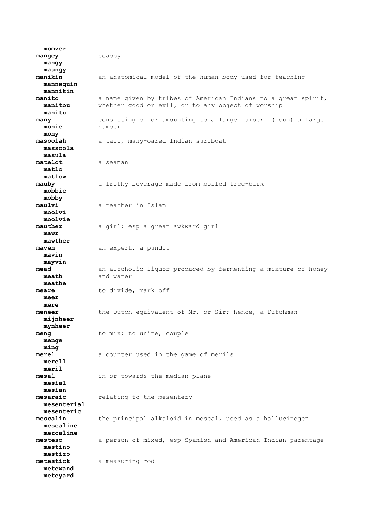**momzer mangey** scabby  **mangy maungy manikin** an anatomical model of the human body used for teaching  **mannequin mannikin manito** a name given by tribes of American Indians to a great spirit,  **manitou** whether good or evil, or to any object of worship  **manitu many** consisting of or amounting to a large number (noun) a large  **monie** number  **mony masoolah** a tall, many-oared Indian surfboat  **massoola masula matelot** a seaman  **matlo matlow mauby** a frothy beverage made from boiled tree-bark  **mobbie mobby maulvi** a teacher in Islam  **moolvi moolvie mauther** a girl; esp a great awkward girl  **mawr mawther maven** an expert, a pundit  **mavin mayvin mead** an alcoholic liquor produced by fermenting a mixture of honey  **meath** and water  **meathe meare** to divide, mark off  **meer mere meneer** the Dutch equivalent of Mr. or Sir; hence, a Dutchman  **mijnheer mynheer meng** to mix; to unite, couple  **menge ming merel** a counter used in the game of merils  **merell meril mesal** in or towards the median plane  **mesial mesian mesaraic** relating to the mesentery  **mesenterial mesenteric mescalin** the principal alkaloid in mescal, used as a hallucinogen  **mescaline mezcaline mesteso** a person of mixed, esp Spanish and American-Indian parentage  **mestino mestizo metestick** a measuring rod  **metewand meteyard**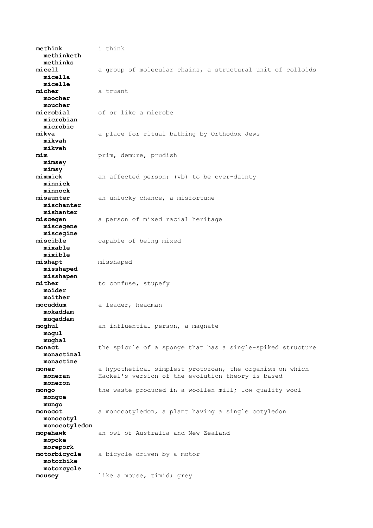**methink** i think  **methinketh methinks micell** a group of molecular chains, a structural unit of colloids  **micella micelle micher** a truant  **moocher moucher microbial** of or like a microbe  **microbian microbic mikva** a place for ritual bathing by Orthodox Jews  **mikvah mikveh mim** prim, demure, prudish  **mimsey mimsy** an affected person; (vb) to be over-dainty  **minnick minnock misaunter** an unlucky chance, a misfortune  **mischanter mishanter miscegen** a person of mixed racial heritage  **miscegene miscegine miscible** capable of being mixed  **mixable mixible mishapt** misshaped  **misshaped misshapen** mither to confuse, stupefy  **moider moither** a leader, headman  **mokaddam muqaddam** an influential person, a magnate  **mogul mughal monact** the spicule of a sponge that has a single-spiked structure  **monactinal monactine moner** a hypothetical simplest protozoan, the organism on which  **moneran** Hackel's version of the evolution theory is based  **moneron mongo** the waste produced in a woollen mill; low quality wool  **mongoe mungo monocot** a monocotyledon, a plant having a single cotyledon  **monocotyl monocotyledon mopehawk** an owl of Australia and New Zealand  **mopoke morepork motorbicycle** a bicycle driven by a motor  **motorbike motorcycle mousey** like a mouse, timid; grey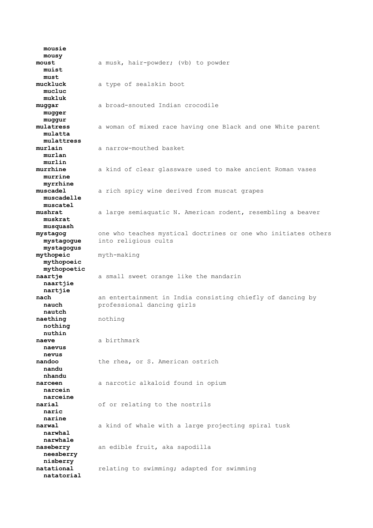**mousie mousy moust** a musk, hair-powder; (vb) to powder  **muist must muckluck** a type of sealskin boot  **mucluc mukluk muggar** a broad-snouted Indian crocodile  **mugger muggur mulatress** a woman of mixed race having one Black and one White parent  **mulatta mulattress murlain** a narrow-mouthed basket  **murlan murlin murrhine** a kind of clear glassware used to make ancient Roman vases  **murrine myrrhine muscadel** a rich spicy wine derived from muscat grapes  **muscadelle muscatel mushrat** a large semiaquatic N. American rodent, resembling a beaver  **muskrat musquash mystagog** one who teaches mystical doctrines or one who initiates others  **mystagogue** into religious cults  **mystagogus mythopeic** myth-making  **mythopoeic mythopoetic naartje** a small sweet orange like the mandarin  **naartjie nartjie nach** an entertainment in India consisting chiefly of dancing by  **nauch** professional dancing girls  **nautch naething** nothing  **nothing nuthin naeve** a birthmark  **naevus nevus nandoo** the rhea, or S. American ostrich  **nandu nhandu** narceen a narcotic alkaloid found in opium  **narcein narceine narial** of or relating to the nostrils  **naric narine narwal** a kind of whale with a large projecting spiral tusk  **narwhal narwhale naseberry** an edible fruit, aka sapodilla  **neesberry nisberry natational** relating to swimming; adapted for swimming  **natatorial**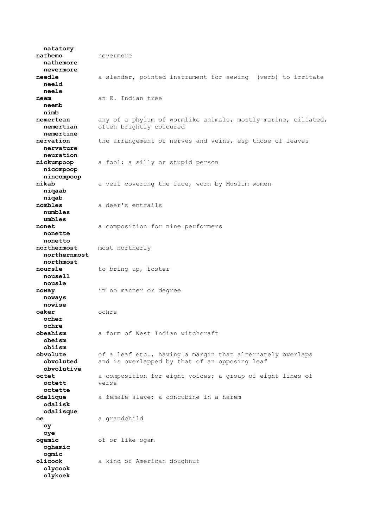**natatory nathemo** nevermore  **nathemore nevermore needle** a slender, pointed instrument for sewing (verb) to irritate  **neeld neele neem** an E. Indian tree  **neemb nimb nemertean** any of a phylum of wormlike animals, mostly marine, ciliated,  **nemertian** often brightly coloured  **nemertine nervation** the arrangement of nerves and veins, esp those of leaves  **nervature neuration nickumpoop** a fool; a silly or stupid person  **nicompoop nincompoop nikab** a veil covering the face, worn by Muslim women  **niqaab niqab nombles** a deer's entrails  **numbles umbles nonet** a composition for nine performers  **nonette nonetto northermost** most northerly  **northernmost northmost noursle** to bring up, foster  **nousell nousle noway** in no manner or degree  **noways nowise oaker** ochre  **ocher ochre obeahism** a form of West Indian witchcraft  **obeism obiism ovolute** of a leaf etc., having a margin that alternately overlaps<br> **obvoluted** and is overlapped by that of an opposing leaf and is overlapped by that of an opposing leaf  **obvolutive octet** a composition for eight voices; a group of eight lines of  **octett** verse  **octette odalique** a female slave; a concubine in a harem  **odalisk odalisque oe** a grandchild  **oy oye ogamic** of or like ogam  **oghamic ogmic olicook** a kind of American doughnut  **olycook olykoek**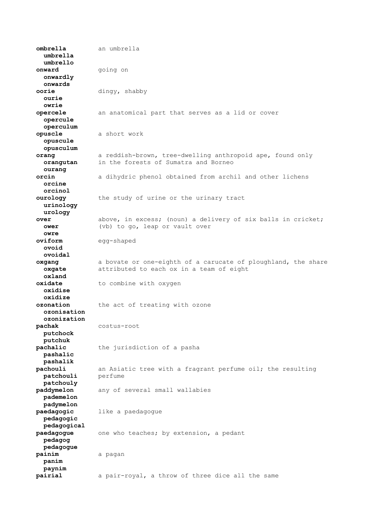**ombrella** an umbrella  **umbrella umbrello onward** going on  **onwardly onwards oorie** dingy, shabby  **ourie owrie opercele** an anatomical part that serves as a lid or cover  **opercule operculum opuscle** a short work  **opuscule opusculum orang** a reddish-brown, tree-dwelling anthropoid ape, found only  **orangutan** in the forests of Sumatra and Borneo  **ourang orcin** a dihydric phenol obtained from archil and other lichens  **orcine orcinol ourology** the study of urine or the urinary tract  **urinology urology over** above, in excess; (noun) a delivery of six balls in cricket;  **ower** (vb) to go, leap or vault over  **owre oviform** egg-shaped  **ovoid ovoidal oxgang** a bovate or one-eighth of a carucate of ploughland, the share **oxgate** attributed to each ox in a team of eight  **oxland oxidate** to combine with oxygen  **oxidise oxidize ozonation** the act of treating with ozone  **ozonisation ozonization pachak** costus-root  **putchock putchuk pachalic** the jurisdiction of a pasha  **pashalic pashalik pachouli** an Asiatic tree with a fragrant perfume oil; the resulting  **patchouli** perfume  **patchouly paddymelon** any of several small wallabies  **pademelon padymelon paedagogic** like a paedagogue  **pedagogic pedagogical paedagogue** one who teaches; by extension, a pedant  **pedagog pedagogue painim** a pagan  **panim paynim pairial** a pair-royal, a throw of three dice all the same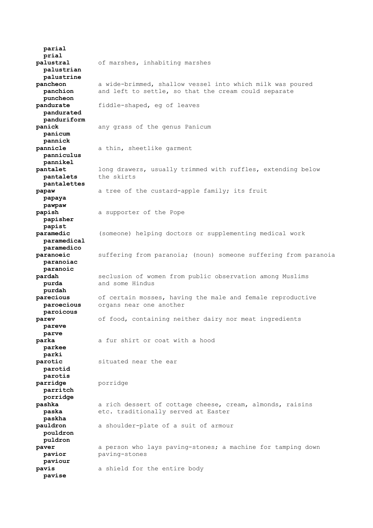**parial prial palustral** of marshes, inhabiting marshes  **palustrian palustrine pancheon** a wide-brimmed, shallow vessel into which milk was poured  **panchion** and left to settle, so that the cream could separate  **puncheon pandurate** fiddle-shaped, eg of leaves  **pandurated panduriform panick** any grass of the genus Panicum  **panicum pannick pannicle** a thin, sheetlike garment  **panniculus pannikel pantalet** long drawers, usually trimmed with ruffles, extending below  **pantalets** the skirts  **pantalettes papaw** a tree of the custard-apple family; its fruit  **papaya pawpaw papish** a supporter of the Pope  **papisher papist paramedic** (someone) helping doctors or supplementing medical work  **paramedical paramedico paranoeic** suffering from paranoia; (noun) someone suffering from paranoia  **paranoiac paranoic pardah** seclusion of women from public observation among Muslims **purda** and some Hindus  **purdah parecious** of certain mosses, having the male and female reproductive  **paroecious** organs near one another  **paroicous parev** of food, containing neither dairy nor meat ingredients  **pareve parve parka** a fur shirt or coat with a hood  **parkee parki parotic** situated near the ear  **parotid parotis parridge** porridge  **parritch porridge pashka** a rich dessert of cottage cheese, cream, almonds, raisins  **paska** etc. traditionally served at Easter  **paskha pauldron** a shoulder-plate of a suit of armour  **pouldron puldron paver** a person who lays paving-stones; a machine for tamping down  **pavior** paving-stones  **paviour pavis** a shield for the entire body  **pavise**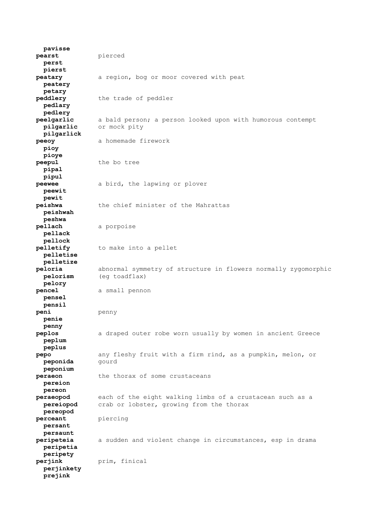**pavisse pearst** pierced  **perst pierst peatary** a region, bog or moor covered with peat  **peatery petary peddlery** the trade of peddler  **pedlary pedlery peelgarlic** a bald person; a person looked upon with humorous contempt or mock pity  **pilgarlick peeoy** a homemade firework  **pioy pioye peepul** the bo tree  **pipal pipul peewee** a bird, the lapwing or plover  **peewit pewit peishwa** the chief minister of the Mahrattas  **peishwah peshwa pellach** a porpoise  **pellack pellock pelletify** to make into a pellet  **pelletise pelletize peloria** abnormal symmetry of structure in flowers normally zygomorphic  **pelorism** (eg toadflax)  **pelory pencel** a small pennon  **pensel pensil peni** penny  **penie penny peplos** a draped outer robe worn usually by women in ancient Greece  **peplum peplus pepo** any fleshy fruit with a firm rind, as a pumpkin, melon, or **peponida** gourd  **peponium peraeon** the thorax of some crustaceans  **pereion pereon peraeopod** each of the eight walking limbs of a crustacean such as a  **pereiopod** crab or lobster, growing from the thorax  **pereopod perceant** piercing  **persant persaunt peripeteia** a sudden and violent change in circumstances, esp in drama  **peripetia peripety perjink** prim, finical  **perjinkety prejink**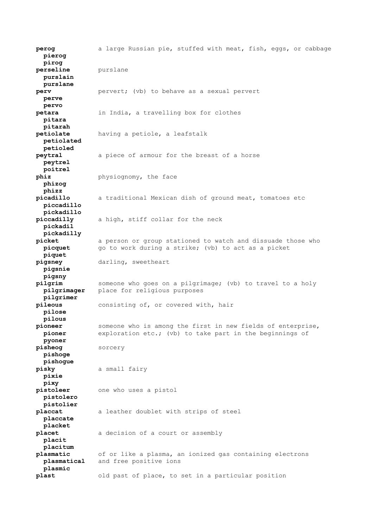**perog** a large Russian pie, stuffed with meat, fish, eggs, or cabbage  **pierog pirog perseline** purslane  **purslain purslane perv pervert;** (vb) to behave as a sexual pervert  **perve pervo petara** in India, a travelling box for clothes  **pitara pitarah petiolate** having a petiole, a leafstalk  **petiolated petioled peytral** a piece of armour for the breast of a horse  **peytrel poitrel phiz** physiognomy, the face  **phizog phizz picadillo** a traditional Mexican dish of ground meat, tomatoes etc  **piccadillo pickadillo piccadilly** a high, stiff collar for the neck  **pickadil pickadilly picket** a person or group stationed to watch and dissuade those who **picquet** go to work during a strike; (vb) to act as a picket  **piquet pigsney** darling, sweetheart  **pigsnie pigsny pilgrim** someone who goes on a pilgrimage; (vb) to travel to a holy  **pilgrimager** place for religious purposes  **pilgrimer pileous** consisting of, or covered with, hair  **pilose pilous** someone who is among the first in new fields of enterprise,  **pioner** exploration etc.; (vb) to take part in the beginnings of  **pyoner pisheog** sorcery  **pishoge pishogue pisky** a small fairy  **pixie pixy pistoleer** one who uses a pistol  **pistolero pistolier placcat** a leather doublet with strips of steel  **placcate placket placet** a decision of a court or assembly  **placit placitum plasmatic** of or like a plasma, an ionized gas containing electrons  **plasmatical** and free positive ions  **plasmic plast** old past of place, to set in a particular position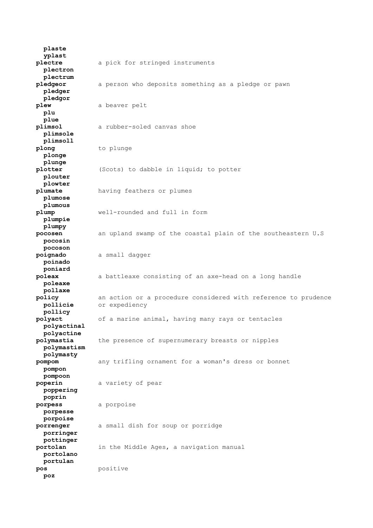**plaste yplast plectre** a pick for stringed instruments  **plectron plectrum pledgeor** a person who deposits something as a pledge or pawn  **pledger pledgor plew** a beaver pelt  **plu plue plimsol** a rubber-soled canvas shoe  **plimsole plimsoll** plong to plunge  **plonge plunge plotter** (Scots) to dabble in liquid; to potter  **plouter plowter plumate** having feathers or plumes  **plumose plumous plump** well-rounded and full in form  **plumpie plumpy pocosen** an upland swamp of the coastal plain of the southeastern U.S  **pocosin pocoson poignado** a small dagger  **poinado poniard poleax** a battleaxe consisting of an axe-head on a long handle  **poleaxe pollaxe policy** an action or a procedure considered with reference to prudence  **pollicie** or expediency  **pollicy polyact** of a marine animal, having many rays or tentacles  **polyactinal polyactine polymastia** the presence of supernumerary breasts or nipples  **polymastism polymasty pompom** any trifling ornament for a woman's dress or bonnet  **pompon pompoon poperin** a variety of pear  **poppering poprin porpess** a porpoise  **porpesse porpoise porrenger** a small dish for soup or porridge  **porringer pottinger portolan** in the Middle Ages, a navigation manual  **portolano portulan pos** positive  **poz**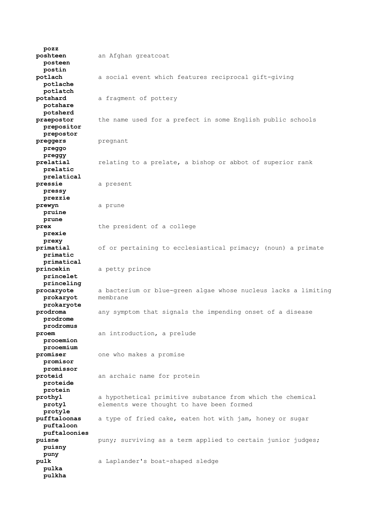**pozz poshteen** an Afghan greatcoat  **posteen postin potlach** a social event which features reciprocal gift-giving  **potlache potlatch potshard** a fragment of pottery  **potshare potsherd praepostor** the name used for a prefect in some English public schools  **prepositor prepostor preggers** pregnant  **preggo preggy prelatial** relating to a prelate, a bishop or abbot of superior rank  **prelatic prelatical pressie** a present  **pressy prezzie prewyn** a prune  **pruine prune prex** the president of a college  **prexie prexy primatial** of or pertaining to ecclesiastical primacy; (noun) a primate  **primatic primatical princekin** a petty prince  **princelet princeling procaryote** a bacterium or blue-green algae whose nucleus lacks a limiting  **prokaryot** membrane  **prokaryote prodroma** any symptom that signals the impending onset of a disease  **prodrome prodromus proem** an introduction, a prelude  **prooemion prooemium promiser** one who makes a promise  **promisor promissor proteid** an archaic name for protein  **proteide protein prothyl** a hypothetical primitive substance from which the chemical  **protyl** elements were thought to have been formed  **protyle pufftaloonas** a type of fried cake, eaten hot with jam, honey or sugar  **puftaloon puftaloonies puisne puny;** surviving as a term applied to certain junior judges;  **puisny puny pulk** a Laplander's boat-shaped sledge  **pulka pulkha**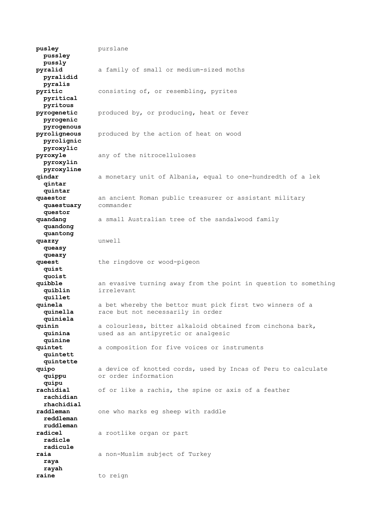**pusley** purslane  **pussley pussly pyralid** a family of small or medium-sized moths  **pyralidid pyralis pyritic** consisting of, or resembling, pyrites  **pyritical pyritous pyrogenetic** produced by, or producing, heat or fever  **pyrogenic pyrogenous** produced by the action of heat on wood  **pyrolignic pyroxylic pyroxyle** any of the nitrocelluloses  **pyroxylin pyroxyline qindar** a monetary unit of Albania, equal to one-hundredth of a lek  **qintar quintar quaestor** an ancient Roman public treasurer or assistant military  **quaestuary** commander  **questor quandang** a small Australian tree of the sandalwood family  **quandong quantong quazzy** unwell  **queasy queazy queest** the ringdove or wood-pigeon  **quist quoist quibble** an evasive turning away from the point in question to something  **quiblin** irrelevant  **quillet quinela** a bet whereby the bettor must pick first two winners of a<br>**quinella** race but not necessarily in order race but not necessarily in order  **quiniela quinin** a colourless, bitter alkaloid obtained from cinchona bark,  **quinina** used as an antipyretic or analgesic  **quinine quintet** a composition for five voices or instruments  **quintett quintette quipo** a device of knotted cords, used by Incas of Peru to calculate  **quippu** or order information  **quipu rachidial** of or like a rachis, the spine or axis of a feather  **rachidian rhachidial raddleman** one who marks eg sheep with raddle  **reddleman ruddleman radicel** a rootlike organ or part  **radicle radicule raia** a non-Muslim subject of Turkey  **raya rayah raine** to reign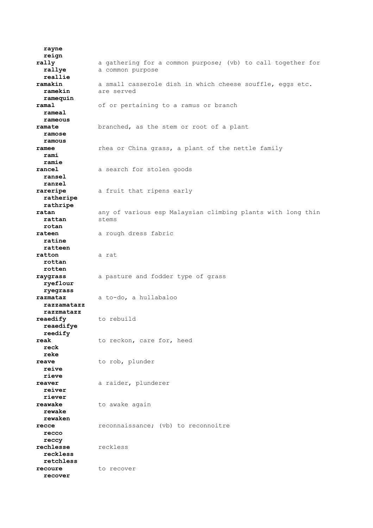**rayne reign rally** a gathering for a common purpose; (vb) to call together for **rallye** a common purpose  **reallie ramakin** a small casserole dish in which cheese souffle, eggs etc.  **ramekin** are served  **ramequin ramal** of or pertaining to a ramus or branch  **rameal rameous ramate** branched, as the stem or root of a plant  **ramose ramous** ramee **ramee** rhea or China grass, a plant of the nettle family  **rami ramie rancel** a search for stolen goods  **ransel ranzel rareripe** a fruit that ripens early  **ratheripe rathripe ratan** any of various esp Malaysian climbing plants with long thin  **rattan** stems  **rotan rateen** a rough dress fabric  **ratine ratteen ratton** a rat  **rottan rotten raygrass** a pasture and fodder type of grass  **ryeflour ryegrass razmataz** a to-do, a hullabaloo  **razzamatazz razzmatazz reaedify** to rebuild  **reaedifye reedify reak** to reckon, care for, heed  **reck reke reave** to rob, plunder  **reive rieve reaver** a raider, plunderer  **reiver riever reawake** to awake again  **rewake rewaken recce** reconnaissance; (vb) to reconnoitre  **recco reccy rechlesse** reckless  **reckless retchless recoure** to recover  **recover**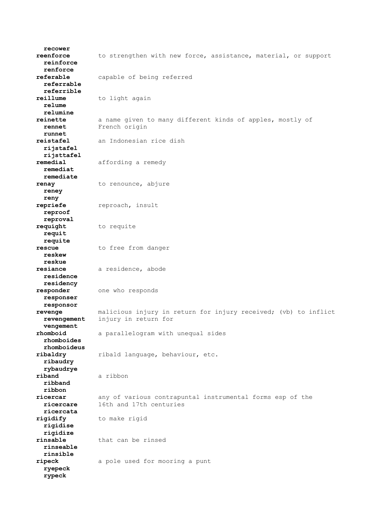**recower reenforce** to strengthen with new force, assistance, material, or support  **reinforce renforce referable** capable of being referred  **referrable referrible reillume** to light again  **relume relumine reinette** a name given to many different kinds of apples, mostly of  **rennet** French origin  **runnet reistafel** an Indonesian rice dish  **rijstafel rijsttafel remedial** affording a remedy  **remediat remediate renay** to renounce, abjure  **reney reny repriefe** reproach, insult  **reproof reproval requight** to requite  **requit requite rescue** to free from danger  **reskew reskue resiance** a residence, abode  **residence residency responder** one who responds  **responser responsor revenge** malicious injury in return for injury received; (vb) to inflict  **revengement** injury in return for  **vengement rhomboid** a parallelogram with unequal sides  **rhomboides rhomboideus ribaldry** ribald language, behaviour, etc.  **ribaudry rybaudrye riband** a ribbon  **ribband ribbon ricercar** any of various contrapuntal instrumental forms esp of the  **ricercare** 16th and 17th centuries  **ricercata rigidify** to make rigid  **rigidise rigidize rinsable** that can be rinsed  **rinseable rinsible ripeck** a pole used for mooring a punt  **ryepeck rypeck**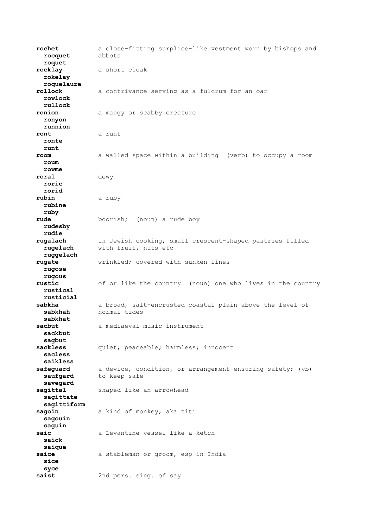**rochet** a close-fitting surplice-like vestment worn by bishops and  **rocquet** abbots  **roquet rocklay** a short cloak  **rokelay roquelaure rollock** a contrivance serving as a fulcrum for an oar  **rowlock rullock ronion** a mangy or scabby creature  **ronyon runnion ront** a runt  **ronte runt room** a walled space within a building (verb) to occupy a room  **roum rowme roral** dewy  **roric rorid rubin** a ruby  **rubine ruby rude** boorish; (noun) a rude boy  **rudesby rudie rugalach** in Jewish cooking, small crescent-shaped pastries filled  **rugelach** with fruit, nuts etc  **ruggelach rugate** wrinkled; covered with sunken lines  **rugose rugous rustic** of or like the country (noun) one who lives in the country  **rustical rusticial** sabkha a broad, salt-encrusted coastal plain above the level of  **sabkhah** normal tides  **sabkhat** a mediaeval music instrument  **sackbut sagbut sackless** quiet; peaceable; harmless; innocent  **sacless saikless safequard** a device, condition, or arrangement ensuring safety; (vb) saufgard to keep safe  **savegard** sagittal shaped like an arrowhead  **sagittate sagittiform sagoin** a kind of monkey, aka titi  **sagouin saguin saic** a Levantine vessel like a ketch  **saick saique** saice a stableman or groom, esp in India  **sice syce saist** 2nd pers. sing. of say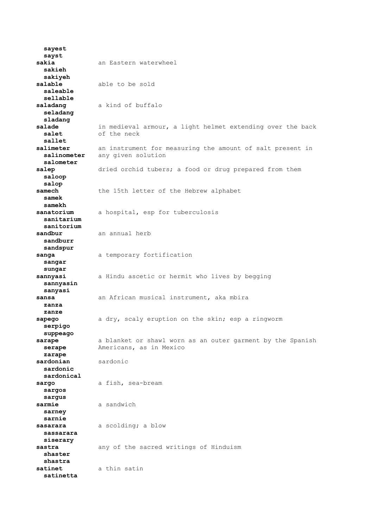**sayest sayst sakia** an Eastern waterwheel  **sakieh sakiyeh salable** able to be sold  **saleable sellable saladang** a kind of buffalo  **seladang sladang salade** in medieval armour, a light helmet extending over the back  **salet** of the neck  **sallet salimeter** an instrument for measuring the amount of salt present in  **salinometer** any given solution  **salometer salep** dried orchid tubers; a food or drug prepared from them  **saloop salop** samech the 15th letter of the Hebrew alphabet  **samek samekh** sanatorium a hospital, esp for tuberculosis  **sanitarium sanitorium** sandbur an annual herb  **sandburr sandspur** sanga a temporary fortification  **sangar sungar sannyasi** a Hindu ascetic or hermit who lives by begging  **sannyasin sanyasi sansa** an African musical instrument, aka mbira  **zanza zanze sapego** a dry, scaly eruption on the skin; esp a ringworm  **serpigo suppeago sarape** a blanket or shawl worn as an outer garment by the Spanish  **serape** Americans, as in Mexico  **zarape sardonian** sardonic  **sardonic sardonical** sargo a fish, sea-bream  **sargos sargus** sarmie a sandwich  **sarney sarnie sasarara** a scolding; a blow  **sassarara siserary sastra** any of the sacred writings of Hinduism  **shaster shastra satinet** a thin satin  **satinetta**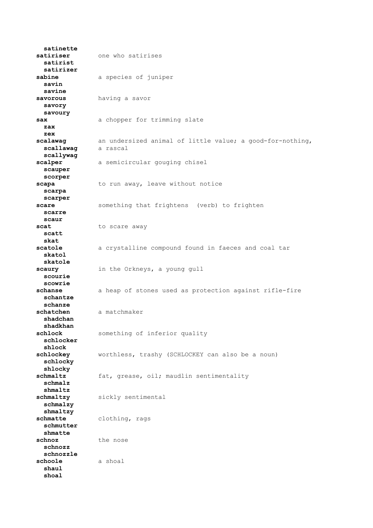**satinette satiriser** one who satirises  **satirist satirizer sabine** a species of juniper  **savin savine savorous** having a savor  **savory savoury** sax a chopper for trimming slate  **zax zex scalawag** an undersized animal of little value; a good-for-nothing,<br>scallawag a rascal  $scal$ awaq  **scallywag scalper** a semicircular gouging chisel  **scauper scorper** scapa to run away, leave without notice  **scarpa scarper scare** something that frightens (verb) to frighten  **scarre scaur** scat to scare away  **scatt skat scatole** a crystalline compound found in faeces and coal tar  **skatol skatole scaury** in the Orkneys, a young gull  **scourie scowrie schanse** a heap of stones used as protection against rifle-fire  **schantze schanze schatchen** a matchmaker  **shadchan shadkhan** something of inferior quality  **schlocker shlock schlockey** worthless, trashy (SCHLOCKEY can also be a noun)  **schlocky shlocky** schmaltz fat, grease, oil; maudlin sentimentality  **schmalz shmaltz** schmaltzy sickly sentimental  **schmalzy shmaltzy schmatte** clothing, rags  **schmutter shmatte schnoz** the nose  **schnozz schnozzle schoole** a shoal  **shaul shoal**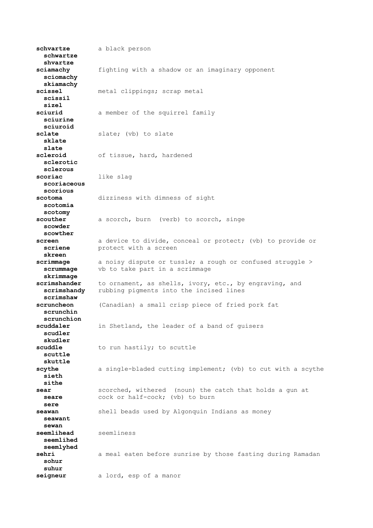**schvartze** a black person  **schwartze shvartze sciamachy** fighting with a shadow or an imaginary opponent  **sciomachy skiamachy scissel** metal clippings; scrap metal  **scissil sizel sciurid** a member of the squirrel family  **sciurine sciuroid sclate** slate; (vb) to slate  **sklate slate scleroid** of tissue, hard, hardened  **sclerotic sclerous scoriac** like slag  **scoriaceous scorious scotoma** dizziness with dimness of sight  **scotomia scotomy scouther** a scorch, burn (verb) to scorch, singe  **scowder scowther screen** a device to divide, conceal or protect; (vb) to provide or **scriene protect** with a screen  **skreen scrimmage** a noisy dispute or tussle; a rough or confused struggle >  **scrummage** vb to take part in a scrimmage  **skrimmage scrimshander** to ornament, as shells, ivory, etc., by engraving, and  **scrimshandy** rubbing pigments into the incised lines  **scrimshaw scruncheon** (Canadian) a small crisp piece of fried pork fat  **scrunchin scrunchion** in Shetland, the leader of a band of guisers  **scudler skudler** to run hastily; to scuttle  **scuttle skuttle** scythe a single-bladed cutting implement; (vb) to cut with a scythe  **sieth sithe sear** scorched, withered (noun) the catch that holds a gun at **seare cock or half-cock;** (vb) to burn  **sere seawan** shell beads used by Algonquin Indians as money  **seawant sewan seemlihead** seemliness  **seemlihed seemlyhed sehri** a meal eaten before sunrise by those fasting during Ramadan  **sohur suhur seigneur** a lord, esp of a manor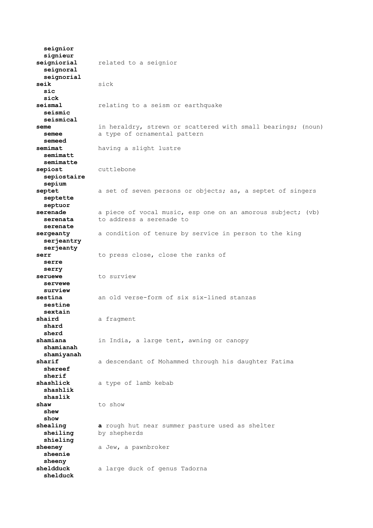**seignior signieur seigniorial** related to a seignior  **seignoral seignorial seik** sick  **sic sick seismal** relating to a seism or earthquake  **seismic seismical seme** in heraldry, strewn or scattered with small bearings; (noun) **semee** a type of ornamental pattern  **semeed semimat** having a slight lustre  **semimatt semimatte sepiost** cuttlebone  **sepiostaire sepium septet** a set of seven persons or objects; as, a septet of singers  **septette septuor serenade** a piece of vocal music, esp one on an amorous subject; (vb)  **serenata** to address a serenade to  **serenate sergeanty** a condition of tenure by service in person to the king  **serjeantry serjeanty serr** to press close, close the ranks of  **serre serry** seruewe to surview  **servewe surview sestina** an old verse-form of six six-lined stanzas  **sestine sextain shaird** a fragment  **shard sherd** in India, a large tent, awning or canopy  **shamianah shamiyanah sharif** a descendant of Mohammed through his daughter Fatima  **shereef sherif shashlick** a type of lamb kebab  **shashlik shaslik** shaw to show  **shew show shealing a** rough hut near summer pasture used as shelter **sheiling** by shepherds  **shieling** sheeney a Jew, a pawnbroker  **sheenie sheeny sheldduck** a large duck of genus Tadorna  **shelduck**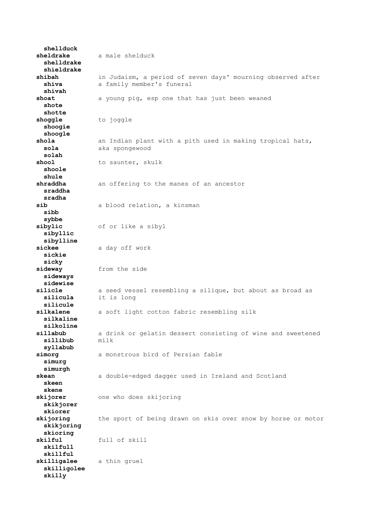**shellduck sheldrake** a male shelduck  **shelldrake shieldrake shibah** in Judaism, a period of seven days' mourning observed after **shiva** a family member's funeral  **shivah shoat** a young pig, esp one that has just been weaned  **shote shotte** shoggle to joggle  **shoogie shoogle** an Indian plant with a pith used in making tropical hats,  **sola** aka spongewood  **solah** shool to saunter, skulk  **shoole shule** an offering to the manes of an ancestor  **sraddha sradha sib** a blood relation, a kinsman  **sibb sybbe sibylic** of or like a sibyl  **sibyllic sibylline sickee** a day off work  **sickie sicky sideway** from the side  **sideways sidewise silicle** a seed vessel resembling a silique, but about as broad as  **silicula** it is long  **silicule silkalene** a soft light cotton fabric resembling silk  **silkaline silkoline sillabub** a drink or gelatin dessert consisting of wine and sweetened  $s$ illibub  **syllabub simorg** a monstrous bird of Persian fable  **simurg simurgh skean** a double-edged dagger used in Ireland and Scotland  **skeen skene skijorer** one who does skijoring  **skikjorer skiorer skijoring** the sport of being drawn on skis over snow by horse or motor  **skikjoring skioring skilful** full of skill  **skilfull skillful skilligalee** a thin gruel  **skilligolee skilly**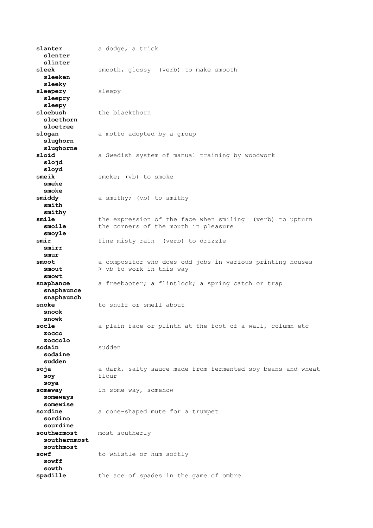slanter a dodge, a trick  **slenter slinter sleek** smooth, glossy (verb) to make smooth  **sleeken sleeky sleepery** sleepy  **sleepry sleepy** sloebush the blackthorn  **sloethorn sloetree slogan** a motto adopted by a group  **slughorn slughorne sloid** a Swedish system of manual training by woodwork  **slojd sloyd smeik** smoke; (vb) to smoke  **smeke smoke smiddy** a smithy; (vb) to smithy  **smith smithy smile** the expression of the face when smiling (verb) to upturn **smoile** the corners of the mouth in pleasure  **smoyle smir** fine misty rain (verb) to drizzle  **smirr smur smoot** a compositor who does odd jobs in various printing houses  **smout** > vb to work in this way  **smowt snaphance** a freebooter; a flintlock; a spring catch or trap  **snaphaunce snaphaunch snoke** to snuff or smell about  **snook snowk socle** a plain face or plinth at the foot of a wall, column etc  **zocco zoccolo sodain** sudden  **sodaine sudden soja** a dark, salty sauce made from fermented soy beans and wheat  **soy** flour  **soya someway** in some way, somehow  **someways somewise sordine** a cone-shaped mute for a trumpet  **sordino sourdine southermost** most southerly  **southernmost southmost** sowf to whistle or hum softly  **sowff sowth** spadille the ace of spades in the game of ombre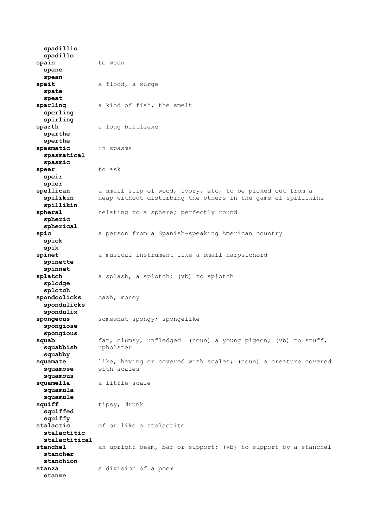**spadillio spadillo** spain to wean  **spane spean spait** a flood, a surge  **spate speat sparling** a kind of fish, the smelt  **sperling spirling sparth** a long battleaxe  **sparthe sperthe spasmatic** in spasms  **spasmatical spasmic speer** to ask  **speir spier spellican** a small slip of wood, ivory, etc, to be picked out from a  **spilikin** heap without disturbing the others in the game of spillikins  **spillikin spheral** relating to a sphere; perfectly round  **spheric spherical spic** a person from a Spanish-speaking American country  **spick spik spinet** a musical instrument like a small harpsichord  **spinette spinnet splatch** a splash, a splotch; (vb) to splotch  **splodge splotch spondoolicks** cash, money  **spondulicks spondulix spongeous** somewhat spongy; spongelike  **spongiose spongious squab** fat, clumsy, unfledged (noun) a young pigeon; (vb) to stuff,  **squabbish** upholster  **squabby squamate** like, having or covered with scales; (noun) a creature covered  **squamose** with scales  **squamous squamella** a little scale  **squamula squamule** squiff tipsy, drunk  **squiffed squiffy stalactic** of or like a stalactite  **stalactitic stalactitical stanchel** an upright beam, bar or support; (vb) to support by a stanchel  **stancher stanchion stanza** a division of a poem  **stanze**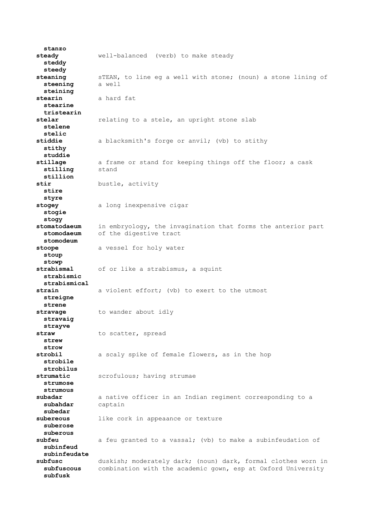**stanzo steady** well-balanced (verb) to make steady  **steddy steedy steaning** sTEAN, to line eg a well with stone; (noun) a stone lining of  **steening** a well  **steining stearin** a hard fat  **stearine tristearin** stelar **relating to a stele, an upright stone slab stelene stelic** a blacksmith's forge or anvil; (vb) to stithy  **stithy studdie stillage** a frame or stand for keeping things off the floor; a cask  **stilling** stand  **stillion stir** bustle, activity  **stire styre stogey** a long inexpensive cigar  **stogie stogy stomatodaeum** in embryology, the invagination that forms the anterior part  **stomodaeum** of the digestive tract  **stomodeum stoope** a vessel for holy water  **stoup stowp strabismal** of or like a strabismus, a squint  **strabismic strabismical strain** a violent effort; (vb) to exert to the utmost  **streigne strene stravage** to wander about idly  **stravaig strayve** straw to scatter, spread  **strew strow strobil** a scaly spike of female flowers, as in the hop  **strobile strobilus strumatic** scrofulous; having strumae  **strumose strumous subadar** a native officer in an Indian regiment corresponding to a  **subahdar** captain  **subedar subereous** like cork in appeaance or texture  **suberose suberous subfeu** a feu granted to a vassal; (vb) to make a subinfeudation of  **subinfeud subinfeudate subfusc** duskish; moderately dark; (noun) dark, formal clothes worn in  **subfuscous** combination with the academic gown, esp at Oxford University  **subfusk**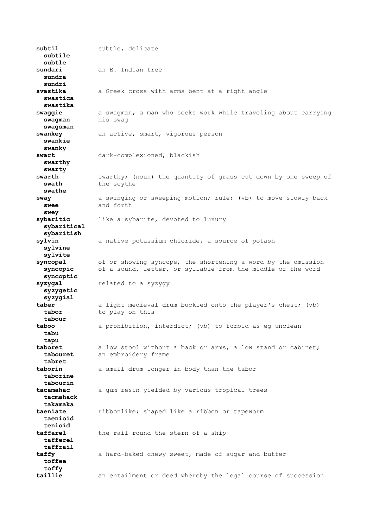**subtil** subtle, delicate  **subtile subtle sundari** an E. Indian tree  **sundra sundri svastika** a Greek cross with arms bent at a right angle  **swastica swastika swaggie** a swagman, a man who seeks work while traveling about carrying  **swagman** his swag  **swagsman swankey** an active, smart, vigorous person  **swankie swanky swart** dark-complexioned, blackish  **swarthy swarty swarth** swarthy; (noun) the quantity of grass cut down by one sweep of **swath** the scythe  **swathe sway** a swinging or sweeping motion; rule; (vb) to move slowly back  **swee** and forth  **swey sybaritic** like a sybarite, devoted to luxury  **sybaritical sybaritish sylvin** a native potassium chloride, a source of potash  **sylvine sylvite syncopal** of or showing syncope, the shortening a word by the omission  **syncopic** of a sound, letter, or syllable from the middle of the word  **syncoptic syzygal** related to a syzygy  **syzygetic syzygial taber** a light medieval drum buckled onto the player's chest; (vb) **tabor** to play on this  **tabour** a prohibition, interdict; (vb) to forbid as eg unclean  **tabu tapu taboret** a low stool without a back or arms; a low stand or cabinet;  **tabouret** an embroidery frame  **tabret taborin** a small drum longer in body than the tabor  **taborine tabourin tacamahac** a gum resin yielded by various tropical trees  **tacmahack takamaka taeniate** ribbonlike; shaped like a ribbon or tapeworm  **taenioid tenioid taffarel** the rail round the stern of a ship  **tafferel taffrail taffy** a hard-baked chewy sweet, made of sugar and butter  **toffee toffy taillie** an entailment or deed whereby the legal course of succession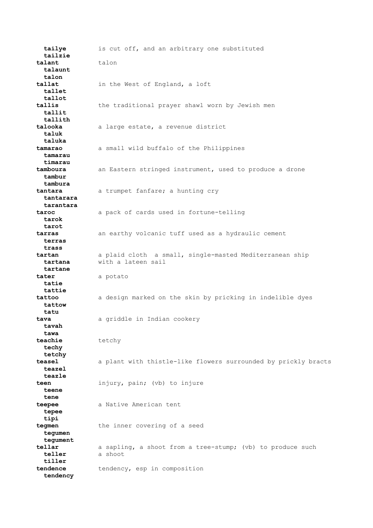**tailye** is cut off, and an arbitrary one substituted  **tailzie talant** talon  **talaunt talon tallat** in the West of England, a loft  **tallet tallot tallis** the traditional prayer shawl worn by Jewish men  **tallit tallith talooka** a large estate, a revenue district  **taluk taluka tamarao** a small wild buffalo of the Philippines  **tamarau timarau tamboura** an Eastern stringed instrument, used to produce a drone  **tambur tambura tantara** a trumpet fanfare; a hunting cry  **tantarara tarantara taroc** a pack of cards used in fortune-telling  **tarok tarot tarras** an earthy volcanic tuff used as a hydraulic cement  **terras trass tartan** a plaid cloth a small, single-masted Mediterranean ship  **tartana** with a lateen sail  **tartane tater** a potato  **tatie tattie tattoo** a design marked on the skin by pricking in indelible dyes  **tattow tatu tava** a griddle in Indian cookery  **tavah tawa teachie** tetchy  **techy tetchy teasel** a plant with thistle-like flowers surrounded by prickly bracts  **teazel teazle teen** injury, pain; (vb) to injure  **teene tene teepee** a Native American tent  **tepee tipi tegmen** the inner covering of a seed  **tegumen tegument tellar** a sapling, a shoot from a tree-stump; (vb) to produce such  **teller** a shoot  **tiller tendence** tendency, esp in composition  **tendency**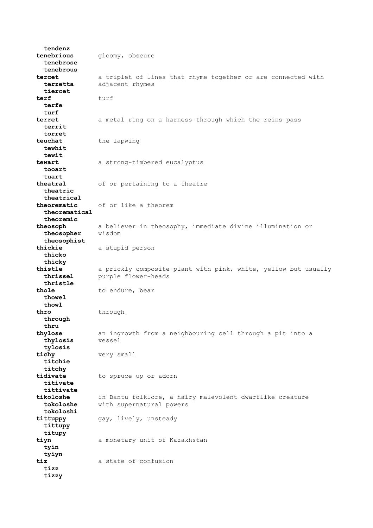**tendenz tenebrious** gloomy, obscure  **tenebrose tenebrous tercet** a triplet of lines that rhyme together or are connected with  **terzetta** adjacent rhymes  **tiercet terf** turf  **terfe turf terret** a metal ring on a harness through which the reins pass  **territ torret** the lapwing  **tewhit tewit tewart** a strong-timbered eucalyptus  **tooart tuart** of or pertaining to a theatre  **theatric theatrical theorematic** of or like a theorem  **theorematical theoremic theosoph** a believer in theosophy, immediate divine illumination or  **theosopher** wisdom  **theosophist thickie** a stupid person  **thicko thicky thistle** a prickly composite plant with pink, white, yellow but usually  **thrissel** purple flower-heads  **thristle** thole to endure, bear  **thowel** thowl<br>thro **thro** through  **through thru thylose** an ingrowth from a neighbouring cell through a pit into a  **thylosis** vessel  **tylosis tichy** very small  **titchie titchy tidivate** to spruce up or adorn  **titivate tittivate tikoloshe** in Bantu folklore, a hairy malevolent dwarflike creature  **tokoloshe** with supernatural powers  **tokoloshi tittuppy** gay, lively, unsteady  **tittupy titupy tiyn** a monetary unit of Kazakhstan  **tyin tyiyn tiz** a state of confusion  **tizz tizzy**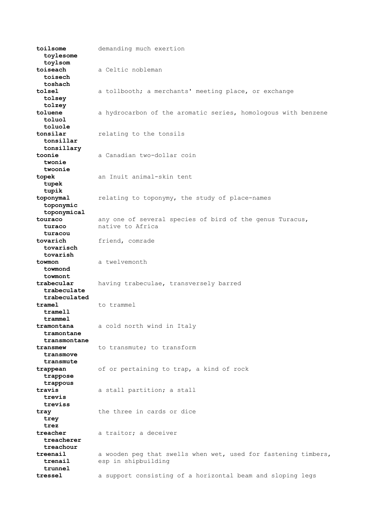**toilsome** demanding much exertion  **toylesome toylsom toiseach** a Celtic nobleman  **toisech toshach tolsel** a tollbooth; a merchants' meeting place, or exchange  **tolsey tolzey toluene** a hydrocarbon of the aromatic series, homologous with benzene  **toluol toluole tonsilar** relating to the tonsils  **tonsillar tonsillary toonie** a Canadian two-dollar coin  **twonie twoonie topek** an Inuit animal-skin tent  **tupek tupik toponymal** relating to toponymy, the study of place-names  **toponymic toponymical touraco** any one of several species of bird of the genus Turacus,  **turaco** native to Africa  **turacou tovarich** friend, comrade  **tovarisch tovarish towmon** a twelvemonth  **towmond towmont trabecular** having trabeculae, transversely barred  **trabeculate trabeculated** tramel to trammel  **tramell trammel tramontana** a cold north wind in Italy  **tramontane transmontane transmew** to transmute; to transform  **transmove transmute trappean** of or pertaining to trap, a kind of rock  **trappose trappous travis** a stall partition; a stall  **trevis treviss tray** the three in cards or dice  **trey trez treacher** a traitor; a deceiver  **treacherer treachour treenail** a wooden peg that swells when wet, used for fastening timbers,  **trenail** esp in shipbuilding  **trunnel tressel** a support consisting of a horizontal beam and sloping legs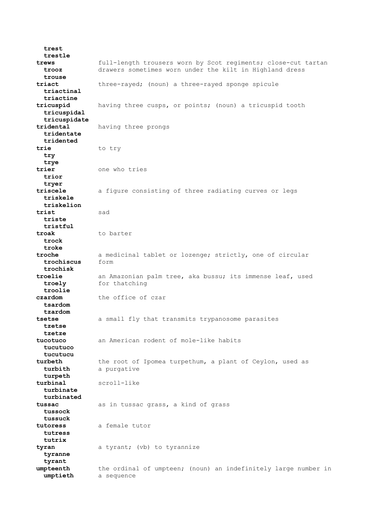**trest trestle trews** full-length trousers worn by Scot regiments; close-cut tartan  **trooz** drawers sometimes worn under the kilt in Highland dress  **trouse triact** three-rayed; (noun) a three-rayed sponge spicule  **triactinal triactine tricuspid** having three cusps, or points; (noun) a tricuspid tooth  **tricuspidal tricuspidate tridental** having three prongs  **tridentate tridented trie** to try  **try trye trier** one who tries  **trior tryer triscele** a figure consisting of three radiating curves or legs  **triskele triskelion trist** sad  **triste tristful troak** to barter  **trock troke troche** a medicinal tablet or lozenge; strictly, one of circular  **trochiscus** form  **trochisk troelie** an Amazonian palm tree, aka bussu; its immense leaf, used **troely** for thatching  **troolie czardom** the office of czar  **tsardom tzardom tsetse** a small fly that transmits trypanosome parasites  **tzetse tzetze tucotuco** an American rodent of mole-like habits  **tucutuco tucutucu turbeth** the root of Ipomea turpethum, a plant of Ceylon, used as  **turbith** a purgative  **turpeth turbinal** scroll-like  **turbinate turbinated tussac** as in tussac grass, a kind of grass  **tussock tussuck tutoress** a female tutor  **tutress tutrix tyran** a tyrant; (vb) to tyrannize  **tyranne tyrant umpteenth** the ordinal of umpteen; (noun) an indefinitely large number in  **umptieth** a sequence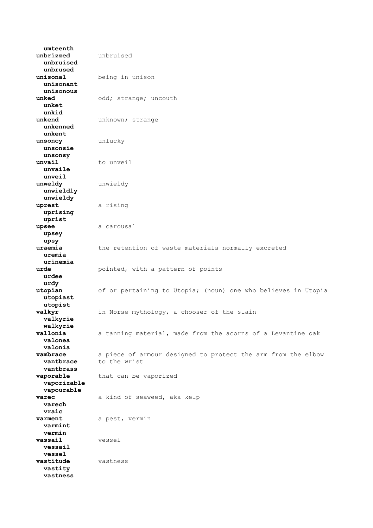**umteenth unbrizzed** unbruised  **unbruised unbrused unisonal** being in unison  **unisonant unisonous unked** odd; strange; uncouth  **unket unkid unkend** unknown; strange  **unkenned unkent unsoncy** unlucky  **unsonsie unsonsy unvail** to unveil  **unvaile unveil unweldy** unwieldy  **unwieldly unwieldy uprest** a rising  **uprising uprist upsee** a carousal  **upsey upsy uraemia** the retention of waste materials normally excreted  **uremia urinemia urde pointed, with a pattern of points urdee urdy utopian** of or pertaining to Utopia; (noun) one who believes in Utopia  **utopiast utopist valkyr** in Norse mythology, a chooser of the slain  **valkyrie walkyrie** a tanning material, made from the acorns of a Levantine oak  **valonea valonia vambrace** a piece of armour designed to protect the arm from the elbow<br>vantbrace to the wrist to the wrist  **vantbrass vaporable** that can be vaporized  **vaporizable vapourable varec** a kind of seaweed, aka kelp  **varech vraic varment** a pest, vermin  **varmint vermin vassail** vessel  **vessail vessel vastitude** vastness  **vastity vastness**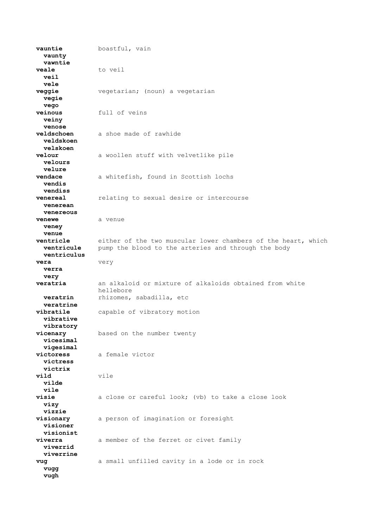**vauntie** boastful, vain  **vaunty vawntie** veale to veil  **veil vele veggie** vegetarian; (noun) a vegetarian  **vegie vego veinous** full of veins  **veiny venose veldschoen** a shoe made of rawhide  **veldskoen velskoen velour** a woollen stuff with velvetlike pile  **velours velure vendace** a whitefish, found in Scottish lochs  **vendis vendiss venereal** relating to sexual desire or intercourse  **venerean venereous venewe** a venue  **veney venue ventricle** either of the two muscular lower chambers of the heart, which **ventricule** pump the blood to the arteries and through the body  **ventriculus vera** very  **verra very veratria** an alkaloid or mixture of alkaloids obtained from white hellebore **veratrin** rhizomes, sabadilla, etc  **veratrine vibratile** capable of vibratory motion  **vibrative vibratory** based on the number twenty  **vicesimal vigesimal victoress** a female victor  **victress victrix vild** vile  **vilde vile visie** a close or careful look; (vb) to take a close look  **vizy vizzie visionary** a person of imagination or foresight  **visioner visionist viverra** a member of the ferret or civet family  **viverrid viverrine vug** a small unfilled cavity in a lode or in rock  **vugg vugh**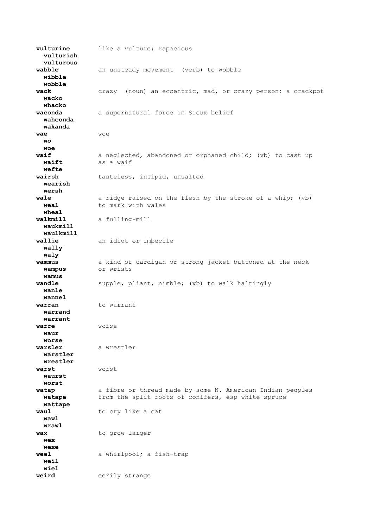**vulturine** like a vulture; rapacious  **vulturish vulturous wabble** an unsteady movement (verb) to wobble  **wibble wobble wack** crazy (noun) an eccentric, mad, or crazy person; a crackpot  **wacko whacko waconda** a supernatural force in Sioux belief  **wahconda wakanda wae** woe  **wo woe waif** a neglected, abandoned or orphaned child; (vb) to cast up  **waift** as a waif  **wefte wairsh** tasteless, insipid, unsalted  **wearish wersh wale** a ridge raised on the flesh by the stroke of a whip; (vb) **weal** to mark with wales  **wheal walkmill** a fulling-mill  **waukmill waulkmill wallie** an idiot or imbecile  **wally waly wammus** a kind of cardigan or strong jacket buttoned at the neck  **wampus** or wrists  **wamus wandle** supple, pliant, nimble; (vb) to walk haltingly  **wanle wannel warran** to warrant  **warrand warrant warre** worse  **waur worse warsler** a wrestler  **warstler wrestler warst** worst  **waurst worst watap** a fibre or thread made by some N. American Indian peoples  **watape** from the split roots of conifers, esp white spruce  **wattape waul** to cry like a cat  **wawl wrawl** wax to grow larger  **wex wexe weel** a whirlpool; a fish-trap  **weil wiel** weird eerily strange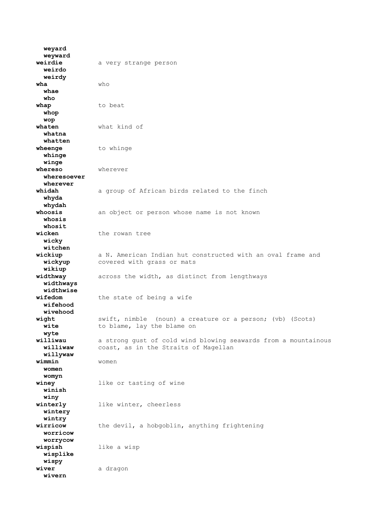**weyard weyward weirdie** a very strange person  **weirdo weirdy wha** who  **whae who** whap to beat  **whop wop**<br>whaten what kind of  **whatna whatten** to whinge  **whinge winge whereso** wherever  **wheresoever wherever** a group of African birds related to the finch  **whyda whydah whoosis** an object or person whose name is not known  **whosis whosit** wicken the rowan tree  **wicky witchen** wickiup a N. American Indian hut constructed with an oval frame and **wickyup** covered with grass or mats  **wikiup widthway** across the width, as distinct from lengthways  **widthways widthwise** the state of being a wife  **wifehood wivehood ight** swift, nimble (noun) a creature or a person; (vb) (Scots)<br> **wite** to blame, lay the blame on to blame, lay the blame on  **wyte williwau** a strong gust of cold wind blowing seawards from a mountainous coast, as in the Straits of Magellan  **willywaw wimmin** women  **women womyn winey** like or tasting of wine  **winish winy winterly** like winter, cheerless  **wintery wintry wirricow** the devil, a hobgoblin, anything frightening  **worricow worrycow wispish** like a wisp  **wisplike wispy** wiver a dragon  **wivern**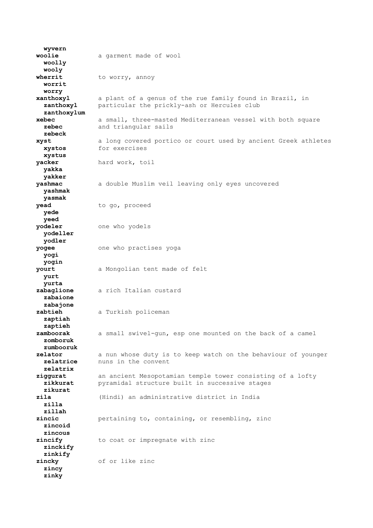**wyvern woolie** a garment made of wool  **woolly wooly** wherrit to worry, annoy  **worrit worry xanthoxyl** a plant of a genus of the rue family found in Brazil, in **zanthoxyl** particular the prickly-ash or Hercules club  **zanthoxylum xebec** a small, three-masted Mediterranean vessel with both square  **zebec** and triangular sails  **zebeck xyst** a long covered portico or court used by ancient Greek athletes  **xystos** for exercises  **xystus yacker** hard work, toil  **yakka yakker yashmac** a double Muslim veil leaving only eyes uncovered  **yashmak yasmak** yead to go, proceed  **yede yeed yodeler** one who yodels  **yodeller yodler yogee** one who practises yoga  **yogi yogin yourt** a Mongolian tent made of felt  **yurt yurta zabaglione** a rich Italian custard  **zabaione zabajone zabtieh** a Turkish policeman  **zaptiah zaptieh zamboorak** a small swivel-gun, esp one mounted on the back of a camel  **zomboruk zumbooruk zelator** a nun whose duty is to keep watch on the behaviour of younger<br>**zelatrice** nuns in the convent nuns in the convent  **zelatrix ziggurat** an ancient Mesopotamian temple tower consisting of a lofty  **zikkurat** pyramidal structure built in successive stages  **zikurat zila** (Hindi) an administrative district in India  **zilla zillah zincic** pertaining to, containing, or resembling, zinc  **zincoid zincous zincify** to coat or impregnate with zinc  **zinckify zinkify zincky** of or like zinc  **zincy zinky**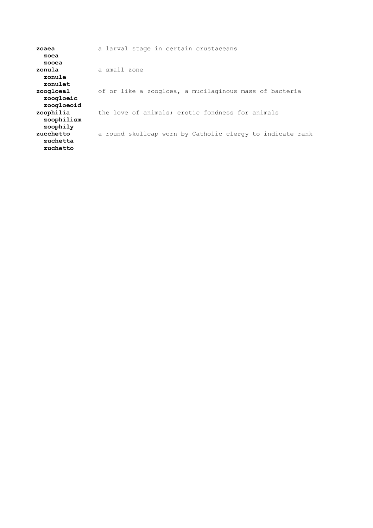| zoaea      | a larval stage in certain crustaceans                     |
|------------|-----------------------------------------------------------|
| zoea       |                                                           |
| zooea      |                                                           |
| zonula     | a small zone                                              |
| zonule     |                                                           |
| zonulet    |                                                           |
| zoogloeal  | of or like a zoogloea, a mucilaginous mass of bacteria    |
| zoogloeic  |                                                           |
| zoogloeoid |                                                           |
| zoophilia  | the love of animals; erotic fondness for animals          |
| zoophilism |                                                           |
| zoophily   |                                                           |
| zucchetto  | a round skullcap worn by Catholic clergy to indicate rank |
| zuchetta   |                                                           |
| zuchetto   |                                                           |
|            |                                                           |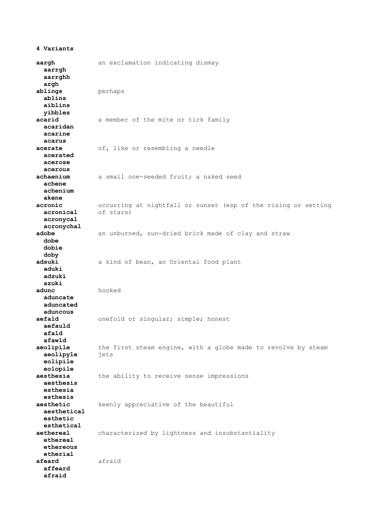**aargh** an exclamation indicating dismay  **aarrgh aarrghh argh ablings** perhaps  **ablins aiblins yibbles acarid** a member of the mite or tick family  **acaridan acarine acarus acerate** of, like or resembling a needle  **acerated acerose acerous** a small one-seeded fruit; a naked seed  **achene achenium akene acronic** occurring at nightfall or sunset (esp of the rising or setting  **acronical** of stars)  **acronycal acronychal adobe** an unburned, sun-dried brick made of clay and straw  **dobe dobie doby adsuki** a kind of bean, an Oriental food plant  **aduki adzuki azuki adunc** hooked  **aduncate aduncated aduncous** onefold or singular; simple; honest  **aefauld afald afawld** the first steam engine, with a globe made to revolve by steam  **aeolipyle** jets  **eolipile eolopile aesthesia** the ability to receive sense impressions  **aesthesis esthesia esthesis aesthetic** keenly appreciative of the beautiful  **aesthetical esthetic esthetical aethereal** characterized by lightness and insubstantiality  **ethereal ethereous etherial afeard** afraid  **affeard afraid**

**4 Variants**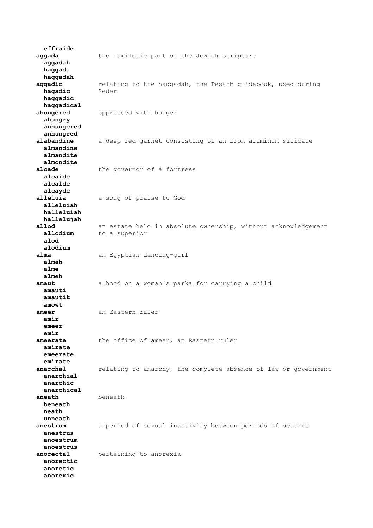**effraide aggada** the homiletic part of the Jewish scripture  **aggadah haggada haggadah aggadic** relating to the haggadah, the Pesach guidebook, used during  **hagadic** Seder  **haggadic haggadical ahungered** oppressed with hunger  **ahungry anhungered anhungred** a deep red garnet consisting of an iron aluminum silicate  **almandine almandite almondite alcade** the governor of a fortress  **alcaide alcalde alcayde alleluia** a song of praise to God  **alleluiah halleluiah hallelujah allod** an estate held in absolute ownership, without acknowledgement **allodium** to a superior  **alod alodium** alma an Egyptian dancing-girl  **almah alme almeh amaut** a hood on a woman's parka for carrying a child  **amauti amautik amowt ameer** an Eastern ruler  **amir emeer emir ameerate** the office of ameer, an Eastern ruler  **amirate emeerate emirate anarchal** relating to anarchy, the complete absence of law or government  **anarchial anarchic anarchical aneath** beneath  **beneath neath unneath anestrum** a period of sexual inactivity between periods of oestrus  **anestrus anoestrum anoestrus anorectal** pertaining to anorexia  **anorectic anoretic anorexic**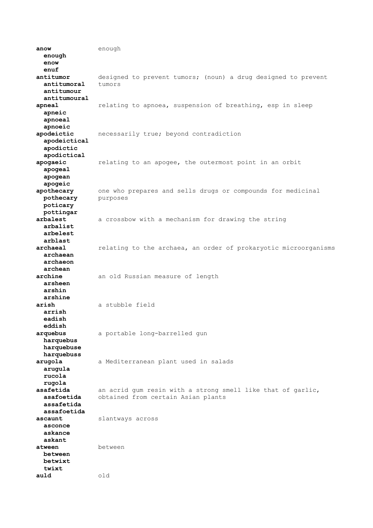**anow** enough  **enough enow enuf antitumor** designed to prevent tumors; (noun) a drug designed to prevent  **antitumoral** tumors  **antitumour antitumoural apneal** relating to apnoea, suspension of breathing, esp in sleep  **apneic apnoeal apnoeic apodeictic** necessarily true; beyond contradiction  **apodeictical apodictic apodictical apogaeic** relating to an apogee, the outermost point in an orbit  **apogeal apogean apogeic apothecary** one who prepares and sells drugs or compounds for medicinal **pothecary** purposes  **poticary pottingar arbalest** a crossbow with a mechanism for drawing the string  **arbalist arbelest arblast archaeal** relating to the archaea, an order of prokaryotic microorganisms  **archaean archaeon archean archine** an old Russian measure of length  **arsheen arshin arshine arish** a stubble field  **arrish eadish eddish arquebus** a portable long-barrelled gun  **harquebus harquebuse harquebuss arugola** a Mediterranean plant used in salads  **arugula rucola rugola asafetida** an acrid gum resin with a strong smell like that of garlic,  **asafoetida** obtained from certain Asian plants  **assafetida assafoetida ascaunt** slantways across  **asconce askance askant** atween **between between betwixt twixt auld** old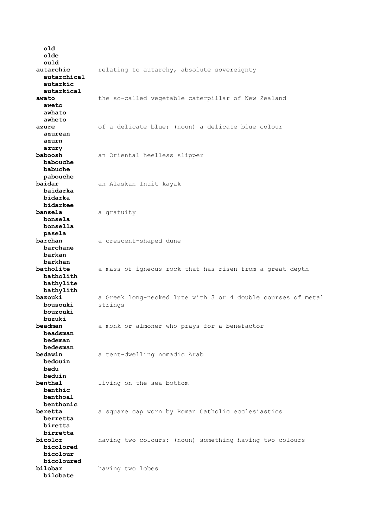**old olde ould autarchic** relating to autarchy, absolute sovereignty  **autarchical autarkic autarkical awato** the so-called vegetable caterpillar of New Zealand  **aweto awhato awheto azure** of a delicate blue; (noun) a delicate blue colour  **azurean azurn azury baboosh** an Oriental heelless slipper  **babouche babuche pabouche baidar** an Alaskan Inuit kayak  **baidarka bidarka bidarkee bansela** a gratuity  **bonsela bonsella pasela barchan** a crescent-shaped dune  **barchane barkan barkhan batholite** a mass of igneous rock that has risen from a great depth  **batholith bathylite bathylith bazouki** a Greek long-necked lute with 3 or 4 double courses of metal  **bousouki** strings  **bouzouki buzuki** a monk or almoner who prays for a benefactor  **beadsman bedeman bedesman bedawin** a tent-dwelling nomadic Arab  **bedouin bedu beduin benthal** living on the sea bottom  **benthic benthoal benthonic beretta** a square cap worn by Roman Catholic ecclesiastics  **berretta biretta birretta bicolor** having two colours; (noun) something having two colours  **bicolored bicolour bicoloured bilobar** having two lobes  **bilobate**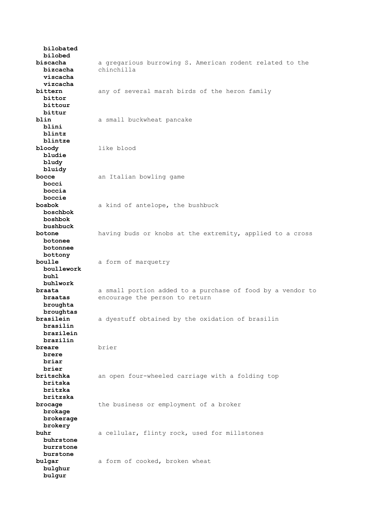**bilobated bilobed biscacha** a gregarious burrowing S. American rodent related to the  **bizcacha** chinchilla  **viscacha vizcacha bittern** any of several marsh birds of the heron family  **bittor bittour bittur blin** a small buckwheat pancake  **blini blintz blintze bloody** like blood  **bludie bludy bluidy bocce** an Italian bowling game  **bocci boccia boccie bosbok** a kind of antelope, the bushbuck  **boschbok boshbok bushbuck botone** having buds or knobs at the extremity, applied to a cross  **botonee botonnee bottony boulle** a form of marquetry  **boullework buhl buhlwork braata** a small portion added to a purchase of food by a vendor to **braatas** encourage the person to return  **broughta broughtas brasilein** a dyestuff obtained by the oxidation of brasilin  **brasilin brazilein brazilin brier brere briar brier britschka** an open four-wheeled carriage with a folding top  **britska britzka britzska brocage** the business or employment of a broker  **brokage brokerage brokery buhr** a cellular, flinty rock, used for millstones  **buhrstone burrstone burstone bulgar** a form of cooked, broken wheat  **bulghur bulgur**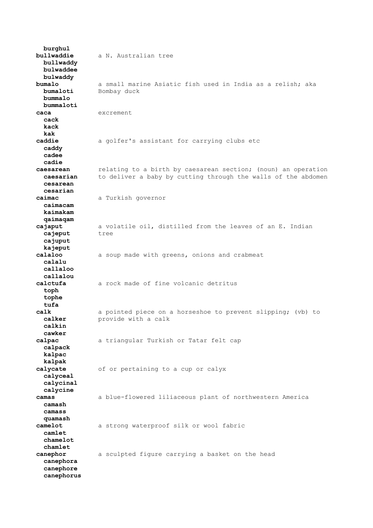**burghul bullwaddie** a N. Australian tree  **bullwaddy bulwaddee bulwaddy bumalo** a small marine Asiatic fish used in India as a relish; aka **bumaloti** Bombay duck  **bummalo bummaloti caca** excrement  **cack kack kak caddie** a golfer's assistant for carrying clubs etc  **caddy cadee cadie caesarean** relating to a birth by caesarean section; (noun) an operation  **caesarian** to deliver a baby by cutting through the walls of the abdomen  **cesarean cesarian caimac** a Turkish governor  **caimacam kaimakam qaimaqam cajaput** a volatile oil, distilled from the leaves of an E. Indian **cajeput** tree  **cajuput kajeput calaloo** a soup made with greens, onions and crabmeat  **calalu callaloo callalou calctufa** a rock made of fine volcanic detritus  **toph tophe tufa calk** a pointed piece on a horseshoe to prevent slipping; (vb) to **calker provide with a calk calkin cawker calpac** a triangular Turkish or Tatar felt cap  **calpack kalpac kalpak calycate** of or pertaining to a cup or calyx  **calyceal calycinal calycine camas** a blue-flowered liliaceous plant of northwestern America  **camash camass quamash camelot** a strong waterproof silk or wool fabric  **camlet chamelot chamlet canephor** a sculpted figure carrying a basket on the head  **canephora canephore canephorus**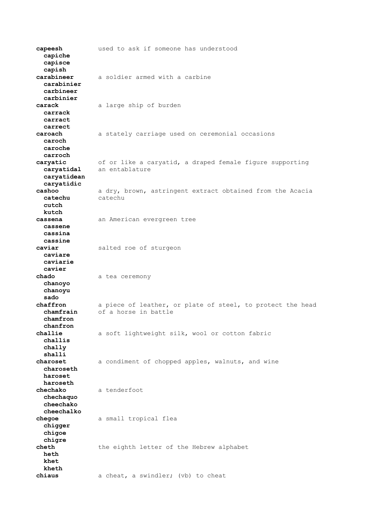**capeesh** used to ask if someone has understood  **capiche capisce capish carabineer** a soldier armed with a carbine  **carabinier carbineer carbinier carack** a large ship of burden  **carrack carract carrect caroach** a stately carriage used on ceremonial occasions  **caroch caroche carroch caryatic** of or like a caryatid, a draped female figure supporting  **caryatidal** an entablature  **caryatidean caryatidic cashoo** a dry, brown, astringent extract obtained from the Acacia  **catechu** catechu  **cutch kutch cassena** an American evergreen tree  **cassene cassina cassine caviar** salted roe of sturgeon  **caviare caviarie cavier** chado a tea ceremony  **chanoyo chanoyu sado chaffron** a piece of leather, or plate of steel, to protect the head  **chamfrain** of a horse in battle  **chamfron chanfron** a soft lightweight silk, wool or cotton fabric  **challis chally shalli** a condiment of chopped apples, walnuts, and wine  **charoseth haroset haroseth chechako** a tenderfoot  **chechaquo cheechako cheechalko chegoe** a small tropical flea  **chigger chigoe chigre cheth** the eighth letter of the Hebrew alphabet  **heth khet kheth chiaus** a cheat, a swindler; (vb) to cheat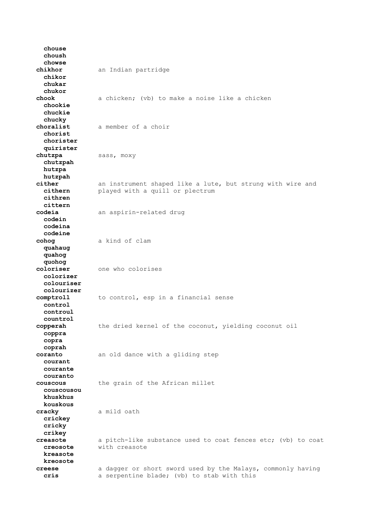**chouse choush chowse chikhor** an Indian partridge  **chikor chukar chukor chook** a chicken; (vb) to make a noise like a chicken  **chookie chuckie chucky choralist** a member of a choir  **chorist chorister quirister** sass, moxy  **chutzpah hutzpa hutzpah** ither an instrument shaped like a lute, but strung with wire and<br> **cithern** blayed with a quill or plectrum played with a quill or plectrum  **cithren cittern codeia** an aspirin-related drug  **codein codeina codeine cohog** a kind of clam  **quahaug quahog quohog coloriser** one who colorises  **colorizer colouriser colourizer comptroll** to control, esp in a financial sense  **control controul countrol** the dried kernel of the coconut, yielding coconut oil  **coppra copra coprah coranto** an old dance with a gliding step  **courant courante couranto couscous** the grain of the African millet  **couscousou khuskhus kouskous cracky** a mild oath  **crickey cricky crikey creasote** a pitch-like substance used to coat fences etc; (vb) to coat  **creosote** with creasote  **kreasote kreosote creese** a dagger or short sword used by the Malays, commonly having  **cris** a serpentine blade; (vb) to stab with this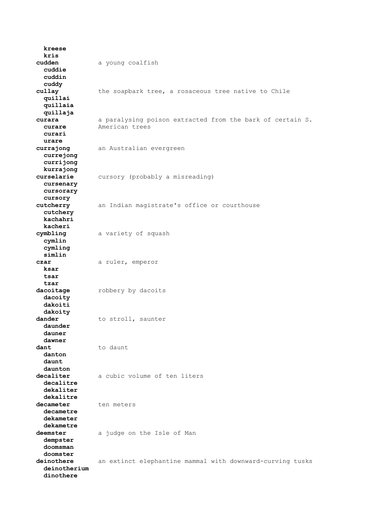**kreese kris cudden** a young coalfish  **cuddie cuddin cuddy cullay** the soapbark tree, a rosaceous tree native to Chile  **quillai quillaia quillaja curara** a paralysing poison extracted from the bark of certain S.<br> **curare** American trees American trees  **curari urare currajong** an Australian evergreen  **currejong currijong kurrajong** cursory (probably a misreading)  **cursenary cursorary cursory cutcherry** an Indian magistrate's office or courthouse  **cutchery kachahri kacheri cymbling** a variety of squash  **cymlin cymling simlin czar** a ruler, emperor  **ksar tsar tzar dacoitage** robbery by dacoits  **dacoity dakoiti dakoity dander** to stroll, saunter  **daunder dauner dawner dant** to daunt  **danton daunt daunton decaliter** a cubic volume of ten liters  **decalitre dekaliter dekalitre** decameter ten meters  **decametre dekameter dekametre deemster** a judge on the Isle of Man  **dempster doomsman doomster deinothere** an extinct elephantine mammal with downward-curving tusks  **deinotherium dinothere**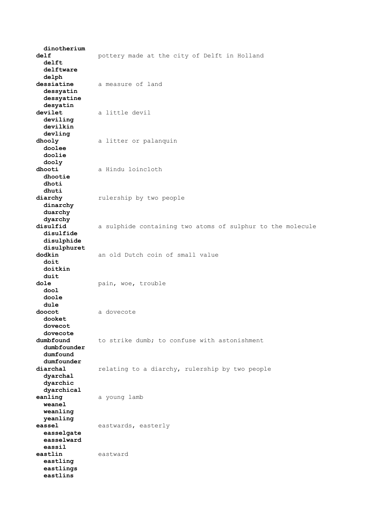**dinotherium delf** pottery made at the city of Delft in Holland  **delft delftware delph dessiatine** a measure of land  **dessyatin dessyatine desyatin devilet** a little devil  **deviling devilkin devling dhooly** a litter or palanquin  **doolee doolie dooly dhooti** a Hindu loincloth  **dhootie dhoti dhuti** rulership by two people  **dinarchy duarchy dyarchy** a sulphide containing two atoms of sulphur to the molecule  **disulfide disulphide disulphuret dodkin** an old Dutch coin of small value  **doit doitkin duit** dole **by** pain, woe, trouble  **dool doole dule doocot** a dovecote  **dooket dovecot dovecote** to strike dumb; to confuse with astonishment  **dumbfounder dumfound dumfounder** relating to a diarchy, rulership by two people  **dyarchal dyarchic dyarchical eanling** a young lamb  **weanel weanling yeanling eassel** eastwards, easterly  **easselgate easselward eassil eastlin** eastward  **eastling eastlings eastlins**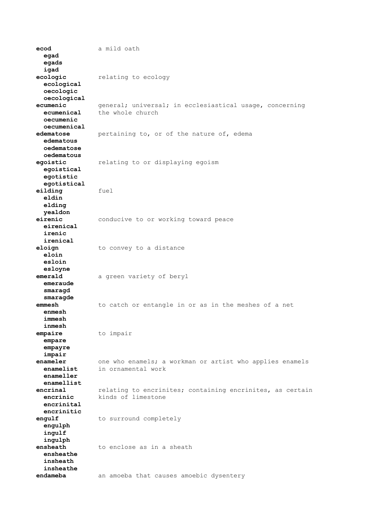**ecod** a mild oath  **egad egads igad ecologic** relating to ecology  **ecological oecologic oecological ecumenic** general; universal; in ecclesiastical usage, concerning<br> **ecumenical** the whole church the whole church  **oecumenic oecumenical edematose** pertaining to, or of the nature of, edema  **edematous oedematose oedematous egoistic** relating to or displaying egoism  **egoistical egotistic egotistical eilding** fuel  **eldin elding yealdon eirenic** conducive to or working toward peace  **eirenical irenic irenical eloign** to convey to a distance  **eloin esloin esloyne emerald** a green variety of beryl  **emeraude smaragd smaragde emmesh** to catch or entangle in or as in the meshes of a net  **enmesh immesh inmesh empaire** to impair  **empare empayre impair enameler** one who enamels; a workman or artist who applies enamels<br>enamelist in ornamental work in ornamental work  **enameller enamellist encrinal** relating to encrinites; containing encrinites, as certain  **encrinic** kinds of limestone  **encrinital encrinitic engulf** to surround completely  **engulph ingulf ingulph ensheath** to enclose as in a sheath  **ensheathe insheath insheathe endameba** an amoeba that causes amoebic dysentery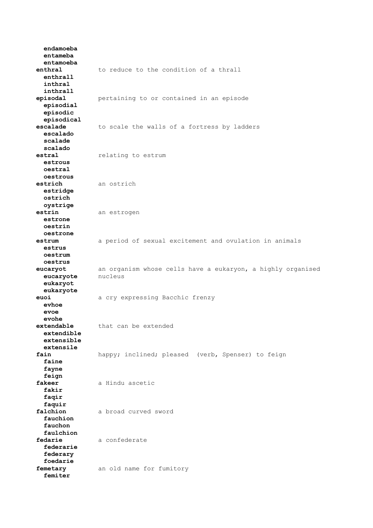**endamoeba entameba entamoeba enthral** to reduce to the condition of a thrall  **enthrall inthral inthrall episodal** pertaining to or contained in an episode  **episodial episodic episodical** to scale the walls of a fortress by ladders  **escalado scalade scalado estral** relating to estrum  **estrous oestral oestrous estrich** an ostrich  **estridge ostrich oystrige estrin** an estrogen  **estrone oestrin oestrone estrum** a period of sexual excitement and ovulation in animals  **estrus oestrum oestrus eucaryot** an organism whose cells have a eukaryon, a highly organised  **eucaryote** nucleus  **eukaryot eukaryote euoi** a cry expressing Bacchic frenzy  **evhoe evoe evohe extendable** that can be extended  **extendible extensible extensile** happy; inclined; pleased (verb, Spenser) to feign  **faine fayne feign fakeer** a Hindu ascetic  **fakir faqir faquir falchion** a broad curved sword  **fauchion fauchon faulchion** fedarie a confederate  **federarie federary foedarie femetary** an old name for fumitory  **femiter**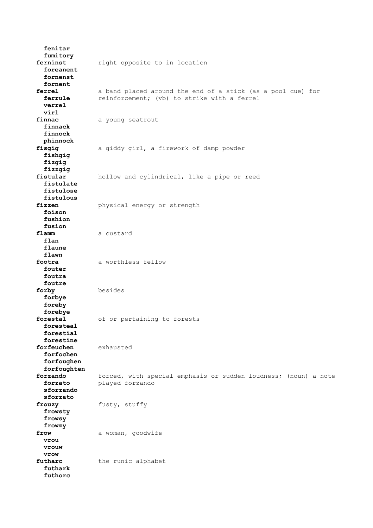**fenitar fumitory ferninst** right opposite to in location  **foreanent fornenst fornent ferrel** a band placed around the end of a stick (as a pool cue) for **ferrule** reinforcement; (vb) to strike with a ferrel  **verrel virl** finnac a young seatrout  **finnack finnock phinnock fisgig** a giddy girl, a firework of damp powder  **fishgig fizgig fizzgig fistular** hollow and cylindrical, like a pipe or reed  **fistulate fistulose fistulous fizzen** physical energy or strength  **foison fushion fusion** flamm a custard  **flan flaune flawn footra** a worthless fellow  **fouter foutra foutre forby** besides  **forbye foreby forebye forestal** of or pertaining to forests  **foresteal forestial forestine forfeuchen** exhausted  **forfochen forfoughen forfoughten forzando** forced, with special emphasis or sudden loudness; (noun) a note  **forzato** played forzando  **sforzando sforzato frouzy** fusty, stuffy  **frowsty frowsy frowzy** frow a woman, goodwife  **vrou vrouw vrow** futharc the runic alphabet  **futhark futhorc**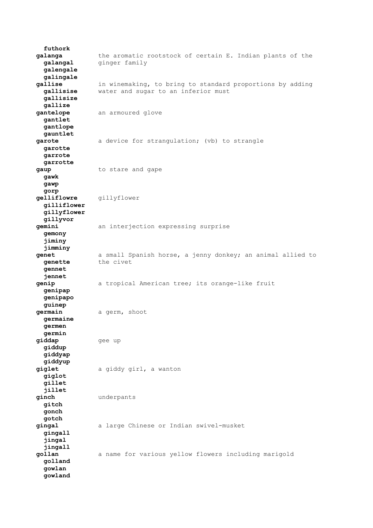**futhork galanga** the aromatic rootstock of certain E. Indian plants of the **galangal** ginger family  **galengale galingale gallise** in winemaking, to bring to standard proportions by adding  **gallisise** water and sugar to an inferior must  **gallisize gallize gantelope** an armoured glove  **gantlet gantlope gauntlet garote** a device for strangulation; (vb) to strangle  **garotte garrote garrotte gaup** to stare and gape  **gawk gawp gorp gelliflowre** gillyflower  **gilliflower gillyflower gillyvor gemini** an interjection expressing surprise  **gemony jiminy jimminy genet** a small Spanish horse, a jenny donkey; an animal allied to **genette** the civet  **gennet jennet genip** a tropical American tree; its orange-like fruit  **genipap genipapo guinep germain** a germ, shoot  **germaine germen germin giddap** gee up  **giddup giddyap giddyup giglet** a giddy girl, a wanton  **giglot gillet jillet ginch** underpants  **gitch gonch gotch gingal** a large Chinese or Indian swivel-musket  **gingall jingal jingall gollan** a name for various yellow flowers including marigold  **golland gowlan gowland**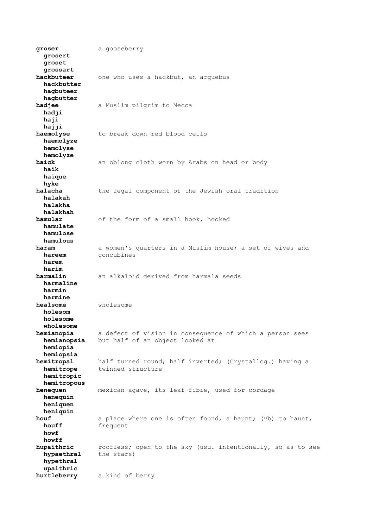**groser** a gooseberry  **grosert groset grossart hackbuteer** one who uses a hackbut, an arquebus  **hackbutter hagbuteer hagbutter hadjee** a Muslim pilgrim to Mecca  **hadji haji hajji haemolyse** to break down red blood cells  **haemolyze hemolyse hemolyze** an oblong cloth worn by Arabs on head or body  **haik haique hyke halacha** the legal component of the Jewish oral tradition  **halakah halakha halakhah hamular** of the form of a small hook, hooked  **hamulate hamulose hamulous haram** a women's quarters in a Muslim house; a set of wives and **hareem** concubines  **harem harim harmalin** an alkaloid derived from harmala seeds  **harmaline harmin harmine healsome** wholesome  **holesom holesome wholesome hemianopia** a defect of vision in consequence of which a person sees  **hemianopsia** but half of an object looked at  **hemiopia hemiopsia hemitropal** half turned round; half inverted; (Crystallog.) having a **hemitrope** twinned structure  **hemitropic hemitropous henequen** mexican agave, its leaf-fibre, used for cordage  **henequin heniquen heniquin houf** a place where one is often found, a haunt; (vb) to haunt, **houff** frequent  **howf howff hupaithric** roofless; open to the sky (usu. intentionally, so as to see  **hypaethral** the stars)  **hypethral upaithric hurtleberry** a kind of berry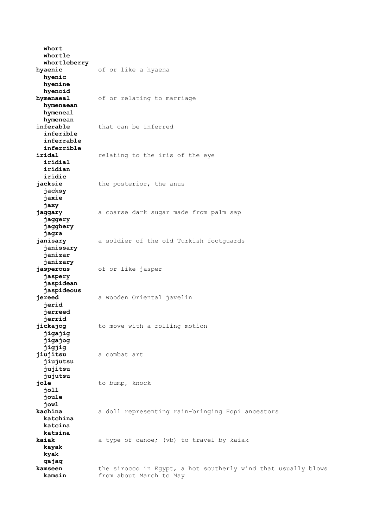**whort whortle whortleberry hyaenic** of or like a hyaena  **hyenic hyenine hyenoid hymenaeal** of or relating to marriage  **hymenaean hymeneal hymenean** that can be inferred  **inferible inferrable inferrible** relating to the iris of the eye  **iridial iridian iridic** the posterior, the anus  **jacksy jaxie jaxy jaggary** a coarse dark sugar made from palm sap  **jaggery jagghery jagra janisary** a soldier of the old Turkish footguards  **janissary janizar janizary jasperous** of or like jasper  **jaspery jaspidean jaspideous jereed** a wooden Oriental javelin  **jerid jerreed jerrid jickajog** to move with a rolling motion  **jigajig jigajog jigjig jiujitsu** a combat art  **jiujutsu jujitsu jujutsu jole** to bump, knock  **joll joule jowl kachina** a doll representing rain-bringing Hopi ancestors  **katchina katcina katsina kaiak** a type of canoe; (vb) to travel by kaiak  **kayak kyak qajaq kamseen** the sirocco in Egypt, a hot southerly wind that usually blows  **kamsin** from about March to May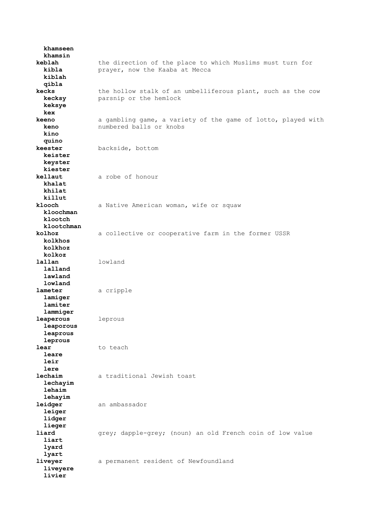**khamseen khamsin keblah** the direction of the place to which Muslims must turn for  **kibla** prayer, now the Kaaba at Mecca  **kiblah qibla kecks** the hollow stalk of an umbelliferous plant, such as the cow  **kecksy** parsnip or the hemlock  **keksye kex keeno** a gambling game, a variety of the game of lotto, played with  **keno** numbered balls or knobs  **kino quino keester** backside, bottom  **keister keyster kiester kellaut** a robe of honour  **khalat khilat killut** a Native American woman, wife or squaw  **kloochman klootch klootchman kolhoz** a collective or cooperative farm in the former USSR  **kolkhos kolkhoz kolkoz lallan** lowland  **lalland lawland lowland lameter** a cripple  **lamiger lamiter lammiger leaperous** leprous  **leaporous leaprous leprous lear** to teach  **leare leir lere lechaim** a traditional Jewish toast  **lechayim lehaim lehayim leidger** an ambassador  **leiger lidger lieger liard** grey; dapple-grey; (noun) an old French coin of low value  **liart lyard lyart liveyer** a permanent resident of Newfoundland  **liveyere livier**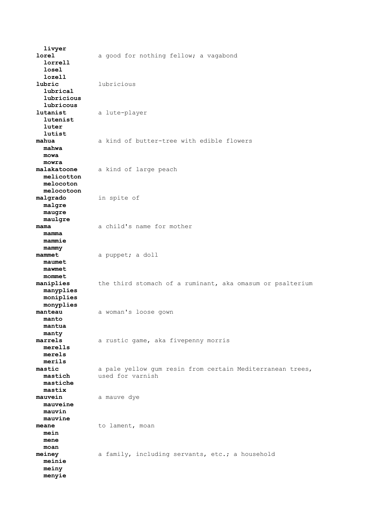**livyer lorel** a good for nothing fellow; a vagabond  **lorrell losel lozell lubric** lubricious  **lubrical lubricious lubricous lutanist** a lute-player  **lutenist luter lutist mahua** a kind of butter-tree with edible flowers  **mahwa mowa mowra malakatoone** a kind of large peach  **melicotton melocoton melocotoon malgrado** in spite of  **malgre maugre maulgre mama** a child's name for mother  **mamma mammie mammy mammet** a puppet; a doll  **maumet mawmet mommet maniplies** the third stomach of a ruminant, aka omasum or psalterium  **manyplies moniplies monyplies manteau** a woman's loose gown  **manto mantua manty marrels** a rustic game, aka fivepenny morris  **merells merels merils mastic** a pale yellow gum resin from certain Mediterranean trees,  **mastich** used for varnish  **mastiche mastix mauvein** a mauve dye  **mauveine mauvin mauvine meane** to lament, moan  **mein mene moan meiney** a family, including servants, etc.; a household  **meinie meiny menyie**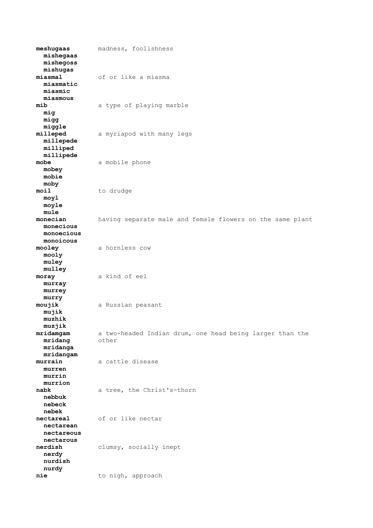**meshugaas** madness, foolishness  **mishegaas mishegoss mishugas miasmal** of or like a miasma  **miasmatic miasmic miasmous mib** a type of playing marble  **mig migg miggle** a myriapod with many legs  **millepede milliped millipede mobe** a mobile phone  **mobey mobie moby moil** to drudge  **moyl moyle mule monecian** having separate male and female flowers on the same plant  **monecious monoecious monoicous mooley** a hornless cow  **mooly muley mulley moray** a kind of eel  **murray murrey murry moujik** a Russian peasant  **mujik muzhik muzjik** a two-headed Indian drum, one head being larger than the<br>other  $m$ ridang  **mridanga mridangam murrain** a cattle disease  **murren murrin murrion nabk** a tree, the Christ's-thorn  **nebbuk nebeck nebek nectareal** of or like nectar  **nectarean nectareous nectarous nerdish** clumsy, socially inept  **nerdy nurdish nurdy nie** to nigh, approach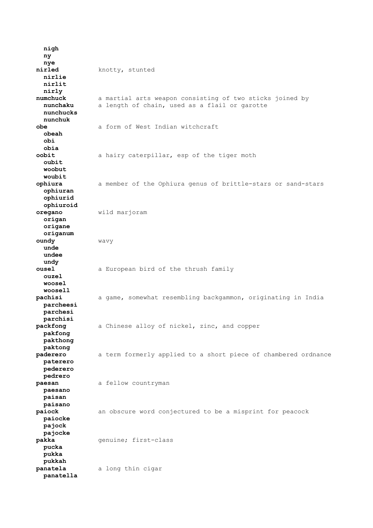**nigh ny nye nirled** knotty, stunted  **nirlie nirlit nirly numchuck** a martial arts weapon consisting of two sticks joined by  **nunchaku** a length of chain, used as a flail or garotte  **nunchucks nunchuk obe** a form of West Indian witchcraft  **obeah obi obia** a hairy caterpillar, esp of the tiger moth  **oubit woobut woubit ophiura** a member of the Ophiura genus of brittle-stars or sand-stars  **ophiuran ophiurid ophiuroid oregano** wild marjoram  **origan origane origanum oundy** wavy  **unde undee undy ousel** a European bird of the thrush family  **ouzel woosel woosell pachisi** a game, somewhat resembling backgammon, originating in India  **parcheesi parchesi parchisi** a Chinese alloy of nickel, zinc, and copper  **pakfong pakthong paktong paderero** a term formerly applied to a short piece of chambered ordnance  **paterero pederero pedrero paesan** a fellow countryman  **paesano paisan paisano paiock** an obscure word conjectured to be a misprint for peacock  **paiocke pajock pajocke pakka** genuine; first-class  **pucka pukka pukkah panatela** a long thin cigar  **panatella**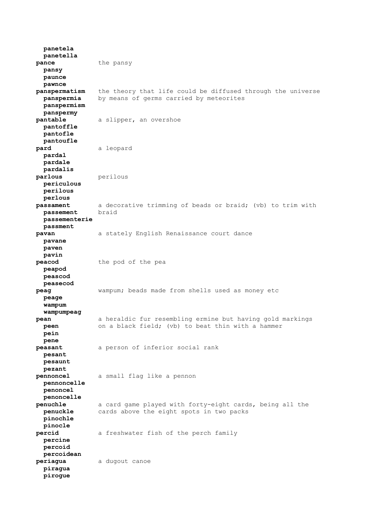**panetela panetella pance** the pansy  **pansy paunce pawnce panspermatism** the theory that life could be diffused through the universe  **panspermia** by means of germs carried by meteorites  **panspermism panspermy pantable** a slipper, an overshoe  **pantoffle pantofle pantoufle pard** a leopard  **pardal pardale pardalis parlous** perilous  **periculous perilous perlous passament** a decorative trimming of beads or braid; (vb) to trim with **passement** braid  **passementerie passment pavan** a stately English Renaissance court dance  **pavane paven pavin peacod** the pod of the pea  **peapod peascod peasecod peag** wampum; beads made from shells used as money etc  **peage wampum wampumpeag pean** a heraldic fur resembling ermine but having gold markings  **peen** on a black field; (vb) to beat thin with a hammer  **pein pene peasant** a person of inferior social rank  **pesant pesaunt pezant pennoncel** a small flag like a pennon  **pennoncelle penoncel penoncelle penuchle** a card game played with forty-eight cards, being all the  **penuckle** cards above the eight spots in two packs  **pinochle pinocle percid** a freshwater fish of the perch family  **percine percoid percoidean periagua** a dugout canoe  **piragua pirogue**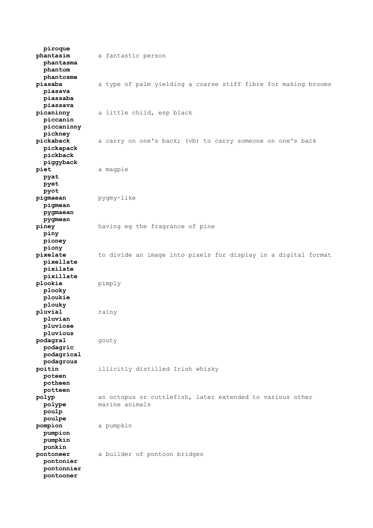**piroque phantasim** a fantastic person  **phantasma phantom phantosme piasaba** a type of palm yielding a coarse stiff fibre for making brooms  **piasava piassaba piassava picaninny** a little child, esp black  **piccanin piccaninny pickney** a carry on one's back; (vb) to carry someone on one's back  **pickapack pickback piggyback piet** a magpie  **pyat pyet pyot pigmaean** pygmy-like  **pigmean pygmaean pygmean piney** having eg the fragrance of pine  **piny pioney piony pixelate** to divide an image into pixels for display in a digital format  **pixellate pixilate pixillate plookie** pimply  **plooky ploukie plouky pluvial** rainy  **pluvian pluviose pluvious podagral** gouty  **podagric podagrical podagrous poitin** illicitly distilled Irish whisky  **poteen potheen potteen polyp** an octopus or cuttlefish, later extended to various other  **polype** marine animals  **poulp poulpe pompion** a pumpkin  **pumpion pumpkin punkin pontoneer** a builder of pontoon bridges  **pontonier pontonnier pontooner**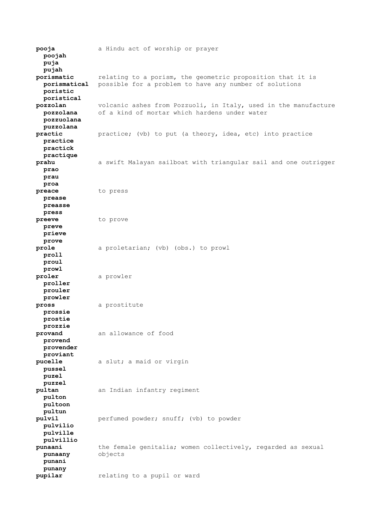**pooja** a Hindu act of worship or prayer  **poojah puja pujah porismatic** relating to a porism, the geometric proposition that it is  **porismatical** possible for a problem to have any number of solutions  **poristic poristical pozzolan** volcanic ashes from Pozzuoli, in Italy, used in the manufacture  **pozzolana** of a kind of mortar which hardens under water  **pozzuolana puzzolana practic** practice; (vb) to put (a theory, idea, etc) into practice  **practice practick practique prahu** a swift Malayan sailboat with triangular sail and one outrigger  **prao prau proa preace** to press  **prease preasse press preeve** to prove  **preve prieve prove prole** a proletarian; (vb) (obs.) to prowl  **proll proul prowl proler** a prowler  **proller prouler prowler pross** a prostitute  **prossie prostie prozzie provand** an allowance of food  **provend provender proviant pucelle** a slut; a maid or virgin  **pussel puzel puzzel pultan** an Indian infantry regiment  **pulton pultoon pultun pulvil perfumed powder; snuff;** (vb) to powder  **pulvilio pulville pulvillio punaani** the female genitalia; women collectively, regarded as sexual  **punaany** objects  **punani punany pupilar** relating to a pupil or ward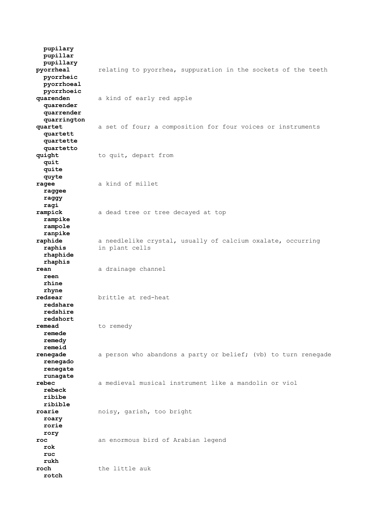**pupilary pupillar pupillary pyorrheal** relating to pyorrhea, suppuration in the sockets of the teeth  **pyorrheic pyorrhoeal pyorrhoeic quarenden** a kind of early red apple  **quarender quarrender quarrington** a set of four; a composition for four voices or instruments  **quartett quartette quartetto** to quit, depart from  **quit quite quyte ragee** a kind of millet  **raggee raggy ragi rampick** a dead tree or tree decayed at top  **rampike rampole ranpike raphide** a needlelike crystal, usually of calcium oxalate, occurring  **raphis** in plant cells  **rhaphide rhaphis rean** a drainage channel  **reen rhine rhyne redsear** brittle at red-heat  **redshare redshire redshort** to remedy  **remede remedy remeid renegade** a person who abandons a party or belief; (vb) to turn renegade  **renegado renegate runagate rebec** a medieval musical instrument like a mandolin or viol  **rebeck ribibe ribible roarie** noisy, garish, too bright  **roary rorie rory roc** an enormous bird of Arabian legend  **rok ruc rukh roch** the little auk  **rotch**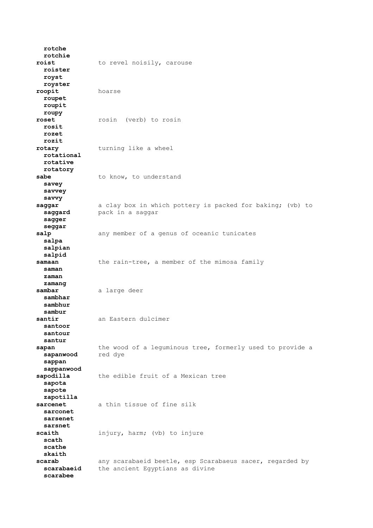**rotche rotchie** roist to revel noisily, carouse  **roister royst royster roopit** hoarse  **roupet roupit roupy roset** rosin (verb) to rosin  **rosit rozet rozit rotary** turning like a wheel  **rotational rotative rotatory** sabe to know, to understand  **savey savvey savvy saggar** a clay box in which pottery is packed for baking; (vb) to  **saggard** pack in a saggar  **sagger seggar** salp any member of a genus of oceanic tunicates  **salpa salpian salpid samaan** the rain-tree, a member of the mimosa family  **saman zaman zamang** sambar a large deer  **sambhar sambhur sambur santir** an Eastern dulcimer  **santoor santour santur sapan** the wood of a leguminous tree, formerly used to provide a **sapanwood** red dye  $s$ apanwood  **sappan sappanwood sapodilla** the edible fruit of a Mexican tree  **sapota sapote zapotilla sarcenet** a thin tissue of fine silk  **sarconet sarsenet sarsnet** scaith injury, harm; (vb) to injure  **scath scathe skaith scarab** any scarabaeid beetle, esp Scarabaeus sacer, regarded by  **scarabaeid** the ancient Egyptians as divine  **scarabee**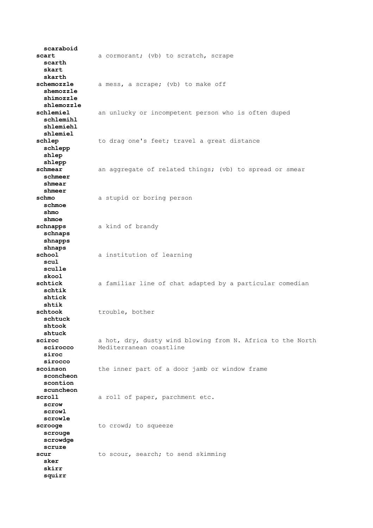**scaraboid** scart a cormorant; (vb) to scratch, scrape  **scarth skart skarth** schemozzle a mess, a scrape; (vb) to make off  **shemozzle shimozzle shlemozzle schlemiel** an unlucky or incompetent person who is often duped  **schlemihl shlemiehl shlemiel** schlep to drag one's feet; travel a great distance  **schlepp shlep shlepp schmear** an aggregate of related things; (vb) to spread or smear  **schmeer shmear shmeer schmo** a stupid or boring person  **schmoe shmo shmoe schnapps** a kind of brandy  **schnaps shnapps shnaps school** a institution of learning  **scul sculle skool schtick** a familiar line of chat adapted by a particular comedian  **schtik shtick shtik schtook** trouble, bother  **schtuck shtook shtuck sciroc** a hot, dry, dusty wind blowing from N. Africa to the North  **scirocco** Mediterranean coastline  **siroc sirocco scoinson** the inner part of a door jamb or window frame  **sconcheon scontion scuncheon scroll** a roll of paper, parchment etc.  **scrow scrowl scrowle scrooge** to crowd; to squeeze  **scrouge scrowdge scruze** scur to scour, search; to send skimming  **sker skirr squirr**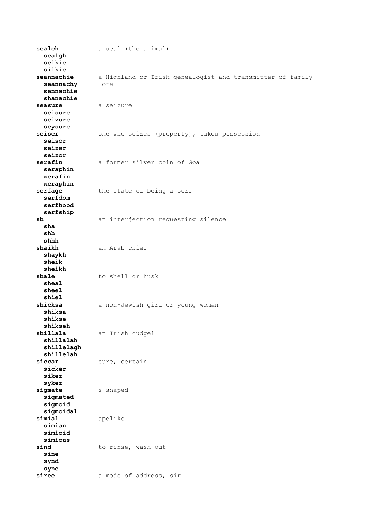**sealch** a seal (the animal)  **sealgh selkie silkie seannachie** a Highland or Irish genealogist and transmitter of family  **seannachy** lore  **sennachie shanachie** seasure a seizure  **seisure seizure seysure** seiser **one who seizes (property), takes possession seisor seizer seizor serafin** a former silver coin of Goa  **seraphin xerafin xeraphin serfage** the state of being a serf  **serfdom serfhood serfship sh** an interjection requesting silence  **sha shh shhh shaikh** an Arab chief  **shaykh sheik sheikh shale** to shell or husk  **sheal sheel shiel shicksa** a non-Jewish girl or young woman  **shiksa shikse shikseh shillala** an Irish cudgel  **shillalah shillelagh shillelah** sure, certain  **sicker siker syker sigmate** s-shaped  **sigmated sigmoid sigmoidal simial** apelike  **simian simioid simious** sind to rinse, wash out  **sine synd syne** siree a mode of address, sir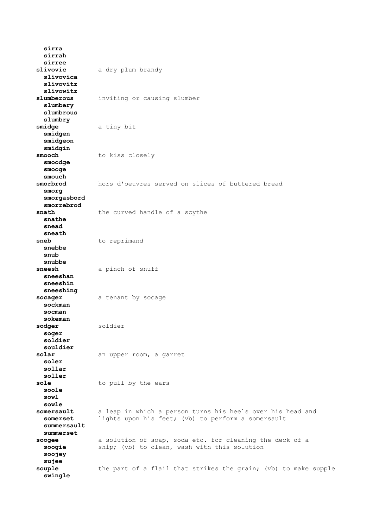**sirra sirrah sirree slivovic** a dry plum brandy  **slivovica slivovitz slivowitz slumberous** inviting or causing slumber  **slumbery slumbrous slumbry smidge** a tiny bit  **smidgen smidgeon smidgin smooch** to kiss closely  **smoodge smooge smouch** hors d'oeuvres served on slices of buttered bread  **smorg smorgasbord smorrebrod snath** the curved handle of a scythe  **snathe snead sneath** sneb to reprimand  **snebbe snub snubbe sneesh** a pinch of snuff  **sneeshan sneeshin sneeshing socager** a tenant by socage  **sockman socman sokeman sodger** soldier  **soger soldier souldier** an upper room, a garret  **soler sollar soller** sole to pull by the ears  **soole sowl sowle somersault** a leap in which a person turns his heels over his head and **somerset** lights upon his feet; (vb) to perform a somersault  **summersault summerset soogee** a solution of soap, soda etc. for cleaning the deck of a  **soogie** ship; (vb) to clean, wash with this solution  **soojey sujee** souple the part of a flail that strikes the grain; (vb) to make supple  **swingle**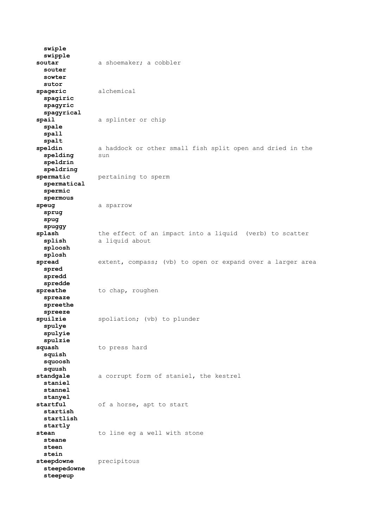**swiple swipple soutar** a shoemaker; a cobbler  **souter sowter sutor spageric** alchemical  **spagiric spagyric spagyrical spail** a splinter or chip  **spale spall** spalt<br>speldin a haddock or other small fish split open and dried in the **spelding** sun  **speldrin speldring spermatic** pertaining to sperm  **spermatical spermic spermous** speug a sparrow  **sprug spug spuggy splash** the effect of an impact into a liquid (verb) to scatter  **splish** a liquid about  **sploosh splosh spread** extent, compass; (vb) to open or expand over a larger area  **spred spredd spredde** spreathe to chap, roughen  **spreaze spreethe spreeze** spoliation; (vb) to plunder  **spulye spulyie spulzie squash** to press hard  **squish squoosh squush standgale** a corrupt form of staniel, the kestrel  **staniel stannel stanyel startful** of a horse, apt to start  **startish startlish startly** stean to line eg a well with stone  **steane steen stein** steepdowne precipitous  **steepedowne steepeup**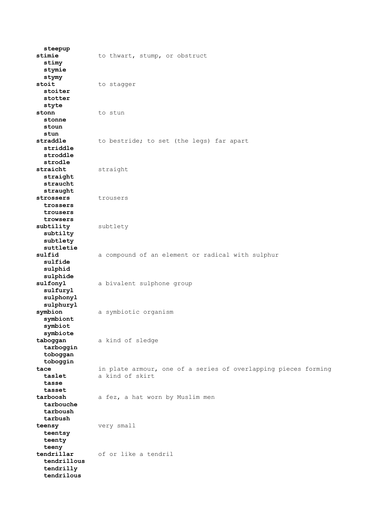**steepup** stimie to thwart, stump, or obstruct  **stimy stymie stymy** stoit to stagger  **stoiter stotter styte** stonn to stun  **stonne stoun stun** to bestride; to set (the legs) far apart  **striddle stroddle strodle straicht** straight  **straight straucht straught** strossers trousers  **trossers trousers trowsers subtility** subtlety  **subtilty subtlety suttletie sulfid** a compound of an element or radical with sulphur  **sulfide sulphid sulphide sulfonyl** a bivalent sulphone group  **sulfuryl sulphonyl sulphuryl symbion** a symbiotic organism  **symbiont symbiot symbiote taboggan** a kind of sledge  **tarboggin toboggan toboggin tace** in plate armour, one of a series of overlapping pieces forming  **taslet** a kind of skirt  **tasse tasset tarboosh** a fez, a hat worn by Muslim men  **tarbouche tarboush tarbush teensy** very small  **teentsy teenty teeny tendrillar** of or like a tendril  **tendrillous tendrilly tendrilous**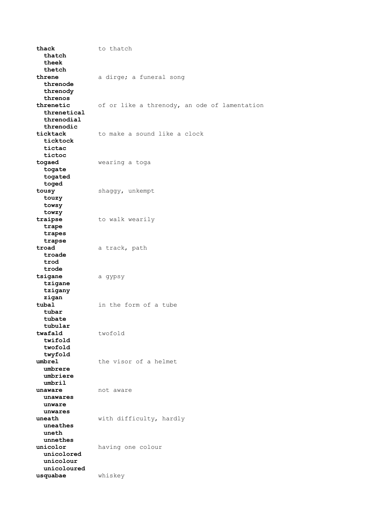thack to thatch  **thatch theek thetch threne** a dirge; a funeral song  **threnode threnody threnos threnetic** of or like a threnody, an ode of lamentation  **threnetical threnodial threnodic** to make a sound like a clock  **ticktock tictac tictoc togaed** wearing a toga  **togate togated toged tousy** shaggy, unkempt  **touzy towsy towzy traipse** to walk wearily  **trape trapes trapse troad** a track, path  **troade trod trode tsigane** a gypsy  **tzigane tzigany zigan tubal** in the form of a tube  **tubar tubate tubular** twofold  **twifold twofold twyfold umbrel** the visor of a helmet  **umbrere umbriere umbril unaware** not aware  **unawares unware unwares uneath** with difficulty, hardly  **uneathes uneth unnethes unicolor** having one colour  **unicolored unicolour unicoloured usquabae** whiskey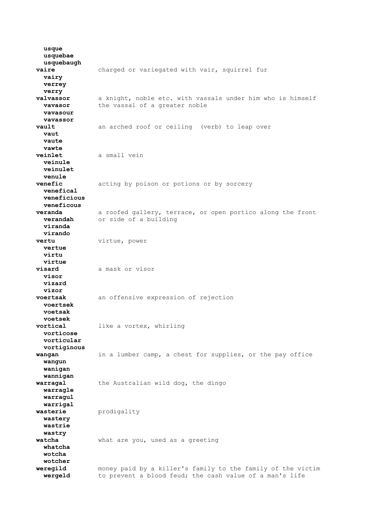**usque usquebae usquebaugh vaire** charged or variegated with vair, squirrel fur  **vairy verrey verry valvassor** a knight, noble etc. with vassals under him who is himself **vavasor** the vassal of a greater noble  **vavasour vavassor vault** an arched roof or ceiling (verb) to leap over  **vaut vaute vawte veinlet** a small vein  **veinule veinulet venule**<br>**venefic** acting by poison or potions or by sorcery  **venefical veneficious veneficous veranda** a roofed gallery, terrace, or open portico along the front  **verandah** or side of a building  **viranda virando vertu** virtue, power  **vertue virtu virtue visard** a mask or visor  **visor vizard vizor voertsak** an offensive expression of rejection  **voertsek voetsak voetsek** like a vortex, whirling  **vorticose vorticular vortiginous wangan** in a lumber camp, a chest for supplies, or the pay office  **wangun wanigan wannigan warragal** the Australian wild dog, the dingo  **warragle warragul warrigal wasterie** prodigality  **wastery wastrie wastry watcha** what are you, used as a greeting  **whatcha wotcha wotcher weregild** money paid by a killer's family to the family of the victim  **wergeld** to prevent a blood feud; the cash value of a man's life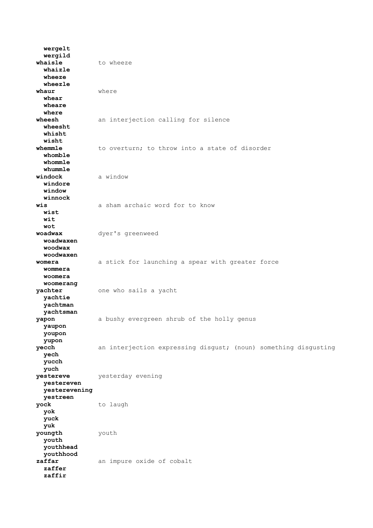**wergelt wergild** whaisle to wheeze  **whaizle wheeze wheezle whaur** where  **whear wheare where wheesh** an interjection calling for silence  **wheesht whisht wisht** to overturn; to throw into a state of disorder  **whomble whommle whummle windock** a window  **windore window winnock wis** a sham archaic word for to know  **wist wit wot woadwax** dyer's greenweed  **woadwaxen woodwax woodwaxen womera** a stick for launching a spear with greater force  **wommera woomera woomerang yachter** one who sails a yacht  **yachtie yachtman yachtsman yapon** a bushy evergreen shrub of the holly genus  **yaupon youpon yupon yecch** an interjection expressing disgust; (noun) something disgusting  **yech yucch yuch yestereve** yesterday evening  **yestereven yesterevening yestreen yock** to laugh  **yok yuck yuk youngth** youth  **youth youthhead youthhood zaffar** an impure oxide of cobalt  **zaffer zaffir**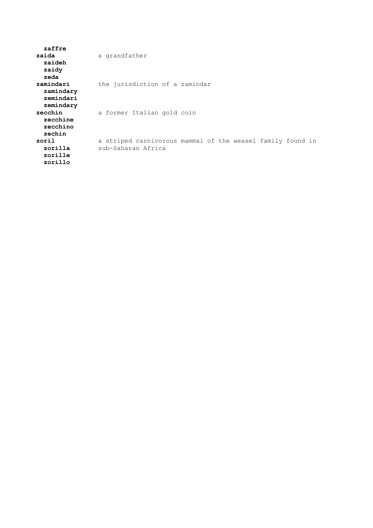| zaffre                                           |                                                                                  |
|--------------------------------------------------|----------------------------------------------------------------------------------|
| zaida                                            | a grandfather                                                                    |
| zaideh                                           |                                                                                  |
| zaidy<br>zeda                                    |                                                                                  |
| zamindari<br>zamindary<br>zemindari              | the jurisdiction of a zamindar                                                   |
| zemindary<br>zecchin<br>zecchine<br>zecchino     | a former Italian gold coin                                                       |
| zechin<br>zoril<br>zorilla<br>zorille<br>zorillo | a striped carnivorous mammal of the weasel family found in<br>sub-Saharan Africa |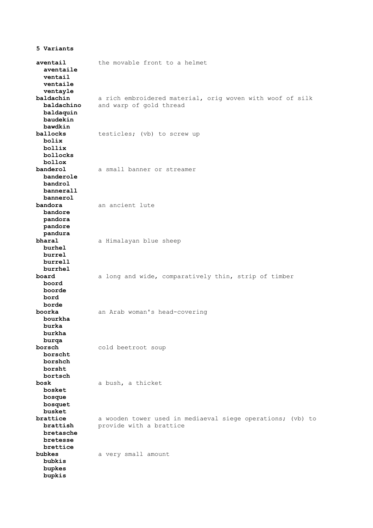**aventail** the movable front to a helmet  **aventaile ventail ventaile ventayle baldachin** a rich embroidered material, orig woven with woof of silk aldachin a rich embroidered mate:<br> **baldachino** and warp of gold thread  **baldaquin baudekin bawdkin** testicles; (vb) to screw up  **bolix bollix bollocks bollox banderol** a small banner or streamer  **banderole bandrol bannerall bannerol bandora** an ancient lute  **bandore pandora pandore pandura bharal** a Himalayan blue sheep  **burhel burrel burrell burrhel board** a long and wide, comparatively thin, strip of timber  **boord boorde bord borde boorka** an Arab woman's head-covering  **bourkha burka burkha burqa borsch** cold beetroot soup  **borscht borshch borsht bortsch bosk** a bush, a thicket  **bosket bosque bosquet busket brattice** a wooden tower used in mediaeval siege operations; (vb) to **brattish** provide with a brattice  **brattish** provide with a brattice  **bretasche bretesse brettice bubkes** a very small amount  **bubkis bupkes bupkis**

**5 Variants**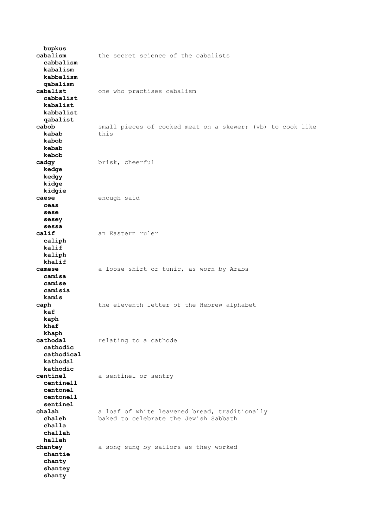| bupkus<br>cabalism<br>cabbalism<br>kabalism                | the secret science of the cabalists                                                    |  |  |  |  |  |  |  |  |  |
|------------------------------------------------------------|----------------------------------------------------------------------------------------|--|--|--|--|--|--|--|--|--|
| kabbalism<br>qabalism<br>cabalist<br>cabbalist<br>kabalist | one who practises cabalism                                                             |  |  |  |  |  |  |  |  |  |
| kabbalist<br>qabalist<br>cabob<br>kabab<br>kabob           | small pieces of cooked meat on a skewer; (vb) to cook like<br>this                     |  |  |  |  |  |  |  |  |  |
| kebab<br>kebob<br>cadgy<br>kedge<br>kedgy                  | brisk, cheerful                                                                        |  |  |  |  |  |  |  |  |  |
| kidge<br>kidgie<br>caese<br>ceas<br>sese                   | enough said                                                                            |  |  |  |  |  |  |  |  |  |
| sesey<br>sessa<br>calif<br>caliph<br>kalif                 | an Eastern ruler                                                                       |  |  |  |  |  |  |  |  |  |
| kaliph<br>khalif<br>camese<br>camisa<br>camise             | a loose shirt or tunic, as worn by Arabs                                               |  |  |  |  |  |  |  |  |  |
| camisia<br>kamis<br>caph<br>kaf<br>kaph                    | the eleventh letter of the Hebrew alphabet                                             |  |  |  |  |  |  |  |  |  |
| khaf<br>khaph<br>cathodal<br>cathodic<br>cathodical        | relating to a cathode                                                                  |  |  |  |  |  |  |  |  |  |
| kathodal<br>kathodic<br>centinel<br>centinell<br>centonel  | a sentinel or sentry                                                                   |  |  |  |  |  |  |  |  |  |
| centonell<br>sentinel<br>chalah<br>chaleh<br>challa        | a loaf of white leavened bread, traditionally<br>baked to celebrate the Jewish Sabbath |  |  |  |  |  |  |  |  |  |
| challah<br>hallah<br>chantey<br>chantie                    | a song sung by sailors as they worked                                                  |  |  |  |  |  |  |  |  |  |
| chanty<br>shantey<br>shanty                                |                                                                                        |  |  |  |  |  |  |  |  |  |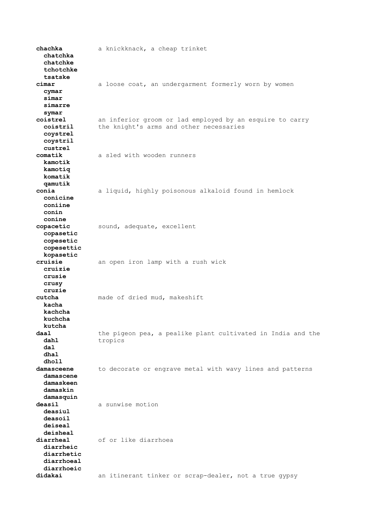**chachka** a knickknack, a cheap trinket  **chatchka chatchke tchotchke tsatske cimar** a loose coat, an undergarment formerly worn by women  **cymar simar simarre symar coistrel** an inferior groom or lad employed by an esquire to carry  **coistril** the knight's arms and other necessaries  **coystrel coystril custrel comatik** a sled with wooden runners  **kamotik kamotiq komatik qamutik conia** a liquid, highly poisonous alkaloid found in hemlock  **conicine coniine conin conine copacetic** sound, adequate, excellent  **copasetic copesetic copesettic kopasetic cruisie** an open iron lamp with a rush wick  **cruizie crusie crusy cruzie cutcha** made of dried mud, makeshift  **kacha kachcha kuchcha kutcha daal** the pigeon pea, a pealike plant cultivated in India and the dahl tropics  **dal dhal dholl damasceene** to decorate or engrave metal with wavy lines and patterns  **damascene damaskeen damaskin damasquin deasil** a sunwise motion  **deasiul deasoil deiseal deisheal diarrheal** of or like diarrhoea  **diarrheic diarrhetic diarrhoeal diarrhoeic didakai** an itinerant tinker or scrap-dealer, not a true gypsy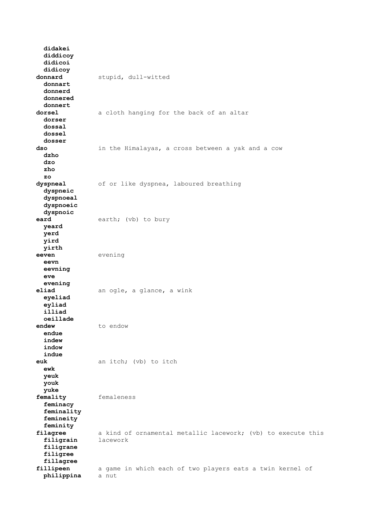**didakei diddicoy didicoi didicoy donnard** stupid, dull-witted  **donnart donnerd donnered donnert dorsel** a cloth hanging for the back of an altar  **dorser dossal dossel dosser dso** in the Himalayas, a cross between a yak and a cow  **dzho dzo zho zo dyspneal** of or like dyspnea, laboured breathing  **dyspneic dyspnoeal dyspnoeic dyspnoic eard** earth; (vb) to bury  **yeard yerd yird yirth eeven** evening  **eevn eevning eve evening eliad** an ogle, a glance, a wink  **eyeliad eyliad illiad oeillade endew** to endow  **endue indew indow indue** an itch; (vb) to itch  **ewk yeuk youk yuke femality** femaleness  **feminacy feminality femineity feminity filagree** a kind of ornamental metallic lacework; (vb) to execute this  **filigrain** lacework  **filigrane filigree fillagree** fillipeen a game in which each of two players eats a twin kernel of  **philippina** a nut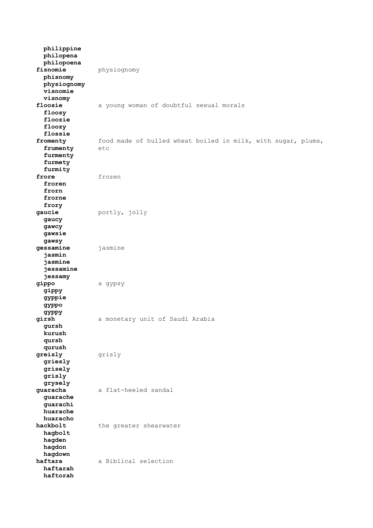**philippine philopena philopoena fisnomie** physiognomy  **phisnomy physiognomy visnomie visnomy** floosie a young woman of doubtful sexual morals  **floosy floozie floozy flossie** food made of hulled wheat boiled in milk, with sugar, plums, etc frumenty  **furmenty furmety furmity frore** frozen  **froren frorn frorne frory gaucie** portly, jolly  **gaucy gawcy gawsie gawsy gessamine** jasmine  **jasmin jasmine jessamine jessamy gippo** a gypsy  **gippy gyppie gyppo gyppy girsh** a monetary unit of Saudi Arabia  **gursh kurush qursh qurush greisly** grisly  **griesly grisely grisly grysely guaracha** a flat-heeled sandal  **guarache guarachi huarache huaracho** hackbolt the greater shearwater  **hagbolt hagden hagdon hagdown haftara** a Biblical selection  **haftarah haftorah**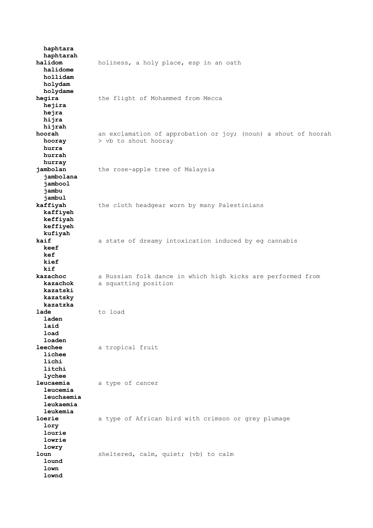**haphtara haphtarah halidom** holiness, a holy place, esp in an oath  **halidome hollidam holydam holydame hegira** the flight of Mohammed from Mecca  **hejira hejra hijra hijrah hoorah** an exclamation of approbation or joy; (noun) a shout of hoorah **hooray** > vb to shout hooray  **hurra hurrah hurray jambolan** the rose-apple tree of Malaysia  **jambolana jambool jambu jambul kaffiyah** the cloth headgear worn by many Palestinians  **kaffiyeh keffiyah keffiyeh kufiyah kaif** a state of dreamy intoxication induced by eg cannabis  **keef kef kief kif kazachoc** a Russian folk dance in which high kicks are performed from  **kazachok** a squatting position  **kazatski kazatsky kazatzka lade** to load  **laden laid load loaden leechee** a tropical fruit  **lichee lichi litchi lychee leucaemia** a type of cancer  **leucemia leuchaemia leukaemia leukemia loerie** a type of African bird with crimson or grey plumage  **lory lourie lowrie lowry loun** sheltered, calm, quiet; (vb) to calm  **lound lown lownd**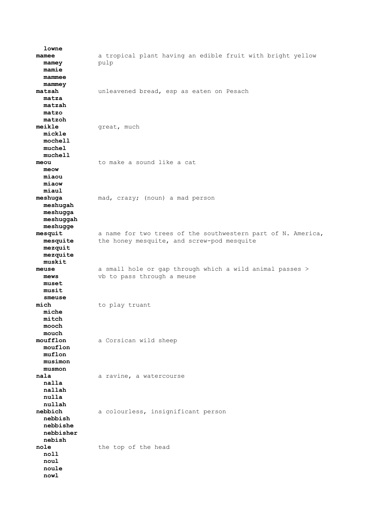**lowne mamee** a tropical plant having an edible fruit with bright yellow **mamey** pulp  **mamie mammee mammey matsah** unleavened bread, esp as eaten on Pesach  **matza matzah matzo matzoh** great, much  **mickle mochell muchel muchell meou** to make a sound like a cat  **meow miaou miaow miaul meshuga** mad, crazy; (noun) a mad person  **meshugah meshugga meshuggah meshugge mesquit** a name for two trees of the southwestern part of N. America,  **mesquite** the honey mesquite, and screw-pod mesquite  **mezquit mezquite muskit meuse** a small hole or gap through which a wild animal passes >  **mews** vb to pass through a meuse  **muset musit smeuse mich** to play truant  **miche mitch mooch mouch moufflon** a Corsican wild sheep  **mouflon muflon musimon musmon nala** a ravine, a watercourse  **nalla nallah nulla nullah nebbich** a colourless, insignificant person  **nebbish nebbishe nebbisher nebish nole** the top of the head  **noll noul noule nowl**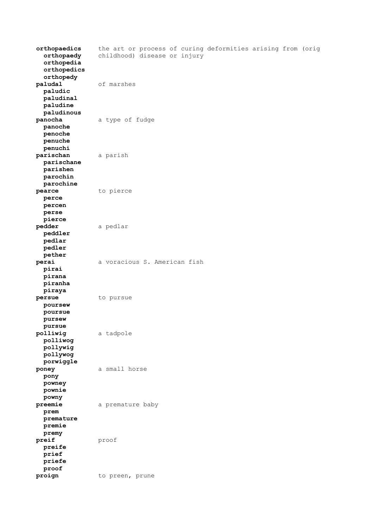| orthopaedics<br>orthopaedy<br>orthopedia<br>orthopedics<br>orthopedy | the art or process of curing deformities arising from (orig<br>childhood) disease or injury |
|----------------------------------------------------------------------|---------------------------------------------------------------------------------------------|
| paludal<br>paludic<br>paludinal<br>paludine<br>paludinous            | of marshes                                                                                  |
| panocha<br>panoche<br>penoche<br>penuche<br>penuchi                  | a type of fudge                                                                             |
| parischan<br>parischane<br>parishen<br>parochin<br>parochine         | a parish                                                                                    |
| pearce<br>perce<br>percen<br>perse<br>pierce                         | to pierce                                                                                   |
| pedder<br>peddler<br>pedlar<br>pedler<br>pether                      | a pedlar                                                                                    |
| perai<br>pirai<br>pirana<br>piranha<br>piraya                        | a voracious S. American fish                                                                |
| persue<br>poursew<br>poursue<br>pursew<br>pursue                     | to pursue                                                                                   |
| polliwig<br>polliwog<br>pollywig<br>pollywog<br>porwiggle            | a tadpole                                                                                   |
| poney<br>pony<br>powney<br>pownie<br>powny                           | a small horse                                                                               |
| preemie<br>prem<br>premature<br>premie<br>premy                      | a premature baby                                                                            |
| preif<br>preife<br>prief<br>priefe<br>proof                          | proof                                                                                       |
| proign                                                               | to preen, prune                                                                             |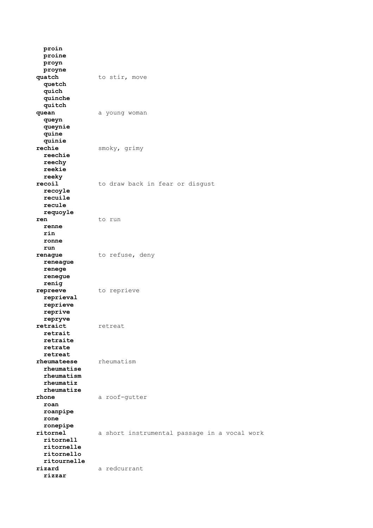**proin proine proyn proyne quatch** to stir, move  **quetch quich quinche quitch quean** a young woman  **queyn queynie quine quinie** smoky, grimy  **reechie reechy reekie reeky recoil** to draw back in fear or disgust  **recoyle recuile recule requoyle ren** to run  **renne rin ronne run** renague to refuse, deny  **reneague renege renegue renig repreeve** to reprieve  **reprieval reprieve reprive repryve** retreat  **retrait retraite retrate retreat rheumateese** rheumatism  **rheumatise rheumatism rheumatiz rheumatize rhone** a roof-gutter  **roan roanpipe rone ronepipe ritornel** a short instrumental passage in a vocal work  **ritornell ritornelle ritornello ritournelle rizard** a redcurrant  **rizzar**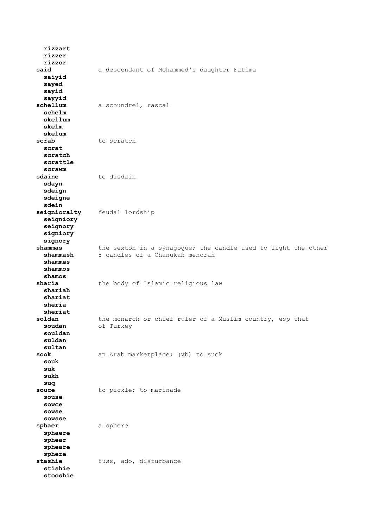**rizzart rizzer rizzor said** a descendant of Mohammed's daughter Fatima  **saiyid sayed sayid sayyid schellum** a scoundrel, rascal  **schelm skellum skelm skelum scrab** to scratch  **scrat scratch scrattle scrawm sdaine** to disdain  **sdayn sdeign sdeigne sdein seignioralty** feudal lordship  **seigniory seignory signiory signory shammas** the sexton in a synagogue; the candle used to light the other  **shammash** 8 candles of a Chanukah menorah  **shammes shammos shamos sharia** the body of Islamic religious law  **shariah shariat sheria sheriat soldan** the monarch or chief ruler of a Muslim country, esp that soudan of Turkey of Turkey  **souldan suldan sultan sook** an Arab marketplace; (vb) to suck  **souk suk sukh suq souce** to pickle; to marinade  **souse sowce sowse sowsse sphaer** a sphere  **sphaere sphear spheare sphere stashie** fuss, ado, disturbance  **stishie stooshie**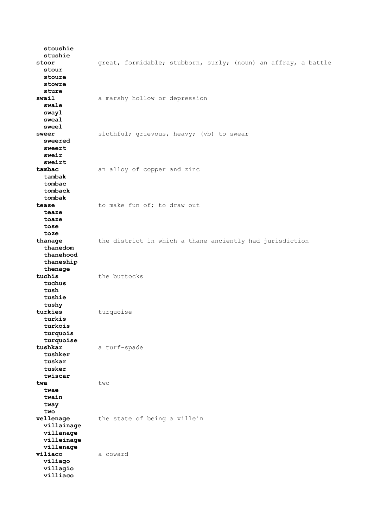**stoushie stushie stoor** great, formidable; stubborn, surly; (noun) an affray, a battle  **stour stoure stowre sture swail** a marshy hollow or depression  **swale swayl sweal sweel** slothful; grievous, heavy; (vb) to swear  **sweered sweert sweir sweirt tambac** an alloy of copper and zinc  **tambak tombac tomback tombak** to make fun of; to draw out  **teaze toaze tose toze thanage** the district in which a thane anciently had jurisdiction  **thanedom thanehood thaneship thenage tuchis** the buttocks  **tuchus tush tushie tushy** turquoise  **turkis turkois turquois turquoise tushkar** a turf-spade  **tushker tuskar tusker twiscar twa** two  **twae twain tway two vellenage** the state of being a villein  **villainage villanage villeinage villenage viliaco** a coward  **viliago villagio villiaco**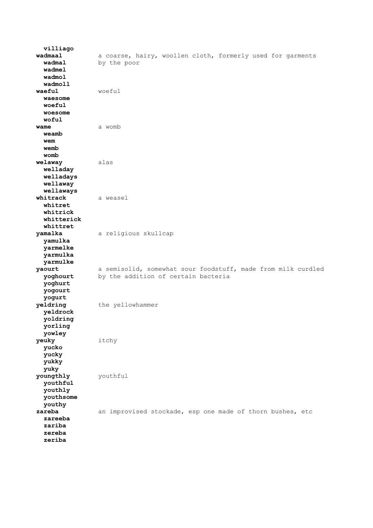**villiago wadmaal** a coarse, hairy, woollen cloth, formerly used for garments  **wadmal** by the poor  **wadmel wadmol wadmoll waeful** woeful  **waesome woeful woesome woful wame** a womb  **weamb wem wemb womb welaway** alas  **welladay welladays wellaway wellaways whitrack** a weasel  **whitret whitrick whitterick whittret yamalka** a religious skullcap  **yamulka yarmelke yarmulka yarmulke yaourt** a semisolid, somewhat sour foodstuff, made from milk curdled **yoghourt** by the addition of certain bacteria by the addition of certain bacteria  **yoghurt yogourt yogurt yeldring** the yellowhammer  **yeldrock yoldring yorling yowley yeuky** itchy  **yucko yucky yukky yuky youngthly** youthful  **youthful youthly youthsome youthy zareba** an improvised stockade, esp one made of thorn bushes, etc  **zareeba zariba zereba zeriba**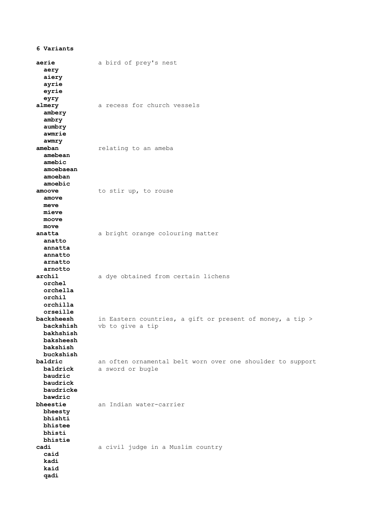**aerie** a bird of prey's nest  **aery aiery ayrie eyrie eyry almery** a recess for church vessels  **ambery ambry aumbry awmrie awmry ameban** relating to an ameba  **amebean amebic amoebaean amoeban amoebic amoove** to stir up, to rouse  **amove meve mieve moove move anatta** a bright orange colouring matter  **anatto annatta annatto arnatto arnotto archil** a dye obtained from certain lichens  **orchel orchella orchil orchilla orseille backsheesh** in Eastern countries, a gift or present of money, a tip >  **backshish** vb to give a tip  **bakhshish baksheesh bakshish buckshish baldric** an often ornamental belt worn over one shoulder to support  **baldrick** a sword or bugle  **baudric baudrick baudricke bawdric bheestie** an Indian water-carrier  **bheesty bhishti bhistee bhisti bhistie cadi** a civil judge in a Muslim country  **caid kadi kaid qadi**

**6 Variants**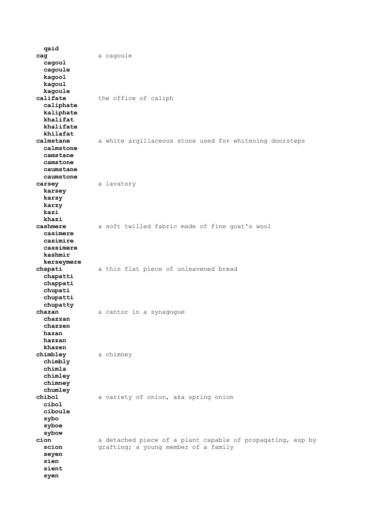**qaid cag** a cagoule  **cagoul cagoule kagool kagoul kagoule califate** the office of caliph  **caliphate kaliphate khalifat khalifate khilafat** a white argillaceous stone used for whitening doorsteps  **calmstone camstane camstone caumstane caumstone carsey** a lavatory  **karsey karsy karzy kazi khazi cashmere** a soft twilled fabric made of fine goat's wool  **casimere casimire cassimere kashmir kerseymere chapati** a thin flat piece of unleavened bread  **chapatti chappati chupati chupatti chupatty chazan** a cantor in a synagogue  **chazzan chazzen hazan hazzan khazen chimbley** a chimney  **chimbly chimla chimley chimney chumley chibol** a variety of onion, aka spring onion  **cibol ciboule sybo syboe sybow cion** a detached piece of a plant capable of propagating, esp by **scion grafting;** a young member of a family  **seyen sien sient syen**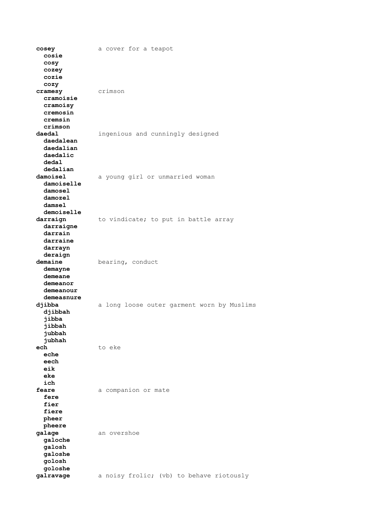**cosey** a cover for a teapot  **cosie cosy cozey cozie cozy cramesy** crimson  **cramoisie cramoisy cremosin cremsin crimson daedal** ingenious and cunningly designed  **daedalean daedalian daedalic dedal dedalian damoisel** a young girl or unmarried woman  **damoiselle damosel damozel damsel demoiselle** darraign to vindicate; to put in battle array  **darraigne darrain darraine darrayn deraign demaine** bearing, conduct  **demayne demeane demeanor demeanour demeasnure djibba** a long loose outer garment worn by Muslims  **djibbah jibba jibbah jubbah jubhah ech** to eke  **eche eech eik eke ich feare** a companion or mate  **fere fier fiere pheer pheere galage** an overshoe  **galoche galosh galoshe golosh goloshe galravage** a noisy frolic; (vb) to behave riotously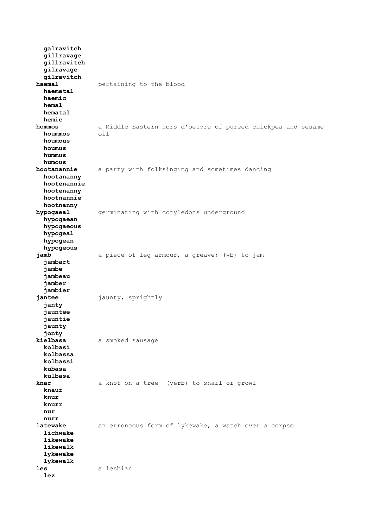**galravitch gillravage gillravitch gilravage gilravitch haemal pertaining** to the blood  **haematal haemic hemal hematal hemic hommos** a Middle Eastern hors d'oeuvre of pureed chickpea and sesame  $h$ oummos  **houmous houmus hummus humous hootanannie** a party with folksinging and sometimes dancing  **hootananny hootenannie hootenanny hootnannie hootnanny hypogaeal** germinating with cotyledons underground  **hypogaean hypogaeous hypogeal hypogean hypogeous jamb** a piece of leg armour, a greave; (vb) to jam  **jambart jambe jambeau jamber jambier jantee** jaunty, sprightly  **janty jauntee jauntie jaunty jonty kielbasa** a smoked sausage  **kolbasi kolbassa kolbassi kubasa kulbasa knar** a knot on a tree (verb) to snarl or growl  **knaur knur knurr nur nurr latewake** an erroneous form of lykewake, a watch over a corpse  **lichwake likewake likewalk lykewake lykewalk les** a lesbian  **lez**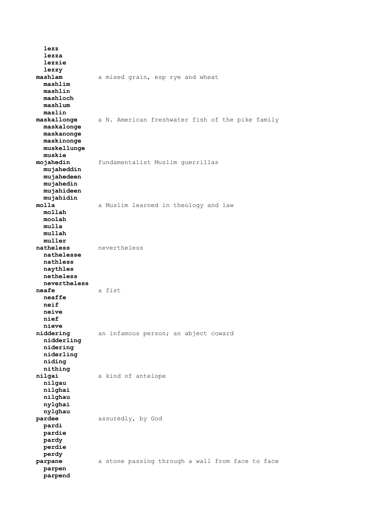**lezz lezza lezzie lezzy mashlam** a mixed grain, esp rye and wheat  **mashlim mashlin mashloch mashlum maslin maskallonge** a N. American freshwater fish of the pike family  **maskalonge maskanonge maskinonge muskellunge muskie mojahedin** fundamentalist Muslim guerrillas  **mujaheddin mujahedeen mujahedin mujahideen mujahidin molla** a Muslim learned in theology and law  **mollah moolah mulla mullah muller natheless** nevertheless  **nathelesse nathless naythles netheless nevertheless neafe** a fist  **neaffe neif neive nief nieve** an infamous person; an abject coward  **nidderling nidering niderling niding nithing nilgai** a kind of antelope  **nilgau nilghai nilghau nylghai nylghau pardee** assuredly, by God  **pardi pardie pardy perdie perdy parpane** a stone passing through a wall from face to face  **parpen parpend**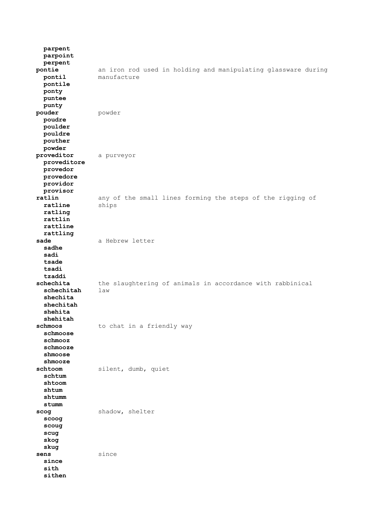**parpent parpoint perpent pontie** an iron rod used in holding and manipulating glassware during  **pontil** manufacture  **pontile ponty puntee punty pouder** powder  **poudre poulder pouldre pouther powder proveditor** a purveyor  **proveditore provedor provedore providor provisor** any of the small lines forming the steps of the rigging of **ratline** ships  **ratling rattlin rattline rattling** sade a Hebrew letter  **sadhe sadi tsade tsadi tzaddi** schechita the slaughtering of animals in accordance with rabbinical  **schechitah** law  **shechita shechitah shehita shehitah schmoos** to chat in a friendly way  **schmoose schmooz schmooze shmoose shmooze** silent, dumb, quiet  **schtum shtoom shtum shtumm stumm** scog shadow, shelter  **scoog scoug scug skog skug sens** since  **since sith sithen**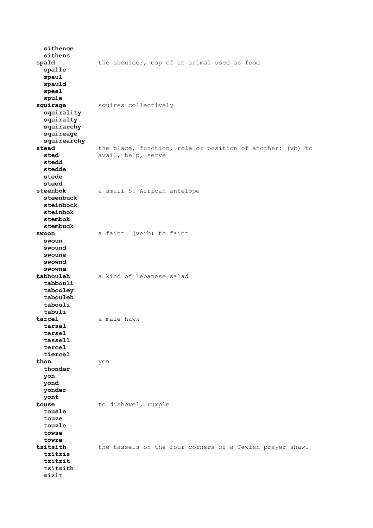**sithence sithens spald** the shoulder, esp of an animal used as food  **spalle spaul spauld speal spule squirage** squires collectively  **squirality squiralty squirarchy squireage squirearchy stead** the place, function, role or position of another; (vb) to **sted** avail, help, serve avail, help, serve  **stedd stedde stede steed steenbok** a small S. African antelope  **steenbuck steinbock steinbok stembok stembuck swoon** a faint (verb) to faint  **swoun swound swoune swownd swowne tabbouleh** a kind of Lebanese salad  **tabbouli tabooley tabouleh tabouli tabuli tarcel** a male hawk  **tarsal tarsel tassell tercel tiercel thon** yon  **thonder yon yond yonder yont touse** to dishevel, rumple  **tousle touze touzle towse towze tsitsith** the tassels on the four corners of a Jewish prayer shawl  **tzitzis tzitzit tzitzith zizit**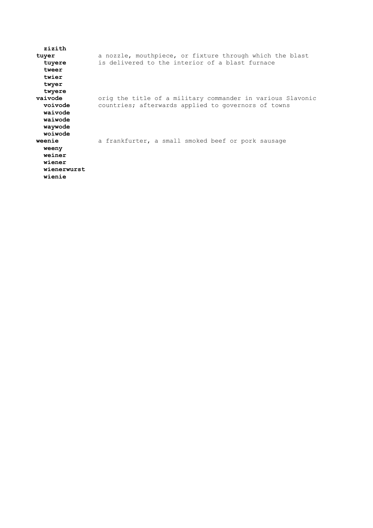| zizith<br>tuyer<br>tuyere<br>tweer<br>twier<br>twyer                     | a nozzle, mouthpiece, or fixture through which the blast<br>is delivered to the interior of a blast furnace       |
|--------------------------------------------------------------------------|-------------------------------------------------------------------------------------------------------------------|
| twyere<br>vaivode<br>voivode<br>waivode<br>waiwode                       | orig the title of a military commander in various Slavonic<br>countries; afterwards applied to governors of towns |
| waywode<br>woiwode<br>weenie<br>weeny<br>weiner<br>wiener<br>wienerwurst | a frankfurter, a small smoked beef or pork sausage                                                                |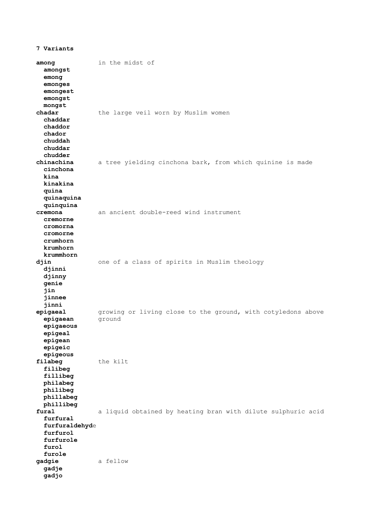**7 Variants among** in the midst of  **amongst emong emonges emongest emongst mongst chadar** the large veil worn by Muslim women  **chaddar chaddor chador chuddah chuddar chudder** a tree yielding cinchona bark, from which quinine is made  **cinchona kina kinakina quina quinaquina quinquina cremona** an ancient double-reed wind instrument  **cremorne cromorna cromorne crumhorn krumhorn krummhorn djin** one of a class of spirits in Muslim theology  **djinni djinny genie jin jinnee jinni** growing or living close to the ground, with cotyledons above ground **epigaean epigaeous epigeal epigean epigeic epigeous filabeg** the kilt  **filibeg fillibeg philabeg philibeg phillabeg phillibeg fural** a liquid obtained by heating bran with dilute sulphuric acid  **furfural furfuraldehyd**e  **furfurol furfurole furol furole gadgie** a fellow  **gadje gadjo**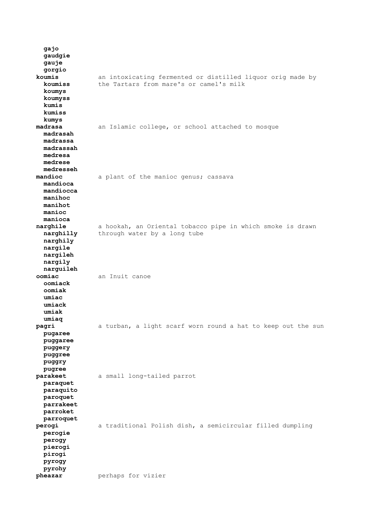**gajo gaudgie gauje gorgio koumis** an intoxicating fermented or distilled liquor orig made by  **koumiss** the Tartars from mare's or camel's milk  **koumys koumyss kumis kumiss kumys** an Islamic college, or school attached to mosque  **madrasah madrassa madrassah medresa medrese medresseh** a plant of the manioc genus; cassava  **mandioca mandiocca manihoc manihot manioc manioca narghile** a hookah, an Oriental tobacco pipe in which smoke is drawn **narghilly** through water by a long tube  **narghily nargile nargileh nargily narguileh oomiac** an Inuit canoe  **oomiack oomiak umiac umiack umiak umiaq pagri** a turban, a light scarf worn round a hat to keep out the sun  **pugaree puggaree puggery puggree puggry pugree parakeet** a small long-tailed parrot  **paraquet paraquito paroquet parrakeet parroket parroquet perogi** a traditional Polish dish, a semicircular filled dumpling  **perogie perogy pierogi pirogi pyrogy pyrohy pheazar perhaps** for vizier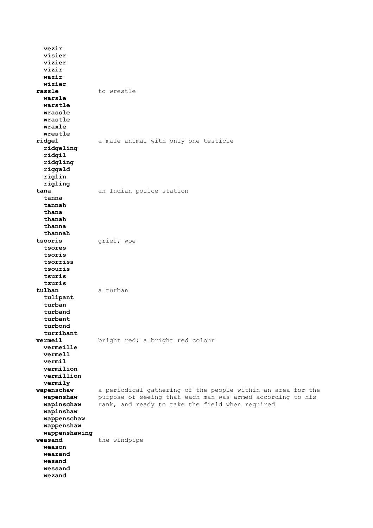**vezir visier vizier vizir wazir wizier** rassle to wrestle  **warsle warstle wrassle wrastle wraxle wrestle** a male animal with only one testicle  **ridgeling ridgil ridgling riggald riglin rigling tana** an Indian police station  **tanna tannah thana thanah thanna thannah tsooris** grief, woe  **tsores tsoris tsorriss tsouris tsuris tzuris tulban** a turban  **tulipant turban turband turbant turbond turribant vermeil** bright red; a bright red colour  **vermeille vermell vermil vermilion vermillion vermily wapenschaw** a periodical gathering of the people within an area for the  **wapenshaw** purpose of seeing that each man was armed according to his  **wapinschaw** rank, and ready to take the field when required  **wapinshaw wappenschaw wappenshaw wappenshawing weasand** the windpipe  **weason weazand wesand wessand wezand**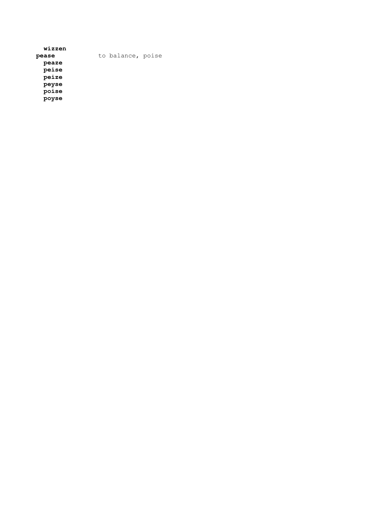| wizzen |                   |  |
|--------|-------------------|--|
| pease  | to balance, poise |  |
| peaze  |                   |  |
| peise  |                   |  |
| peize  |                   |  |
| peyse  |                   |  |
| poise  |                   |  |
| poyse  |                   |  |
|        |                   |  |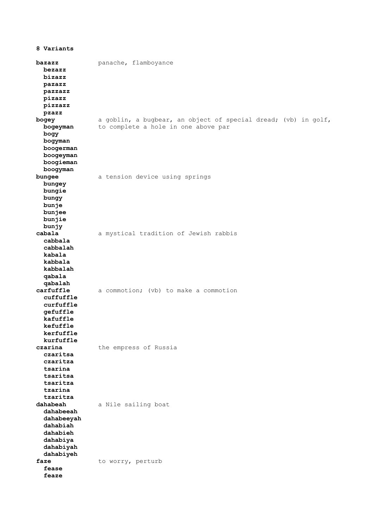| 8 Variants                                                                                        |                                                                                                       |
|---------------------------------------------------------------------------------------------------|-------------------------------------------------------------------------------------------------------|
| bazazz<br>bezazz<br>bizazz<br>pazazz<br>pazzazz<br>pizazz<br>pizzazz<br>pzazz                     | panache, flamboyance                                                                                  |
| bogey<br>bogeyman<br>bogy<br>bogyman<br>boogerman<br>boogeyman<br>boogieman<br>boogyman           | a goblin, a bugbear, an object of special dread; (vb) in golf,<br>to complete a hole in one above par |
| bungee<br>bungey<br>bungie<br>bungy<br>bunje<br>bunjee<br>bunjie<br>bunjy                         | a tension device using springs                                                                        |
| cabala<br>cabbala<br>cabbalah<br>kabala<br>kabbala<br>kabbalah<br>qabala<br>qabalah               | a mystical tradition of Jewish rabbis                                                                 |
| carfuffle<br>cuffuffle<br>curfuffle<br>gefuffle<br>kafuffle<br>kefuffle<br>kerfuffle<br>kurfuffle | a commotion; (vb) to make a commotion                                                                 |
| czarina<br>czaritsa<br>czaritza<br>tsarina<br>tsaritsa<br>tsaritza<br>tzarina<br>tzaritza         | the empress of Russia                                                                                 |
| dahabeah<br>dahabeeah<br>dahabeeyah<br>dahabiah<br>dahabieh<br>dahabiya<br>dahabiyah<br>dahabiyeh | a Nile sailing boat                                                                                   |
| faze<br>fease<br>feaze                                                                            | to worry, perturb                                                                                     |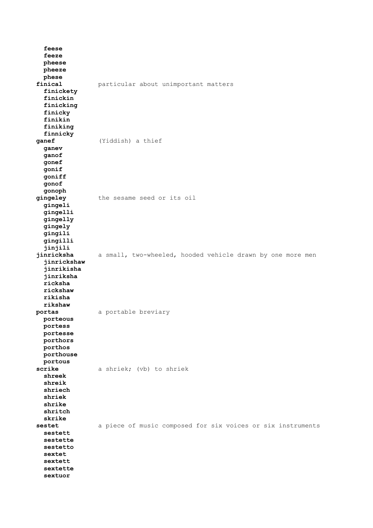| feese<br>feeze<br>pheese<br>pheeze<br>phese                                         |                                                             |
|-------------------------------------------------------------------------------------|-------------------------------------------------------------|
| finical<br>finickety<br>finickin<br>finicking<br>finicky<br>finikin<br>finiking     | particular about unimportant matters                        |
| finnicky                                                                            |                                                             |
|                                                                                     | (Yiddish) a thief                                           |
| ganef                                                                               |                                                             |
| ganev<br>ganof<br>gonef<br>gonif<br>goniff<br>gonof                                 |                                                             |
| gonoph                                                                              |                                                             |
| gingeley                                                                            | the sesame seed or its oil                                  |
| gingeli<br>gingelli<br>gingelly<br>gingely<br>gingili<br>gingilli                   |                                                             |
|                                                                                     |                                                             |
| jinjili                                                                             |                                                             |
| jinricksha                                                                          | a small, two-wheeled, hooded vehicle drawn by one more men  |
| jinrickshaw<br>jinrikisha<br>jinriksha<br>ricksha<br>rickshaw<br>rikisha<br>rikshaw |                                                             |
| portas                                                                              | a portable breviary                                         |
| porteous<br>portess<br>portesse<br>porthors<br>porthos<br>porthouse<br>portous      |                                                             |
| scrike                                                                              | a shriek; (vb) to shriek                                    |
| shreek<br>shreik<br>shriech<br>shriek<br>shrike<br>shritch<br>skrike                |                                                             |
|                                                                                     |                                                             |
| sestet                                                                              | a piece of music composed for six voices or six instruments |
| sestett                                                                             |                                                             |
| sestette<br>sestetto                                                                |                                                             |
| sextet                                                                              |                                                             |
| sextett                                                                             |                                                             |
| sextette                                                                            |                                                             |
| sextuor                                                                             |                                                             |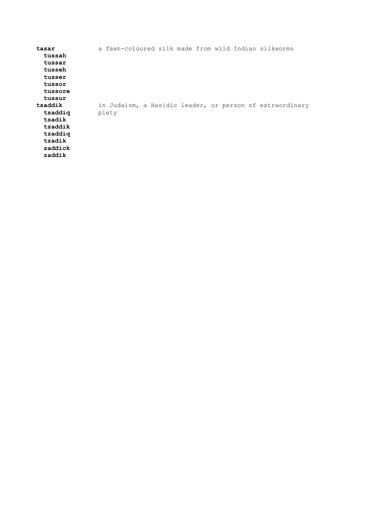| tasar   |       |  |  |  | a fawn-coloured silk made from wild Indian silkworms     |
|---------|-------|--|--|--|----------------------------------------------------------|
| tussah  |       |  |  |  |                                                          |
| tussar  |       |  |  |  |                                                          |
| tusseh  |       |  |  |  |                                                          |
| tusser  |       |  |  |  |                                                          |
| tussor  |       |  |  |  |                                                          |
| tussore |       |  |  |  |                                                          |
| tussur  |       |  |  |  |                                                          |
| tsaddik |       |  |  |  | in Judaism, a Hasidic leader, or person of extraordinary |
| tsaddig | piety |  |  |  |                                                          |
| tsadik  |       |  |  |  |                                                          |
| tzaddik |       |  |  |  |                                                          |
| tzaddig |       |  |  |  |                                                          |
| tzadik  |       |  |  |  |                                                          |
| zaddick |       |  |  |  |                                                          |
| zaddik  |       |  |  |  |                                                          |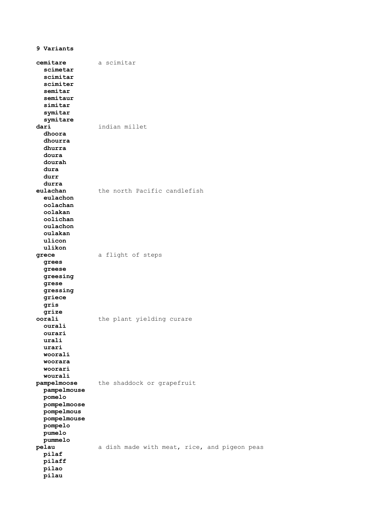**9 Variants cemitare** a scimitar  **scimetar scimitar scimiter semitar semitaur simitar symitar symitare dari** indian millet  **dhoora dhourra dhurra doura dourah dura durr durra eulachan** the north Pacific candlefish  **eulachon oolachan oolakan oolichan oulachon oulakan ulicon ulikon grece** a flight of steps  **grees greese greesing grese gressing griece gris grize** the plant yielding curare  **ourali ourari urali urari woorali woorara woorari wourali pampelmoose** the shaddock or grapefruit  **pampelmouse pomelo pompelmoose pompelmous pompelmouse pompelo pumelo pummelo** a dish made with meat, rice, and pigeon peas  **pilaf pilaff pilao pilau**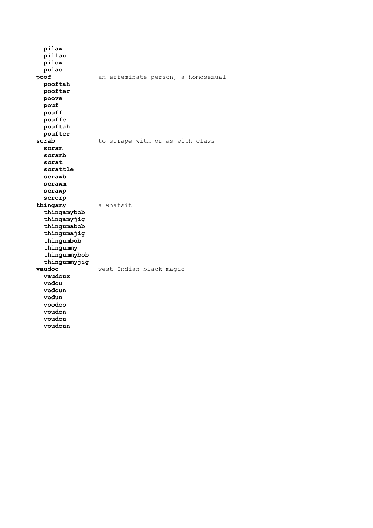**pilaw pillau pilow pulao poof** an effeminate person, a homosexual  **pooftah poofter poove pouf pouff pouffe pouftah poufter scrab** to scrape with or as with claws  **scram scramb scrat scrattle scrawb scrawm scrawp scrorp thingamy** a whatsit  **thingamybob thingamyjig thingumabob thingumajig thingumbob thingummy thingummybob thingummyjig vaudoo** west Indian black magic  **vaudoux vodou vodoun vodun voodoo voudon voudou voudoun**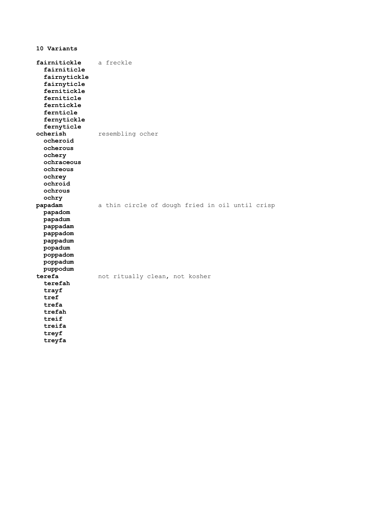**10 Variants fairnitickle** a freckle  **fairniticle fairnytickle fairnyticle fernitickle ferniticle ferntickle fernticle fernytickle fernyticle ocherish** resembling ocher  **ocheroid ocherous ochery ochraceous ochreous ochrey ochroid ochrous ochry papadam** a thin circle of dough fried in oil until crisp  **papadom papadum pappadam pappadom pappadum popadum poppadom poppadum puppodum terefa** not ritually clean, not kosher  **terefah trayf tref trefa trefah treif treifa treyf treyfa**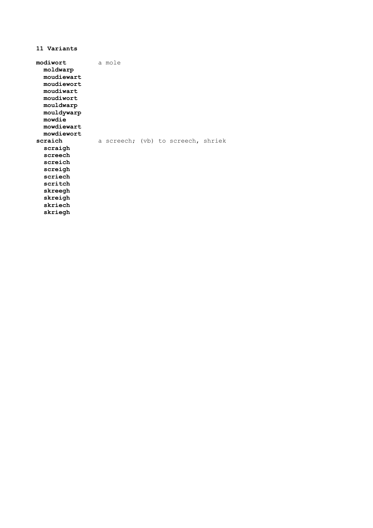**11 Variants modiwort** a mole  **moldwarp moudiewart moudiewort moudiwart moudiwort mouldwarp mouldywarp mowdie mowdiewart mowdiewort** a screech; (vb) to screech, shriek  **scraigh screech screich screigh scriech scritch skreegh skreigh skriech skriegh**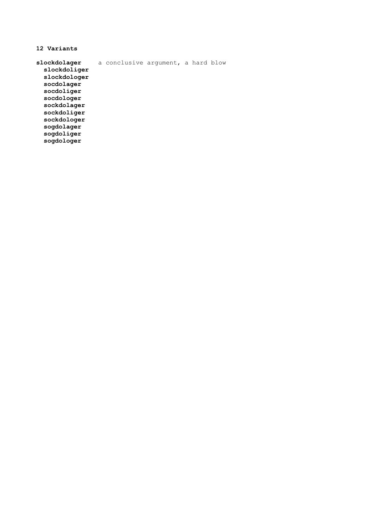**12 Variants slockdolager** a conclusive argument, a hard blow  **slockdoliger slockdologer socdolager socdoliger socdologer sockdolager sockdoliger sockdologer sogdolager sogdoliger**

 **sogdologer**